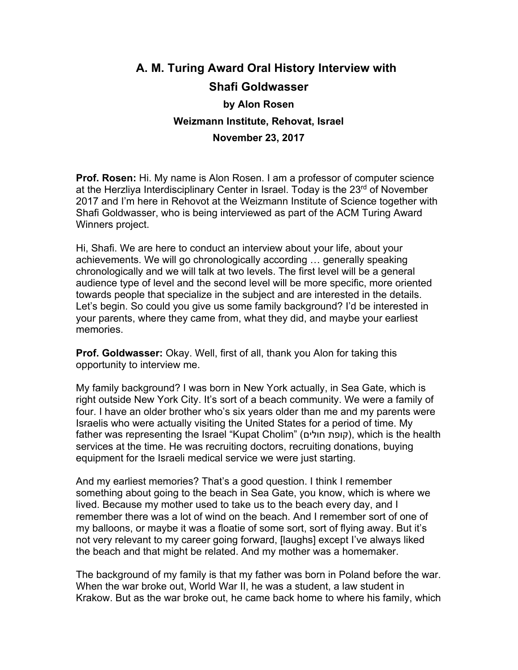# **A. M. Turing Award Oral History Interview with Shafi Goldwasser by Alon Rosen Weizmann Institute, Rehovat, Israel November 23, 2017**

**Prof. Rosen:** Hi. My name is Alon Rosen. I am a professor of computer science at the Herzliya Interdisciplinary Center in Israel. Today is the 23<sup>rd</sup> of November 2017 and I'm here in Rehovot at the Weizmann Institute of Science together with Shafi Goldwasser, who is being interviewed as part of the ACM Turing Award Winners project.

Hi, Shafi. We are here to conduct an interview about your life, about your achievements. We will go chronologically according … generally speaking chronologically and we will talk at two levels. The first level will be a general audience type of level and the second level will be more specific, more oriented towards people that specialize in the subject and are interested in the details. Let's begin. So could you give us some family background? I'd be interested in your parents, where they came from, what they did, and maybe your earliest memories.

**Prof. Goldwasser:** Okay. Well, first of all, thank you Alon for taking this opportunity to interview me.

My family background? I was born in New York actually, in Sea Gate, which is right outside New York City. It's sort of a beach community. We were a family of four. I have an older brother who's six years older than me and my parents were Israelis who were actually visiting the United States for a period of time. My father was representing the Israel "Kupat Cholim" ( תפוק םילוח( , which is the health services at the time. He was recruiting doctors, recruiting donations, buying equipment for the Israeli medical service we were just starting.

And my earliest memories? That's a good question. I think I remember something about going to the beach in Sea Gate, you know, which is where we lived. Because my mother used to take us to the beach every day, and I remember there was a lot of wind on the beach. And I remember sort of one of my balloons, or maybe it was a floatie of some sort, sort of flying away. But it's not very relevant to my career going forward, [laughs] except I've always liked the beach and that might be related. And my mother was a homemaker.

The background of my family is that my father was born in Poland before the war. When the war broke out, World War II, he was a student, a law student in Krakow. But as the war broke out, he came back home to where his family, which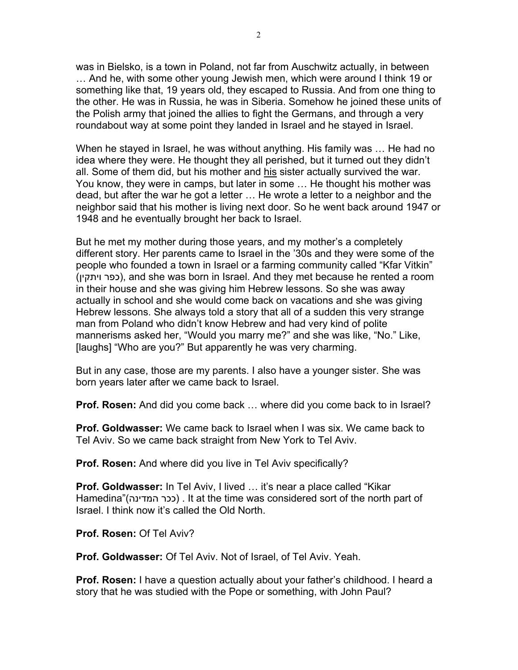was in Bielsko, is a town in Poland, not far from Auschwitz actually, in between … And he, with some other young Jewish men, which were around I think 19 or something like that, 19 years old, they escaped to Russia. And from one thing to the other. He was in Russia, he was in Siberia. Somehow he joined these units of the Polish army that joined the allies to fight the Germans, and through a very roundabout way at some point they landed in Israel and he stayed in Israel.

When he stayed in Israel, he was without anything. His family was … He had no idea where they were. He thought they all perished, but it turned out they didn't all. Some of them did, but his mother and his sister actually survived the war. You know, they were in camps, but later in some … He thought his mother was dead, but after the war he got a letter … He wrote a letter to a neighbor and the neighbor said that his mother is living next door. So he went back around 1947 or 1948 and he eventually brought her back to Israel.

But he met my mother during those years, and my mother's a completely different story. Her parents came to Israel in the '30s and they were some of the people who founded a town in Israel or a farming community called "Kfar Vitkin" (כפר ויתקין), and she was born in Israel. And they met because he rented a room in their house and she was giving him Hebrew lessons. So she was away actually in school and she would come back on vacations and she was giving Hebrew lessons. She always told a story that all of a sudden this very strange man from Poland who didn't know Hebrew and had very kind of polite mannerisms asked her, "Would you marry me?" and she was like, "No." Like, [laughs] "Who are you?" But apparently he was very charming.

But in any case, those are my parents. I also have a younger sister. She was born years later after we came back to Israel.

**Prof. Rosen:** And did you come back … where did you come back to in Israel?

**Prof. Goldwasser:** We came back to Israel when I was six. We came back to Tel Aviv. So we came back straight from New York to Tel Aviv.

**Prof. Rosen:** And where did you live in Tel Aviv specifically?

**Prof. Goldwasser:** In Tel Aviv, I lived … it's near a place called "Kikar Hamedina" (ככר המדינה). It at the time was considered sort of the north part of Israel. I think now it's called the Old North.

**Prof. Rosen:** Of Tel Aviv?

**Prof. Goldwasser:** Of Tel Aviv. Not of Israel, of Tel Aviv. Yeah.

**Prof. Rosen:** I have a question actually about your father's childhood. I heard a story that he was studied with the Pope or something, with John Paul?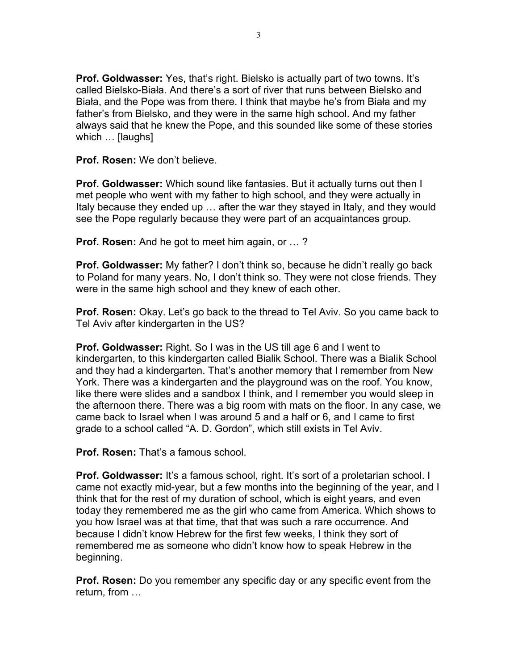**Prof. Goldwasser:** Yes, that's right. Bielsko is actually part of two towns. It's called Bielsko-Biała. And there's a sort of river that runs between Bielsko and Biała, and the Pope was from there. I think that maybe he's from Biała and my father's from Bielsko, and they were in the same high school. And my father always said that he knew the Pope, and this sounded like some of these stories which ... [laughs]

**Prof. Rosen:** We don't believe.

**Prof. Goldwasser:** Which sound like fantasies. But it actually turns out then I met people who went with my father to high school, and they were actually in Italy because they ended up … after the war they stayed in Italy, and they would see the Pope regularly because they were part of an acquaintances group.

**Prof. Rosen:** And he got to meet him again, or … ?

**Prof. Goldwasser:** My father? I don't think so, because he didn't really go back to Poland for many years. No, I don't think so. They were not close friends. They were in the same high school and they knew of each other.

**Prof. Rosen:** Okay. Let's go back to the thread to Tel Aviv. So you came back to Tel Aviv after kindergarten in the US?

**Prof. Goldwasser:** Right. So I was in the US till age 6 and I went to kindergarten, to this kindergarten called Bialik School. There was a Bialik School and they had a kindergarten. That's another memory that I remember from New York. There was a kindergarten and the playground was on the roof. You know, like there were slides and a sandbox I think, and I remember you would sleep in the afternoon there. There was a big room with mats on the floor. In any case, we came back to Israel when I was around 5 and a half or 6, and I came to first grade to a school called "A. D. Gordon", which still exists in Tel Aviv.

**Prof. Rosen:** That's a famous school.

**Prof. Goldwasser:** It's a famous school, right. It's sort of a proletarian school. I came not exactly mid-year, but a few months into the beginning of the year, and I think that for the rest of my duration of school, which is eight years, and even today they remembered me as the girl who came from America. Which shows to you how Israel was at that time, that that was such a rare occurrence. And because I didn't know Hebrew for the first few weeks, I think they sort of remembered me as someone who didn't know how to speak Hebrew in the beginning.

**Prof. Rosen:** Do you remember any specific day or any specific event from the return, from …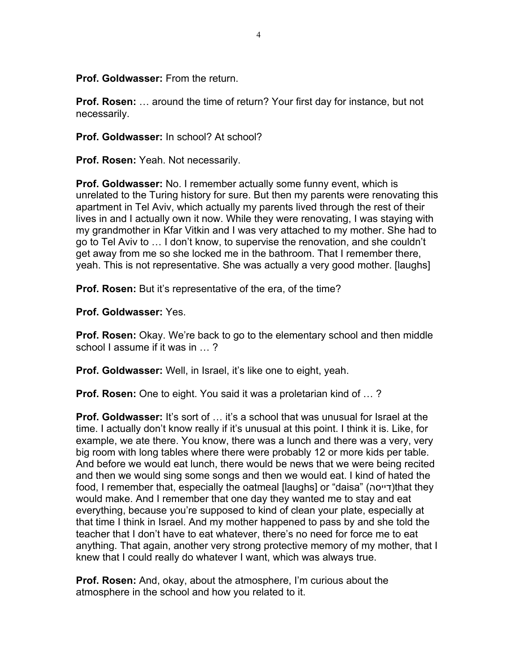**Prof. Goldwasser:** From the return.

**Prof. Rosen:** … around the time of return? Your first day for instance, but not necessarily.

**Prof. Goldwasser:** In school? At school?

**Prof. Rosen:** Yeah. Not necessarily.

**Prof. Goldwasser:** No. I remember actually some funny event, which is unrelated to the Turing history for sure. But then my parents were renovating this apartment in Tel Aviv, which actually my parents lived through the rest of their lives in and I actually own it now. While they were renovating, I was staying with my grandmother in Kfar Vitkin and I was very attached to my mother. She had to go to Tel Aviv to … I don't know, to supervise the renovation, and she couldn't get away from me so she locked me in the bathroom. That I remember there, yeah. This is not representative. She was actually a very good mother. [laughs]

**Prof. Rosen:** But it's representative of the era, of the time?

**Prof. Goldwasser:** Yes.

**Prof. Rosen:** Okay. We're back to go to the elementary school and then middle school I assume if it was in … ?

**Prof. Goldwasser:** Well, in Israel, it's like one to eight, yeah.

**Prof. Rosen:** One to eight. You said it was a proletarian kind of … ?

**Prof. Goldwasser:** It's sort of ... it's a school that was unusual for Israel at the time. I actually don't know really if it's unusual at this point. I think it is. Like, for example, we ate there. You know, there was a lunch and there was a very, very big room with long tables where there were probably 12 or more kids per table. And before we would eat lunch, there would be news that we were being recited and then we would sing some songs and then we would eat. I kind of hated the food, I remember that, especially the oatmeal [laughs] or "daisa" (דייסה)that they would make. And I remember that one day they wanted me to stay and eat everything, because you're supposed to kind of clean your plate, especially at that time I think in Israel. And my mother happened to pass by and she told the teacher that I don't have to eat whatever, there's no need for force me to eat anything. That again, another very strong protective memory of my mother, that I knew that I could really do whatever I want, which was always true.

**Prof. Rosen:** And, okay, about the atmosphere, I'm curious about the atmosphere in the school and how you related to it.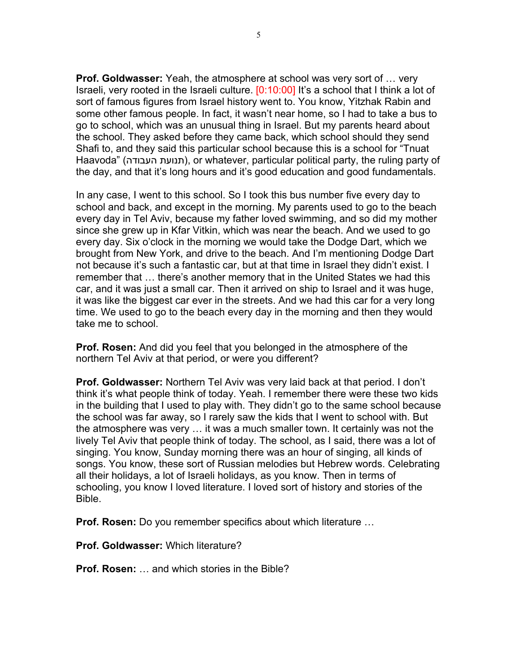**Prof. Goldwasser:** Yeah, the atmosphere at school was very sort of … very Israeli, very rooted in the Israeli culture. [0:10:00] It's a school that I think a lot of sort of famous figures from Israel history went to. You know, Yitzhak Rabin and some other famous people. In fact, it wasn't near home, so I had to take a bus to go to school, which was an unusual thing in Israel. But my parents heard about the school. They asked before they came back, which school should they send Shafi to, and they said this particular school because this is a school for "Tnuat Haavoda" (תנועת העבודה), or whatever, particular political party, the ruling party of the day, and that it's long hours and it's good education and good fundamentals.

In any case, I went to this school. So I took this bus number five every day to school and back, and except in the morning. My parents used to go to the beach every day in Tel Aviv, because my father loved swimming, and so did my mother since she grew up in Kfar Vitkin, which was near the beach. And we used to go every day. Six o'clock in the morning we would take the Dodge Dart, which we brought from New York, and drive to the beach. And I'm mentioning Dodge Dart not because it's such a fantastic car, but at that time in Israel they didn't exist. I remember that … there's another memory that in the United States we had this car, and it was just a small car. Then it arrived on ship to Israel and it was huge, it was like the biggest car ever in the streets. And we had this car for a very long time. We used to go to the beach every day in the morning and then they would take me to school.

**Prof. Rosen:** And did you feel that you belonged in the atmosphere of the northern Tel Aviv at that period, or were you different?

**Prof. Goldwasser:** Northern Tel Aviv was very laid back at that period. I don't think it's what people think of today. Yeah. I remember there were these two kids in the building that I used to play with. They didn't go to the same school because the school was far away, so I rarely saw the kids that I went to school with. But the atmosphere was very … it was a much smaller town. It certainly was not the lively Tel Aviv that people think of today. The school, as I said, there was a lot of singing. You know, Sunday morning there was an hour of singing, all kinds of songs. You know, these sort of Russian melodies but Hebrew words. Celebrating all their holidays, a lot of Israeli holidays, as you know. Then in terms of schooling, you know I loved literature. I loved sort of history and stories of the Bible.

**Prof. Rosen:** Do you remember specifics about which literature …

**Prof. Goldwasser:** Which literature?

**Prof. Rosen:** … and which stories in the Bible?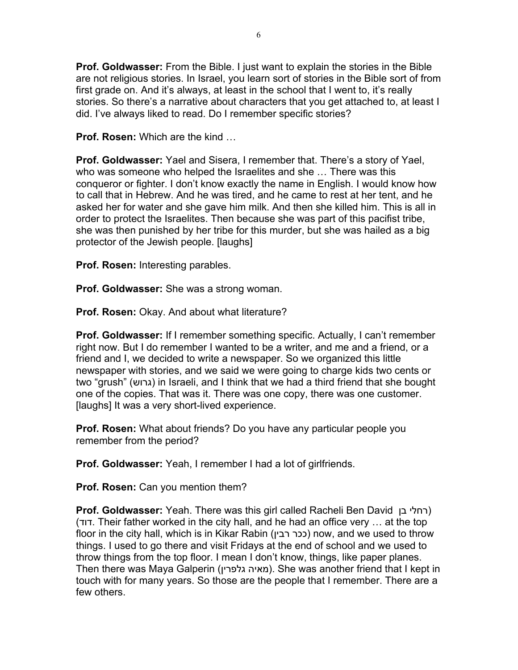**Prof. Goldwasser:** From the Bible. I just want to explain the stories in the Bible are not religious stories. In Israel, you learn sort of stories in the Bible sort of from first grade on. And it's always, at least in the school that I went to, it's really stories. So there's a narrative about characters that you get attached to, at least I did. I've always liked to read. Do I remember specific stories?

**Prof. Rosen:** Which are the kind …

**Prof. Goldwasser:** Yael and Sisera, I remember that. There's a story of Yael, who was someone who helped the Israelites and she … There was this conqueror or fighter. I don't know exactly the name in English. I would know how to call that in Hebrew. And he was tired, and he came to rest at her tent, and he asked her for water and she gave him milk. And then she killed him. This is all in order to protect the Israelites. Then because she was part of this pacifist tribe, she was then punished by her tribe for this murder, but she was hailed as a big protector of the Jewish people. [laughs]

**Prof. Rosen:** Interesting parables.

**Prof. Goldwasser:** She was a strong woman.

**Prof. Rosen:** Okay. And about what literature?

**Prof. Goldwasser:** If I remember something specific. Actually, I can't remember right now. But I do remember I wanted to be a writer, and me and a friend, or a friend and I, we decided to write a newspaper. So we organized this little newspaper with stories, and we said we were going to charge kids two cents or two "grush" (גרוש) in Israeli, and I think that we had a third friend that she bought one of the copies. That was it. There was one copy, there was one customer. [laughs] It was a very short-lived experience.

**Prof. Rosen:** What about friends? Do you have any particular people you remember from the period?

**Prof. Goldwasser:** Yeah, I remember I had a lot of girlfriends.

**Prof. Rosen:** Can you mention them?

**Prof. Goldwasser:** Yeah. There was this girl called Racheli Ben David  $($ רחלי בן) דוד ). Their father worked in the city hall, and he had an office very … at the top floor in the city hall, which is in Kikar Rabin (ככר רבין) now, and we used to throw things. I used to go there and visit Fridays at the end of school and we used to throw things from the top floor. I mean I don't know, things, like paper planes. Then there was Maya Galperin )היאמ ןירפלג ). She was another friend that I kept in touch with for many years. So those are the people that I remember. There are a few others.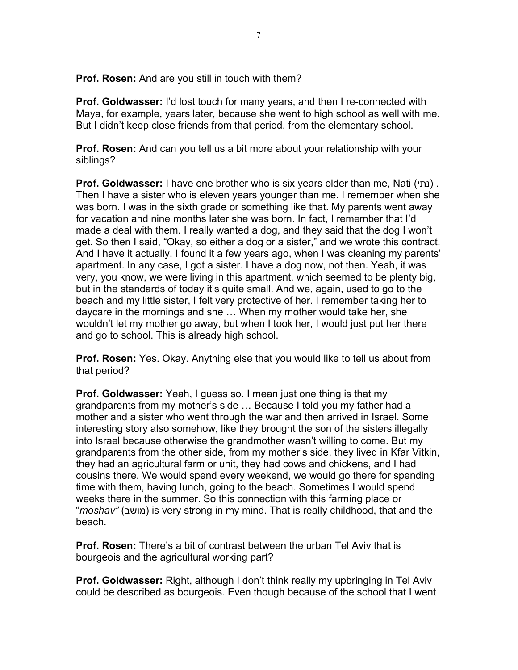**Prof. Rosen:** And are you still in touch with them?

**Prof. Goldwasser:** I'd lost touch for many years, and then I re-connected with Maya, for example, years later, because she went to high school as well with me. But I didn't keep close friends from that period, from the elementary school.

**Prof. Rosen:** And can you tell us a bit more about your relationship with your siblings?

**Prof. Goldwasser:** I have one brother who is six years older than me, Nati ( $(n)$ . Then I have a sister who is eleven years younger than me. I remember when she was born. I was in the sixth grade or something like that. My parents went away for vacation and nine months later she was born. In fact, I remember that I'd made a deal with them. I really wanted a dog, and they said that the dog I won't get. So then I said, "Okay, so either a dog or a sister," and we wrote this contract. And I have it actually. I found it a few years ago, when I was cleaning my parents' apartment. In any case, I got a sister. I have a dog now, not then. Yeah, it was very, you know, we were living in this apartment, which seemed to be plenty big, but in the standards of today it's quite small. And we, again, used to go to the beach and my little sister, I felt very protective of her. I remember taking her to daycare in the mornings and she … When my mother would take her, she wouldn't let my mother go away, but when I took her, I would just put her there and go to school. This is already high school.

**Prof. Rosen:** Yes. Okay. Anything else that you would like to tell us about from that period?

**Prof. Goldwasser:** Yeah, I guess so. I mean just one thing is that my grandparents from my mother's side … Because I told you my father had a mother and a sister who went through the war and then arrived in Israel. Some interesting story also somehow, like they brought the son of the sisters illegally into Israel because otherwise the grandmother wasn't willing to come. But my grandparents from the other side, from my mother's side, they lived in Kfar Vitkin, they had an agricultural farm or unit, they had cows and chickens, and I had cousins there. We would spend every weekend, we would go there for spending time with them, having lunch, going to the beach. Sometimes I would spend weeks there in the summer. So this connection with this farming place or "*moshav"* (מושב) is very strong in my mind. That is really childhood, that and the beach.

**Prof. Rosen:** There's a bit of contrast between the urban Tel Aviv that is bourgeois and the agricultural working part?

**Prof. Goldwasser:** Right, although I don't think really my upbringing in Tel Aviv could be described as bourgeois. Even though because of the school that I went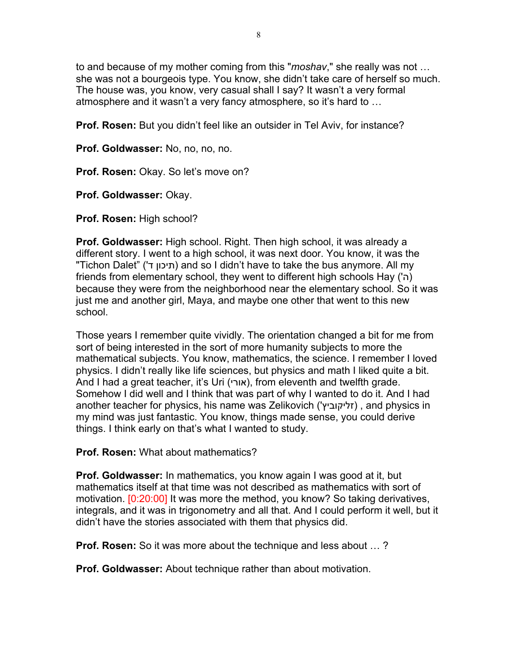to and because of my mother coming from this "*moshav*," she really was not … she was not a bourgeois type. You know, she didn't take care of herself so much. The house was, you know, very casual shall I say? It wasn't a very formal atmosphere and it wasn't a very fancy atmosphere, so it's hard to …

**Prof. Rosen:** But you didn't feel like an outsider in Tel Aviv, for instance?

**Prof. Goldwasser:** No, no, no, no.

**Prof. Rosen: Okay. So let's move on?** 

**Prof. Goldwasser:** Okay.

**Prof. Rosen:** High school?

**Prof. Goldwasser:** High school. Right. Then high school, it was already a different story. I went to a high school, it was next door. You know, it was the "Tichon Dalet" (תיכון ד') and so I didn't have to take the bus anymore. All my friends from elementary school, they went to different high schools Hay  $(5)$ because they were from the neighborhood near the elementary school. So it was just me and another girl, Maya, and maybe one other that went to this new school.

Those years I remember quite vividly. The orientation changed a bit for me from sort of being interested in the sort of more humanity subjects to more the mathematical subjects. You know, mathematics, the science. I remember I loved physics. I didn't really like life sciences, but physics and math I liked quite a bit. And I had a great teacher, it's Uri (אורי), from eleventh and twelfth grade. Somehow I did well and I think that was part of why I wanted to do it. And I had another teacher for physics, his name was Zelikovich (זליקוביץ), and physics in my mind was just fantastic. You know, things made sense, you could derive things. I think early on that's what I wanted to study.

**Prof. Rosen:** What about mathematics?

**Prof. Goldwasser:** In mathematics, you know again I was good at it, but mathematics itself at that time was not described as mathematics with sort of motivation. [0:20:00] It was more the method, you know? So taking derivatives, integrals, and it was in trigonometry and all that. And I could perform it well, but it didn't have the stories associated with them that physics did.

**Prof. Rosen:** So it was more about the technique and less about … ?

**Prof. Goldwasser:** About technique rather than about motivation.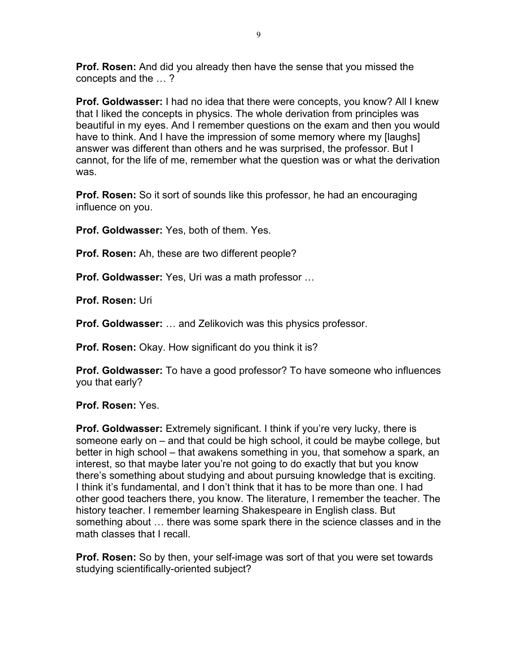**Prof. Rosen:** And did you already then have the sense that you missed the concepts and the … ?

**Prof. Goldwasser:** I had no idea that there were concepts, you know? All I knew that I liked the concepts in physics. The whole derivation from principles was beautiful in my eyes. And I remember questions on the exam and then you would have to think. And I have the impression of some memory where my [laughs] answer was different than others and he was surprised, the professor. But I cannot, for the life of me, remember what the question was or what the derivation was.

**Prof. Rosen:** So it sort of sounds like this professor, he had an encouraging influence on you.

**Prof. Goldwasser:** Yes, both of them. Yes.

**Prof. Rosen:** Ah, these are two different people?

**Prof. Goldwasser:** Yes, Uri was a math professor …

**Prof. Rosen:** Uri

**Prof. Goldwasser:** … and Zelikovich was this physics professor.

**Prof. Rosen:** Okay. How significant do you think it is?

**Prof. Goldwasser:** To have a good professor? To have someone who influences you that early?

**Prof. Rosen:** Yes.

**Prof. Goldwasser:** Extremely significant. I think if you're very lucky, there is someone early on – and that could be high school, it could be maybe college, but better in high school – that awakens something in you, that somehow a spark, an interest, so that maybe later you're not going to do exactly that but you know there's something about studying and about pursuing knowledge that is exciting. I think it's fundamental, and I don't think that it has to be more than one. I had other good teachers there, you know. The literature, I remember the teacher. The history teacher. I remember learning Shakespeare in English class. But something about … there was some spark there in the science classes and in the math classes that I recall.

**Prof. Rosen:** So by then, your self-image was sort of that you were set towards studying scientifically-oriented subject?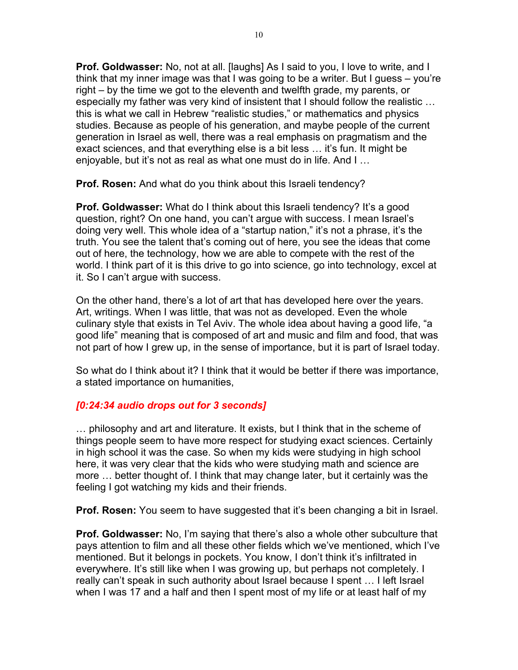**Prof. Goldwasser:** No, not at all. [laughs] As I said to you, I love to write, and I think that my inner image was that I was going to be a writer. But I guess – you're right – by the time we got to the eleventh and twelfth grade, my parents, or especially my father was very kind of insistent that I should follow the realistic … this is what we call in Hebrew "realistic studies," or mathematics and physics studies. Because as people of his generation, and maybe people of the current generation in Israel as well, there was a real emphasis on pragmatism and the exact sciences, and that everything else is a bit less … it's fun. It might be enjoyable, but it's not as real as what one must do in life. And I …

**Prof. Rosen:** And what do you think about this Israeli tendency?

**Prof. Goldwasser:** What do I think about this Israeli tendency? It's a good question, right? On one hand, you can't argue with success. I mean Israel's doing very well. This whole idea of a "startup nation," it's not a phrase, it's the truth. You see the talent that's coming out of here, you see the ideas that come out of here, the technology, how we are able to compete with the rest of the world. I think part of it is this drive to go into science, go into technology, excel at it. So I can't argue with success.

On the other hand, there's a lot of art that has developed here over the years. Art, writings. When I was little, that was not as developed. Even the whole culinary style that exists in Tel Aviv. The whole idea about having a good life, "a good life" meaning that is composed of art and music and film and food, that was not part of how I grew up, in the sense of importance, but it is part of Israel today.

So what do I think about it? I think that it would be better if there was importance, a stated importance on humanities,

## *[0:24:34 audio drops out for 3 seconds]*

… philosophy and art and literature. It exists, but I think that in the scheme of things people seem to have more respect for studying exact sciences. Certainly in high school it was the case. So when my kids were studying in high school here, it was very clear that the kids who were studying math and science are more … better thought of. I think that may change later, but it certainly was the feeling I got watching my kids and their friends.

**Prof. Rosen:** You seem to have suggested that it's been changing a bit in Israel.

**Prof. Goldwasser:** No, I'm saying that there's also a whole other subculture that pays attention to film and all these other fields which we've mentioned, which I've mentioned. But it belongs in pockets. You know, I don't think it's infiltrated in everywhere. It's still like when I was growing up, but perhaps not completely. I really can't speak in such authority about Israel because I spent … I left Israel when I was 17 and a half and then I spent most of my life or at least half of my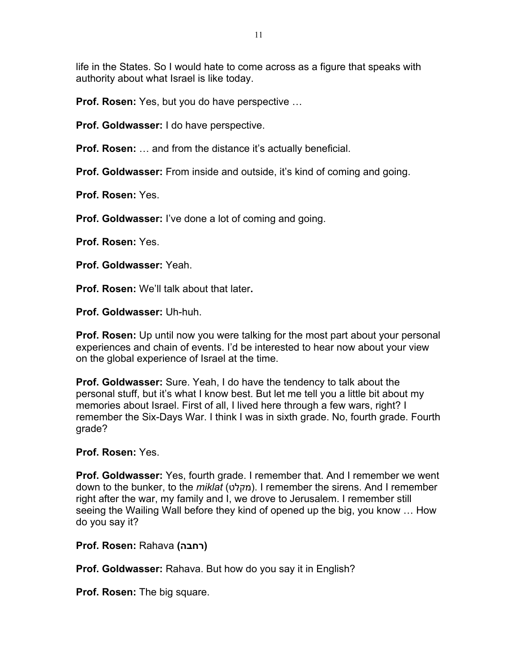life in the States. So I would hate to come across as a figure that speaks with authority about what Israel is like today.

**Prof. Rosen:** Yes, but you do have perspective …

**Prof. Goldwasser:** I do have perspective.

**Prof. Rosen:** ... and from the distance it's actually beneficial.

**Prof. Goldwasser:** From inside and outside, it's kind of coming and going.

**Prof. Rosen:** Yes.

**Prof. Goldwasser:** I've done a lot of coming and going.

**Prof. Rosen:** Yes.

**Prof. Goldwasser:** Yeah.

**Prof. Rosen:** We'll talk about that later**.**

**Prof. Goldwasser:** Uh-huh.

**Prof. Rosen:** Up until now you were talking for the most part about your personal experiences and chain of events. I'd be interested to hear now about your view on the global experience of Israel at the time.

**Prof. Goldwasser:** Sure. Yeah, I do have the tendency to talk about the personal stuff, but it's what I know best. But let me tell you a little bit about my memories about Israel. First of all, I lived here through a few wars, right? I remember the Six-Days War. I think I was in sixth grade. No, fourth grade. Fourth grade?

## **Prof. Rosen:** Yes.

**Prof. Goldwasser:** Yes, fourth grade. I remember that. And I remember we went down to the bunker, to the *miklat* )טלקמ ). I remember the sirens. And I remember right after the war, my family and I, we drove to Jerusalem. I remember still seeing the Wailing Wall before they kind of opened up the big, you know … How do you say it?

**Prof. Rosen:** Rahava **)הבחר )**

**Prof. Goldwasser:** Rahava. But how do you say it in English?

**Prof. Rosen:** The big square.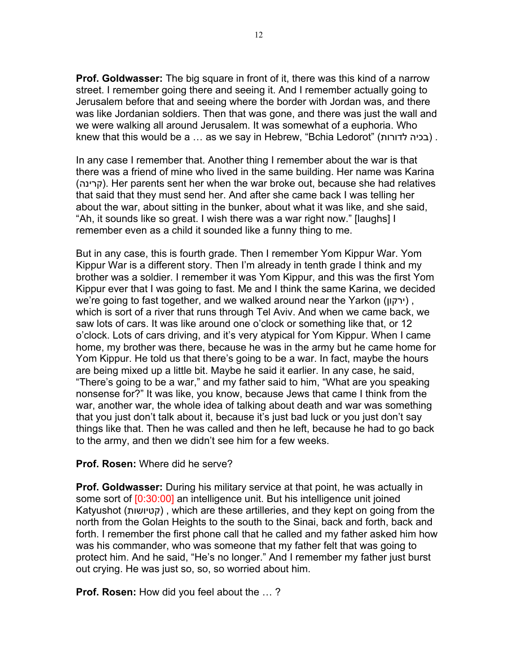**Prof. Goldwasser:** The big square in front of it, there was this kind of a narrow street. I remember going there and seeing it. And I remember actually going to Jerusalem before that and seeing where the border with Jordan was, and there was like Jordanian soldiers. Then that was gone, and there was just the wall and we were walking all around Jerusalem. It was somewhat of a euphoria. Who knew that this would be a ... as we say in Hebrew, "Bchia Ledorot" (בכיה לדורות).

In any case I remember that. Another thing I remember about the war is that there was a friend of mine who lived in the same building. Her name was Karina )הנירק ). Her parents sent her when the war broke out, because she had relatives that said that they must send her. And after she came back I was telling her about the war, about sitting in the bunker, about what it was like, and she said, "Ah, it sounds like so great. I wish there was a war right now." [laughs] I remember even as a child it sounded like a funny thing to me.

But in any case, this is fourth grade. Then I remember Yom Kippur War. Yom Kippur War is a different story. Then I'm already in tenth grade I think and my brother was a soldier. I remember it was Yom Kippur, and this was the first Yom Kippur ever that I was going to fast. Me and I think the same Karina, we decided we're going to fast together, and we walked around near the Yarkon (ירקון), which is sort of a river that runs through Tel Aviv. And when we came back, we saw lots of cars. It was like around one o'clock or something like that, or 12 o'clock. Lots of cars driving, and it's very atypical for Yom Kippur. When I came home, my brother was there, because he was in the army but he came home for Yom Kippur. He told us that there's going to be a war. In fact, maybe the hours are being mixed up a little bit. Maybe he said it earlier. In any case, he said, "There's going to be a war," and my father said to him, "What are you speaking nonsense for?" It was like, you know, because Jews that came I think from the war, another war, the whole idea of talking about death and war was something that you just don't talk about it, because it's just bad luck or you just don't say things like that. Then he was called and then he left, because he had to go back to the army, and then we didn't see him for a few weeks.

#### **Prof. Rosen:** Where did he serve?

**Prof. Goldwasser:** During his military service at that point, he was actually in some sort of  $[0:30:00]$  an intelligence unit. But his intelligence unit joined Katyushot (הטיושות), which are these artilleries, and they kept on going from the north from the Golan Heights to the south to the Sinai, back and forth, back and forth. I remember the first phone call that he called and my father asked him how was his commander, who was someone that my father felt that was going to protect him. And he said, "He's no longer." And I remember my father just burst out crying. He was just so, so, so worried about him.

**Prof. Rosen:** How did you feel about the … ?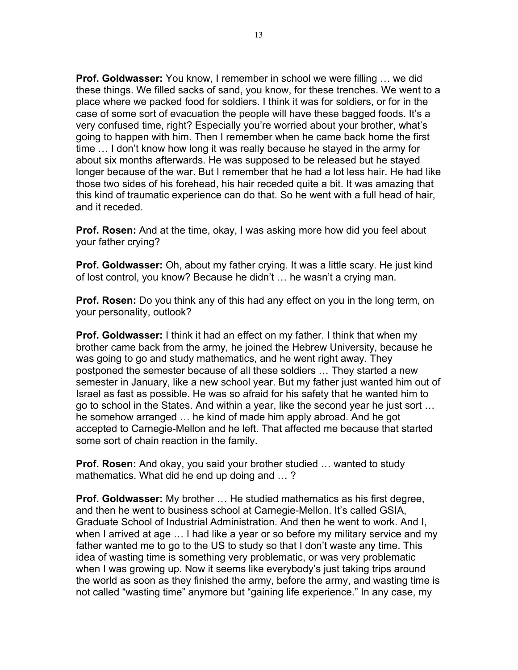**Prof. Goldwasser:** You know, I remember in school we were filling … we did these things. We filled sacks of sand, you know, for these trenches. We went to a place where we packed food for soldiers. I think it was for soldiers, or for in the case of some sort of evacuation the people will have these bagged foods. It's a very confused time, right? Especially you're worried about your brother, what's going to happen with him. Then I remember when he came back home the first time … I don't know how long it was really because he stayed in the army for about six months afterwards. He was supposed to be released but he stayed longer because of the war. But I remember that he had a lot less hair. He had like those two sides of his forehead, his hair receded quite a bit. It was amazing that this kind of traumatic experience can do that. So he went with a full head of hair, and it receded.

**Prof. Rosen:** And at the time, okay, I was asking more how did you feel about your father crying?

**Prof. Goldwasser:** Oh, about my father crying. It was a little scary. He just kind of lost control, you know? Because he didn't … he wasn't a crying man.

**Prof. Rosen:** Do you think any of this had any effect on you in the long term, on your personality, outlook?

**Prof. Goldwasser:** I think it had an effect on my father. I think that when my brother came back from the army, he joined the Hebrew University, because he was going to go and study mathematics, and he went right away. They postponed the semester because of all these soldiers … They started a new semester in January, like a new school year. But my father just wanted him out of Israel as fast as possible. He was so afraid for his safety that he wanted him to go to school in the States. And within a year, like the second year he just sort … he somehow arranged … he kind of made him apply abroad. And he got accepted to Carnegie-Mellon and he left. That affected me because that started some sort of chain reaction in the family.

**Prof. Rosen:** And okay, you said your brother studied … wanted to study mathematics. What did he end up doing and … ?

**Prof. Goldwasser:** My brother … He studied mathematics as his first degree, and then he went to business school at Carnegie-Mellon. It's called GSIA, Graduate School of Industrial Administration. And then he went to work. And I, when I arrived at age … I had like a year or so before my military service and my father wanted me to go to the US to study so that I don't waste any time. This idea of wasting time is something very problematic, or was very problematic when I was growing up. Now it seems like everybody's just taking trips around the world as soon as they finished the army, before the army, and wasting time is not called "wasting time" anymore but "gaining life experience." In any case, my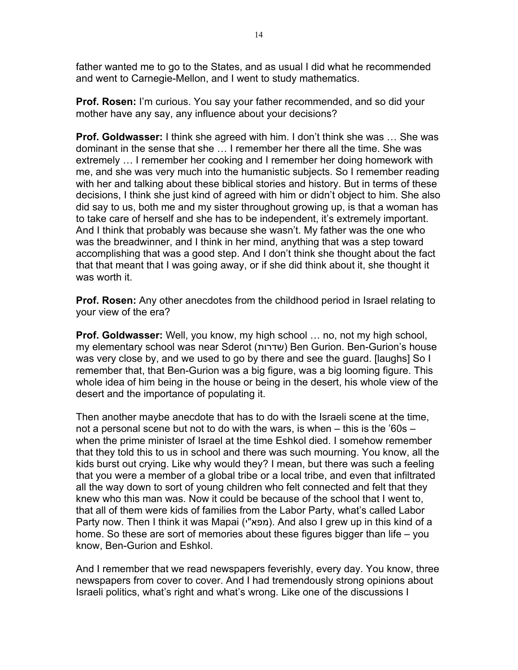father wanted me to go to the States, and as usual I did what he recommended and went to Carnegie-Mellon, and I went to study mathematics.

**Prof. Rosen:** I'm curious. You say your father recommended, and so did your mother have any say, any influence about your decisions?

**Prof. Goldwasser:** I think she agreed with him. I don't think she was … She was dominant in the sense that she … I remember her there all the time. She was extremely … I remember her cooking and I remember her doing homework with me, and she was very much into the humanistic subjects. So I remember reading with her and talking about these biblical stories and history. But in terms of these decisions, I think she just kind of agreed with him or didn't object to him. She also did say to us, both me and my sister throughout growing up, is that a woman has to take care of herself and she has to be independent, it's extremely important. And I think that probably was because she wasn't. My father was the one who was the breadwinner, and I think in her mind, anything that was a step toward accomplishing that was a good step. And I don't think she thought about the fact that that meant that I was going away, or if she did think about it, she thought it was worth it.

**Prof. Rosen:** Any other anecdotes from the childhood period in Israel relating to your view of the era?

**Prof. Goldwasser:** Well, you know, my high school … no, not my high school, my elementary school was near Sderot (שדרות) Ben Gurion. Ben-Gurion's house was very close by, and we used to go by there and see the guard. [laughs] So I remember that, that Ben-Gurion was a big figure, was a big looming figure. This whole idea of him being in the house or being in the desert, his whole view of the desert and the importance of populating it.

Then another maybe anecdote that has to do with the Israeli scene at the time, not a personal scene but not to do with the wars, is when – this is the '60s – when the prime minister of Israel at the time Eshkol died. I somehow remember that they told this to us in school and there was such mourning. You know, all the kids burst out crying. Like why would they? I mean, but there was such a feeling that you were a member of a global tribe or a local tribe, and even that infiltrated all the way down to sort of young children who felt connected and felt that they knew who this man was. Now it could be because of the school that I went to, that all of them were kids of families from the Labor Party, what's called Labor Party now. Then I think it was Mapai (מפא"). And also I grew up in this kind of a home. So these are sort of memories about these figures bigger than life – you know, Ben-Gurion and Eshkol.

And I remember that we read newspapers feverishly, every day. You know, three newspapers from cover to cover. And I had tremendously strong opinions about Israeli politics, what's right and what's wrong. Like one of the discussions I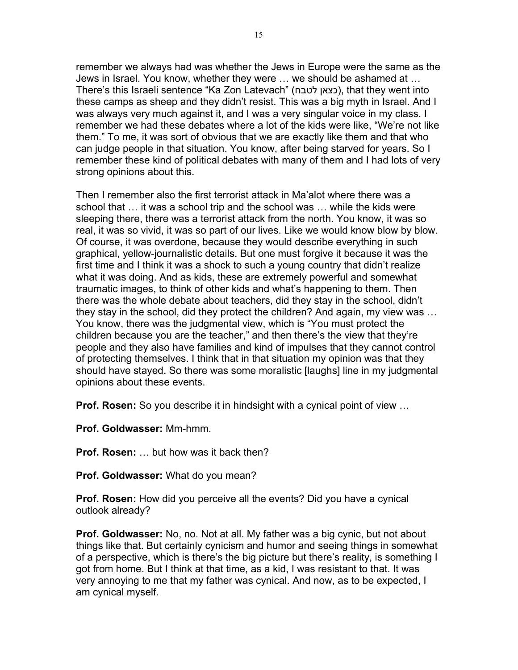remember we always had was whether the Jews in Europe were the same as the Jews in Israel. You know, whether they were … we should be ashamed at … There's this Israeli sentence "Ka Zon Latevach" (כצאן לטבח), that they went into these camps as sheep and they didn't resist. This was a big myth in Israel. And I was always very much against it, and I was a very singular voice in my class. I remember we had these debates where a lot of the kids were like, "We're not like them." To me, it was sort of obvious that we are exactly like them and that who can judge people in that situation. You know, after being starved for years. So I remember these kind of political debates with many of them and I had lots of very strong opinions about this.

Then I remember also the first terrorist attack in Ma'alot where there was a school that … it was a school trip and the school was … while the kids were sleeping there, there was a terrorist attack from the north. You know, it was so real, it was so vivid, it was so part of our lives. Like we would know blow by blow. Of course, it was overdone, because they would describe everything in such graphical, yellow-journalistic details. But one must forgive it because it was the first time and I think it was a shock to such a young country that didn't realize what it was doing. And as kids, these are extremely powerful and somewhat traumatic images, to think of other kids and what's happening to them. Then there was the whole debate about teachers, did they stay in the school, didn't they stay in the school, did they protect the children? And again, my view was … You know, there was the judgmental view, which is "You must protect the children because you are the teacher," and then there's the view that they're people and they also have families and kind of impulses that they cannot control of protecting themselves. I think that in that situation my opinion was that they should have stayed. So there was some moralistic [laughs] line in my judgmental opinions about these events.

**Prof. Rosen:** So you describe it in hindsight with a cynical point of view ...

**Prof. Goldwasser:** Mm-hmm.

**Prof. Rosen:** … but how was it back then?

**Prof. Goldwasser:** What do you mean?

**Prof. Rosen:** How did you perceive all the events? Did you have a cynical outlook already?

**Prof. Goldwasser:** No, no. Not at all. My father was a big cynic, but not about things like that. But certainly cynicism and humor and seeing things in somewhat of a perspective, which is there's the big picture but there's reality, is something I got from home. But I think at that time, as a kid, I was resistant to that. It was very annoying to me that my father was cynical. And now, as to be expected, I am cynical myself.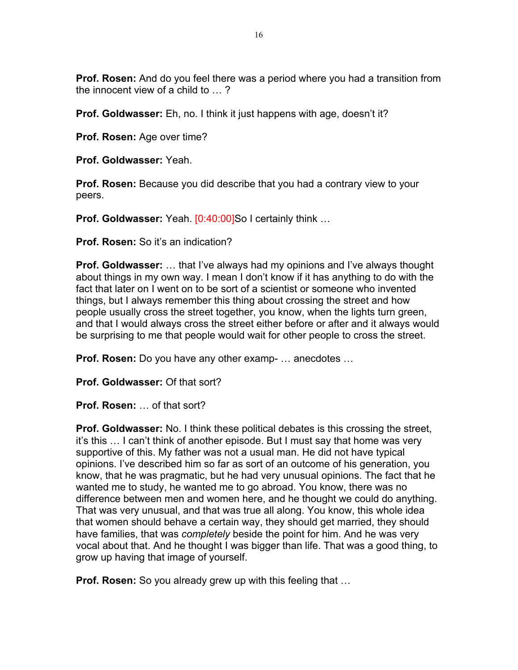**Prof. Rosen:** And do you feel there was a period where you had a transition from the innocent view of a child to … ?

**Prof. Goldwasser:** Eh, no. I think it just happens with age, doesn't it?

**Prof. Rosen:** Age over time?

**Prof. Goldwasser:** Yeah.

**Prof. Rosen:** Because you did describe that you had a contrary view to your peers.

**Prof. Goldwasser:** Yeah. [0:40:00]So I certainly think …

**Prof. Rosen:** So it's an indication?

**Prof. Goldwasser:** … that I've always had my opinions and I've always thought about things in my own way. I mean I don't know if it has anything to do with the fact that later on I went on to be sort of a scientist or someone who invented things, but I always remember this thing about crossing the street and how people usually cross the street together, you know, when the lights turn green, and that I would always cross the street either before or after and it always would be surprising to me that people would wait for other people to cross the street.

**Prof. Rosen:** Do you have any other examp- … anecdotes …

**Prof. Goldwasser:** Of that sort?

**Prof. Rosen:** … of that sort?

**Prof. Goldwasser:** No. I think these political debates is this crossing the street, it's this … I can't think of another episode. But I must say that home was very supportive of this. My father was not a usual man. He did not have typical opinions. I've described him so far as sort of an outcome of his generation, you know, that he was pragmatic, but he had very unusual opinions. The fact that he wanted me to study, he wanted me to go abroad. You know, there was no difference between men and women here, and he thought we could do anything. That was very unusual, and that was true all along. You know, this whole idea that women should behave a certain way, they should get married, they should have families, that was *completely* beside the point for him. And he was very vocal about that. And he thought I was bigger than life. That was a good thing, to grow up having that image of yourself.

**Prof. Rosen:** So you already grew up with this feeling that …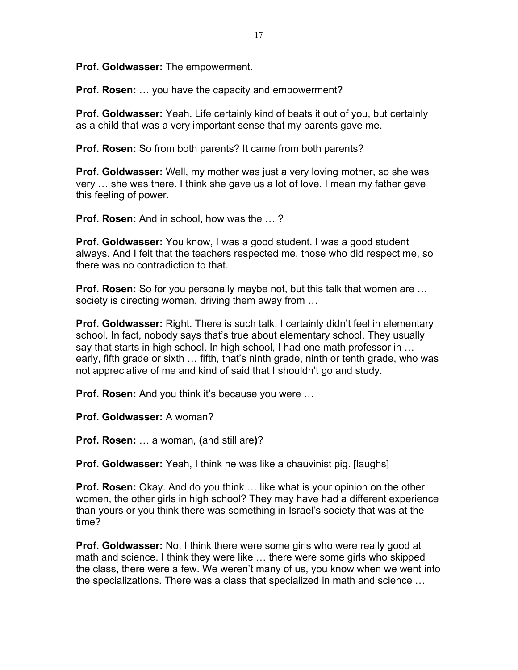**Prof. Goldwasser:** The empowerment.

**Prof. Rosen:** … you have the capacity and empowerment?

**Prof. Goldwasser:** Yeah. Life certainly kind of beats it out of you, but certainly as a child that was a very important sense that my parents gave me.

**Prof. Rosen:** So from both parents? It came from both parents?

**Prof. Goldwasser:** Well, my mother was just a very loving mother, so she was very … she was there. I think she gave us a lot of love. I mean my father gave this feeling of power.

**Prof. Rosen:** And in school, how was the … ?

**Prof. Goldwasser:** You know, I was a good student. I was a good student always. And I felt that the teachers respected me, those who did respect me, so there was no contradiction to that.

**Prof. Rosen:** So for you personally maybe not, but this talk that women are ... society is directing women, driving them away from …

**Prof. Goldwasser:** Right. There is such talk. I certainly didn't feel in elementary school. In fact, nobody says that's true about elementary school. They usually say that starts in high school. In high school, I had one math professor in … early, fifth grade or sixth … fifth, that's ninth grade, ninth or tenth grade, who was not appreciative of me and kind of said that I shouldn't go and study.

**Prof. Rosen:** And you think it's because you were …

**Prof. Goldwasser:** A woman?

**Prof. Rosen:** … a woman, **(**and still are**)**?

**Prof. Goldwasser:** Yeah, I think he was like a chauvinist pig. [laughs]

**Prof. Rosen:** Okay. And do you think … like what is your opinion on the other women, the other girls in high school? They may have had a different experience than yours or you think there was something in Israel's society that was at the time?

**Prof. Goldwasser:** No, I think there were some girls who were really good at math and science. I think they were like … there were some girls who skipped the class, there were a few. We weren't many of us, you know when we went into the specializations. There was a class that specialized in math and science …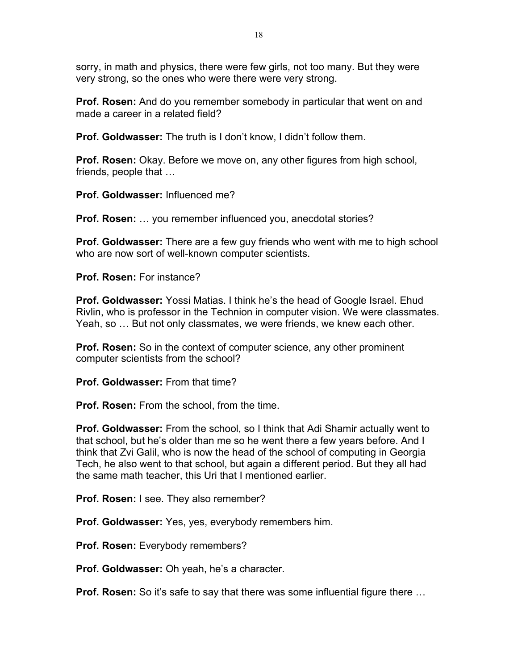sorry, in math and physics, there were few girls, not too many. But they were very strong, so the ones who were there were very strong.

**Prof. Rosen:** And do you remember somebody in particular that went on and made a career in a related field?

**Prof. Goldwasser:** The truth is I don't know, I didn't follow them.

**Prof. Rosen:** Okay. Before we move on, any other figures from high school, friends, people that …

**Prof. Goldwasser:** Influenced me?

**Prof. Rosen:** … you remember influenced you, anecdotal stories?

**Prof. Goldwasser:** There are a few guy friends who went with me to high school who are now sort of well-known computer scientists.

**Prof. Rosen:** For instance?

**Prof. Goldwasser:** Yossi Matias. I think he's the head of Google Israel. Ehud Rivlin, who is professor in the Technion in computer vision. We were classmates. Yeah, so … But not only classmates, we were friends, we knew each other.

**Prof. Rosen:** So in the context of computer science, any other prominent computer scientists from the school?

**Prof. Goldwasser:** From that time?

**Prof. Rosen:** From the school, from the time.

**Prof. Goldwasser:** From the school, so I think that Adi Shamir actually went to that school, but he's older than me so he went there a few years before. And I think that Zvi Galil, who is now the head of the school of computing in Georgia Tech, he also went to that school, but again a different period. But they all had the same math teacher, this Uri that I mentioned earlier.

**Prof. Rosen:** I see. They also remember?

**Prof. Goldwasser:** Yes, yes, everybody remembers him.

**Prof. Rosen:** Everybody remembers?

**Prof. Goldwasser:** Oh yeah, he's a character.

**Prof. Rosen:** So it's safe to say that there was some influential figure there ...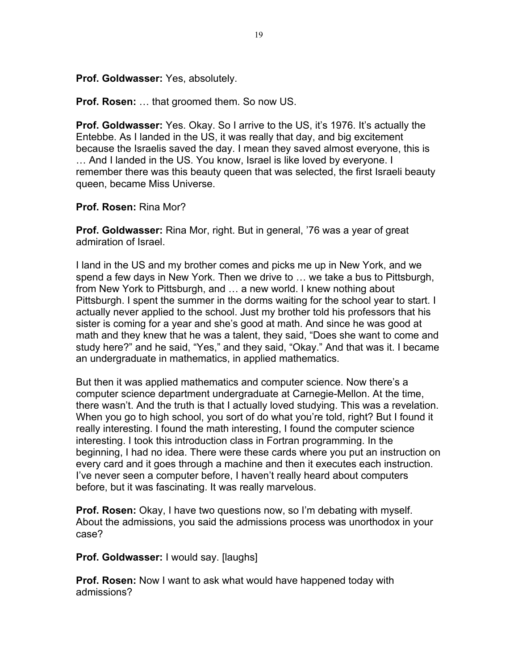**Prof. Goldwasser:** Yes, absolutely.

**Prof. Rosen:** … that groomed them. So now US.

**Prof. Goldwasser:** Yes. Okay. So I arrive to the US, it's 1976. It's actually the Entebbe. As I landed in the US, it was really that day, and big excitement because the Israelis saved the day. I mean they saved almost everyone, this is … And I landed in the US. You know, Israel is like loved by everyone. I remember there was this beauty queen that was selected, the first Israeli beauty queen, became Miss Universe.

**Prof. Rosen:** Rina Mor?

**Prof. Goldwasser:** Rina Mor, right. But in general, '76 was a year of great admiration of Israel.

I land in the US and my brother comes and picks me up in New York, and we spend a few days in New York. Then we drive to … we take a bus to Pittsburgh, from New York to Pittsburgh, and … a new world. I knew nothing about Pittsburgh. I spent the summer in the dorms waiting for the school year to start. I actually never applied to the school. Just my brother told his professors that his sister is coming for a year and she's good at math. And since he was good at math and they knew that he was a talent, they said, "Does she want to come and study here?" and he said, "Yes," and they said, "Okay." And that was it. I became an undergraduate in mathematics, in applied mathematics.

But then it was applied mathematics and computer science. Now there's a computer science department undergraduate at Carnegie-Mellon. At the time, there wasn't. And the truth is that I actually loved studying. This was a revelation. When you go to high school, you sort of do what you're told, right? But I found it really interesting. I found the math interesting, I found the computer science interesting. I took this introduction class in Fortran programming. In the beginning, I had no idea. There were these cards where you put an instruction on every card and it goes through a machine and then it executes each instruction. I've never seen a computer before, I haven't really heard about computers before, but it was fascinating. It was really marvelous.

**Prof. Rosen:** Okay, I have two questions now, so I'm debating with myself. About the admissions, you said the admissions process was unorthodox in your case?

**Prof. Goldwasser:** I would say. [laughs]

**Prof. Rosen:** Now I want to ask what would have happened today with admissions?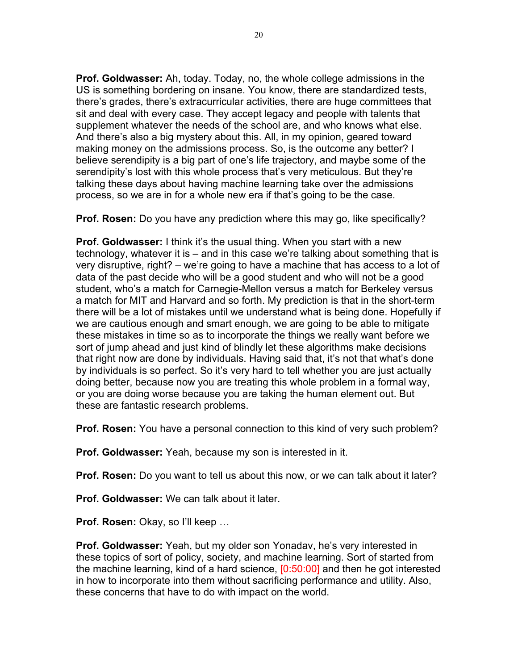**Prof. Goldwasser:** Ah, today. Today, no, the whole college admissions in the US is something bordering on insane. You know, there are standardized tests, there's grades, there's extracurricular activities, there are huge committees that sit and deal with every case. They accept legacy and people with talents that supplement whatever the needs of the school are, and who knows what else. And there's also a big mystery about this. All, in my opinion, geared toward making money on the admissions process. So, is the outcome any better? I believe serendipity is a big part of one's life trajectory, and maybe some of the serendipity's lost with this whole process that's very meticulous. But they're talking these days about having machine learning take over the admissions process, so we are in for a whole new era if that's going to be the case.

**Prof. Rosen:** Do you have any prediction where this may go, like specifically?

**Prof. Goldwasser:** I think it's the usual thing. When you start with a new technology, whatever it is – and in this case we're talking about something that is very disruptive, right? – we're going to have a machine that has access to a lot of data of the past decide who will be a good student and who will not be a good student, who's a match for Carnegie-Mellon versus a match for Berkeley versus a match for MIT and Harvard and so forth. My prediction is that in the short-term there will be a lot of mistakes until we understand what is being done. Hopefully if we are cautious enough and smart enough, we are going to be able to mitigate these mistakes in time so as to incorporate the things we really want before we sort of jump ahead and just kind of blindly let these algorithms make decisions that right now are done by individuals. Having said that, it's not that what's done by individuals is so perfect. So it's very hard to tell whether you are just actually doing better, because now you are treating this whole problem in a formal way, or you are doing worse because you are taking the human element out. But these are fantastic research problems.

**Prof. Rosen:** You have a personal connection to this kind of very such problem?

**Prof. Goldwasser:** Yeah, because my son is interested in it.

**Prof. Rosen:** Do you want to tell us about this now, or we can talk about it later?

**Prof. Goldwasser:** We can talk about it later.

**Prof. Rosen:** Okay, so I'll keep …

**Prof. Goldwasser:** Yeah, but my older son Yonadav, he's very interested in these topics of sort of policy, society, and machine learning. Sort of started from the machine learning, kind of a hard science, [0:50:00] and then he got interested in how to incorporate into them without sacrificing performance and utility. Also, these concerns that have to do with impact on the world.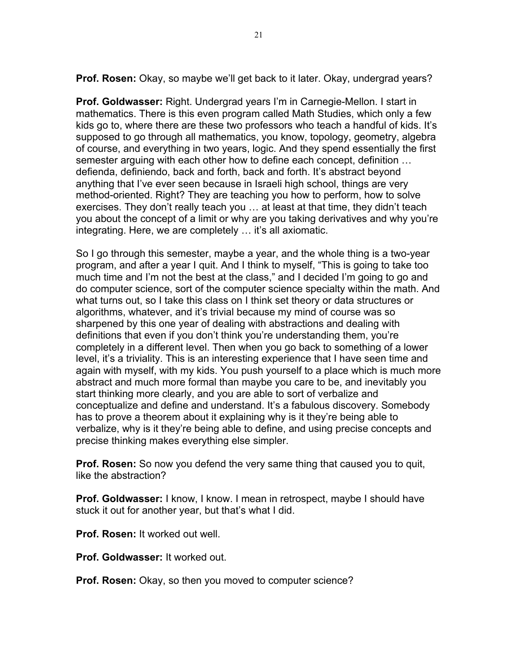**Prof. Rosen:** Okay, so maybe we'll get back to it later. Okay, undergrad years?

**Prof. Goldwasser:** Right. Undergrad years I'm in Carnegie-Mellon. I start in mathematics. There is this even program called Math Studies, which only a few kids go to, where there are these two professors who teach a handful of kids. It's supposed to go through all mathematics, you know, topology, geometry, algebra of course, and everything in two years, logic. And they spend essentially the first semester arguing with each other how to define each concept, definition … defienda, definiendo, back and forth, back and forth. It's abstract beyond anything that I've ever seen because in Israeli high school, things are very method-oriented. Right? They are teaching you how to perform, how to solve exercises. They don't really teach you … at least at that time, they didn't teach you about the concept of a limit or why are you taking derivatives and why you're integrating. Here, we are completely … it's all axiomatic.

So I go through this semester, maybe a year, and the whole thing is a two-year program, and after a year I quit. And I think to myself, "This is going to take too much time and I'm not the best at the class," and I decided I'm going to go and do computer science, sort of the computer science specialty within the math. And what turns out, so I take this class on I think set theory or data structures or algorithms, whatever, and it's trivial because my mind of course was so sharpened by this one year of dealing with abstractions and dealing with definitions that even if you don't think you're understanding them, you're completely in a different level. Then when you go back to something of a lower level, it's a triviality. This is an interesting experience that I have seen time and again with myself, with my kids. You push yourself to a place which is much more abstract and much more formal than maybe you care to be, and inevitably you start thinking more clearly, and you are able to sort of verbalize and conceptualize and define and understand. It's a fabulous discovery. Somebody has to prove a theorem about it explaining why is it they're being able to verbalize, why is it they're being able to define, and using precise concepts and precise thinking makes everything else simpler.

**Prof. Rosen:** So now you defend the very same thing that caused you to quit, like the abstraction?

**Prof. Goldwasser:** I know, I know. I mean in retrospect, maybe I should have stuck it out for another year, but that's what I did.

**Prof. Rosen:** It worked out well.

**Prof. Goldwasser:** It worked out.

**Prof. Rosen:** Okay, so then you moved to computer science?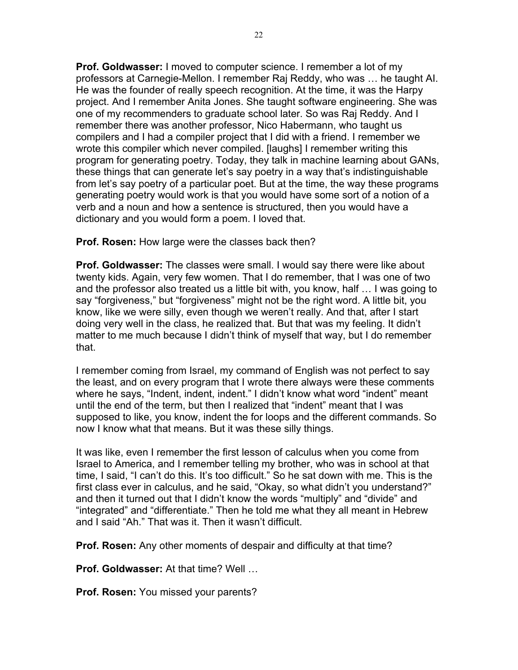**Prof. Goldwasser:** I moved to computer science. I remember a lot of my professors at Carnegie-Mellon. I remember Raj Reddy, who was … he taught AI. He was the founder of really speech recognition. At the time, it was the Harpy project. And I remember Anita Jones. She taught software engineering. She was one of my recommenders to graduate school later. So was Raj Reddy. And I remember there was another professor, Nico Habermann, who taught us compilers and I had a compiler project that I did with a friend. I remember we wrote this compiler which never compiled. [laughs] I remember writing this program for generating poetry. Today, they talk in machine learning about GANs, these things that can generate let's say poetry in a way that's indistinguishable from let's say poetry of a particular poet. But at the time, the way these programs generating poetry would work is that you would have some sort of a notion of a verb and a noun and how a sentence is structured, then you would have a dictionary and you would form a poem. I loved that.

**Prof. Rosen:** How large were the classes back then?

**Prof. Goldwasser:** The classes were small. I would say there were like about twenty kids. Again, very few women. That I do remember, that I was one of two and the professor also treated us a little bit with, you know, half … I was going to say "forgiveness," but "forgiveness" might not be the right word. A little bit, you know, like we were silly, even though we weren't really. And that, after I start doing very well in the class, he realized that. But that was my feeling. It didn't matter to me much because I didn't think of myself that way, but I do remember that.

I remember coming from Israel, my command of English was not perfect to say the least, and on every program that I wrote there always were these comments where he says, "Indent, indent, indent." I didn't know what word "indent" meant until the end of the term, but then I realized that "indent" meant that I was supposed to like, you know, indent the for loops and the different commands. So now I know what that means. But it was these silly things.

It was like, even I remember the first lesson of calculus when you come from Israel to America, and I remember telling my brother, who was in school at that time, I said, "I can't do this. It's too difficult." So he sat down with me. This is the first class ever in calculus, and he said, "Okay, so what didn't you understand?" and then it turned out that I didn't know the words "multiply" and "divide" and "integrated" and "differentiate." Then he told me what they all meant in Hebrew and I said "Ah." That was it. Then it wasn't difficult.

**Prof. Rosen:** Any other moments of despair and difficulty at that time?

**Prof. Goldwasser:** At that time? Well …

**Prof. Rosen:** You missed your parents?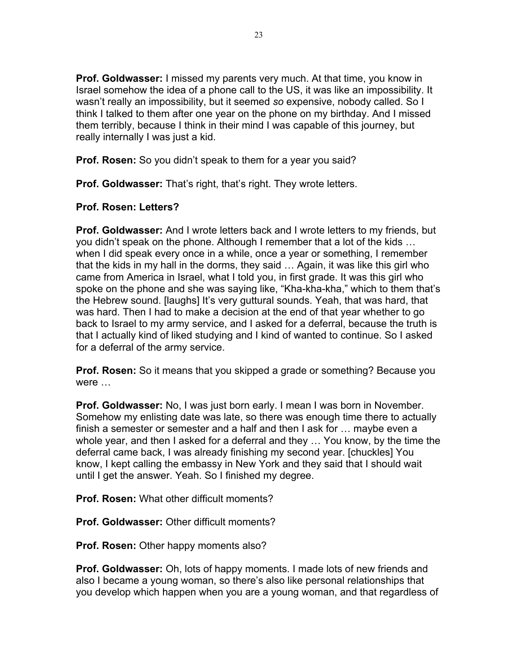**Prof. Goldwasser:** I missed my parents very much. At that time, you know in Israel somehow the idea of a phone call to the US, it was like an impossibility. It wasn't really an impossibility, but it seemed *so* expensive, nobody called. So I think I talked to them after one year on the phone on my birthday. And I missed them terribly, because I think in their mind I was capable of this journey, but really internally I was just a kid.

**Prof. Rosen:** So you didn't speak to them for a year you said?

**Prof. Goldwasser:** That's right, that's right. They wrote letters.

# **Prof. Rosen: Letters?**

**Prof. Goldwasser:** And I wrote letters back and I wrote letters to my friends, but you didn't speak on the phone. Although I remember that a lot of the kids … when I did speak every once in a while, once a year or something, I remember that the kids in my hall in the dorms, they said … Again, it was like this girl who came from America in Israel, what I told you, in first grade. It was this girl who spoke on the phone and she was saying like, "Kha-kha-kha," which to them that's the Hebrew sound. [laughs] It's very guttural sounds. Yeah, that was hard, that was hard. Then I had to make a decision at the end of that year whether to go back to Israel to my army service, and I asked for a deferral, because the truth is that I actually kind of liked studying and I kind of wanted to continue. So I asked for a deferral of the army service.

**Prof. Rosen:** So it means that you skipped a grade or something? Because you were …

**Prof. Goldwasser:** No, I was just born early. I mean I was born in November. Somehow my enlisting date was late, so there was enough time there to actually finish a semester or semester and a half and then I ask for … maybe even a whole year, and then I asked for a deferral and they … You know, by the time the deferral came back, I was already finishing my second year. [chuckles] You know, I kept calling the embassy in New York and they said that I should wait until I get the answer. Yeah. So I finished my degree.

**Prof. Rosen:** What other difficult moments?

**Prof. Goldwasser:** Other difficult moments?

**Prof. Rosen:** Other happy moments also?

**Prof. Goldwasser:** Oh, lots of happy moments. I made lots of new friends and also I became a young woman, so there's also like personal relationships that you develop which happen when you are a young woman, and that regardless of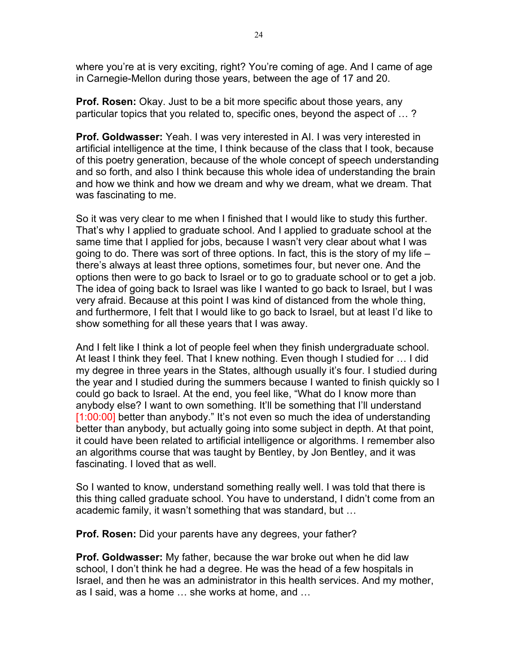where you're at is very exciting, right? You're coming of age. And I came of age in Carnegie-Mellon during those years, between the age of 17 and 20.

**Prof. Rosen:** Okay. Just to be a bit more specific about those years, any particular topics that you related to, specific ones, beyond the aspect of … ?

**Prof. Goldwasser:** Yeah. I was very interested in AI. I was very interested in artificial intelligence at the time, I think because of the class that I took, because of this poetry generation, because of the whole concept of speech understanding and so forth, and also I think because this whole idea of understanding the brain and how we think and how we dream and why we dream, what we dream. That was fascinating to me.

So it was very clear to me when I finished that I would like to study this further. That's why I applied to graduate school. And I applied to graduate school at the same time that I applied for jobs, because I wasn't very clear about what I was going to do. There was sort of three options. In fact, this is the story of my life – there's always at least three options, sometimes four, but never one. And the options then were to go back to Israel or to go to graduate school or to get a job. The idea of going back to Israel was like I wanted to go back to Israel, but I was very afraid. Because at this point I was kind of distanced from the whole thing, and furthermore, I felt that I would like to go back to Israel, but at least I'd like to show something for all these years that I was away.

And I felt like I think a lot of people feel when they finish undergraduate school. At least I think they feel. That I knew nothing. Even though I studied for … I did my degree in three years in the States, although usually it's four. I studied during the year and I studied during the summers because I wanted to finish quickly so I could go back to Israel. At the end, you feel like, "What do I know more than anybody else? I want to own something. It'll be something that I'll understand [1:00:00] better than anybody." It's not even so much the idea of understanding better than anybody, but actually going into some subject in depth. At that point, it could have been related to artificial intelligence or algorithms. I remember also an algorithms course that was taught by Bentley, by Jon Bentley, and it was fascinating. I loved that as well.

So I wanted to know, understand something really well. I was told that there is this thing called graduate school. You have to understand, I didn't come from an academic family, it wasn't something that was standard, but …

**Prof. Rosen:** Did your parents have any degrees, your father?

**Prof. Goldwasser:** My father, because the war broke out when he did law school, I don't think he had a degree. He was the head of a few hospitals in Israel, and then he was an administrator in this health services. And my mother, as I said, was a home … she works at home, and …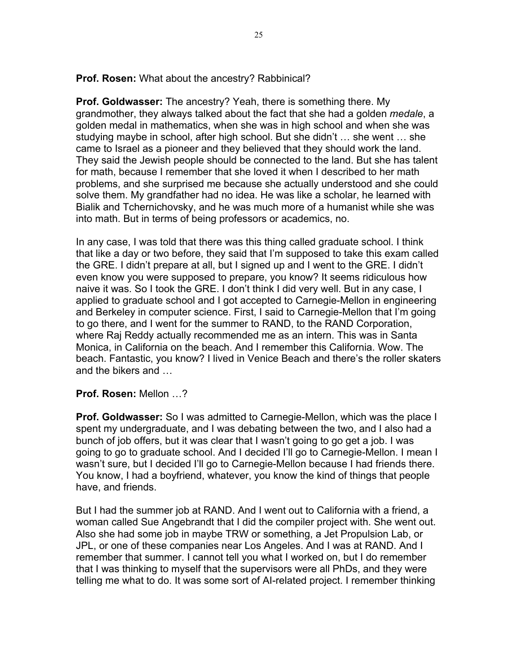**Prof. Rosen:** What about the ancestry? Rabbinical?

**Prof. Goldwasser:** The ancestry? Yeah, there is something there. My grandmother, they always talked about the fact that she had a golden *medale*, a golden medal in mathematics, when she was in high school and when she was studying maybe in school, after high school. But she didn't … she went … she came to Israel as a pioneer and they believed that they should work the land. They said the Jewish people should be connected to the land. But she has talent for math, because I remember that she loved it when I described to her math problems, and she surprised me because she actually understood and she could solve them. My grandfather had no idea. He was like a scholar, he learned with Bialik and Tchernichovsky, and he was much more of a humanist while she was into math. But in terms of being professors or academics, no.

In any case, I was told that there was this thing called graduate school. I think that like a day or two before, they said that I'm supposed to take this exam called the GRE. I didn't prepare at all, but I signed up and I went to the GRE. I didn't even know you were supposed to prepare, you know? It seems ridiculous how naive it was. So I took the GRE. I don't think I did very well. But in any case, I applied to graduate school and I got accepted to Carnegie-Mellon in engineering and Berkeley in computer science. First, I said to Carnegie-Mellon that I'm going to go there, and I went for the summer to RAND, to the RAND Corporation, where Raj Reddy actually recommended me as an intern. This was in Santa Monica, in California on the beach. And I remember this California. Wow. The beach. Fantastic, you know? I lived in Venice Beach and there's the roller skaters and the bikers and …

**Prof. Rosen:** Mellon …?

**Prof. Goldwasser:** So I was admitted to Carnegie-Mellon, which was the place I spent my undergraduate, and I was debating between the two, and I also had a bunch of job offers, but it was clear that I wasn't going to go get a job. I was going to go to graduate school. And I decided I'll go to Carnegie-Mellon. I mean I wasn't sure, but I decided I'll go to Carnegie-Mellon because I had friends there. You know, I had a boyfriend, whatever, you know the kind of things that people have, and friends.

But I had the summer job at RAND. And I went out to California with a friend, a woman called Sue Angebrandt that I did the compiler project with. She went out. Also she had some job in maybe TRW or something, a Jet Propulsion Lab, or JPL, or one of these companies near Los Angeles. And I was at RAND. And I remember that summer. I cannot tell you what I worked on, but I do remember that I was thinking to myself that the supervisors were all PhDs, and they were telling me what to do. It was some sort of AI-related project. I remember thinking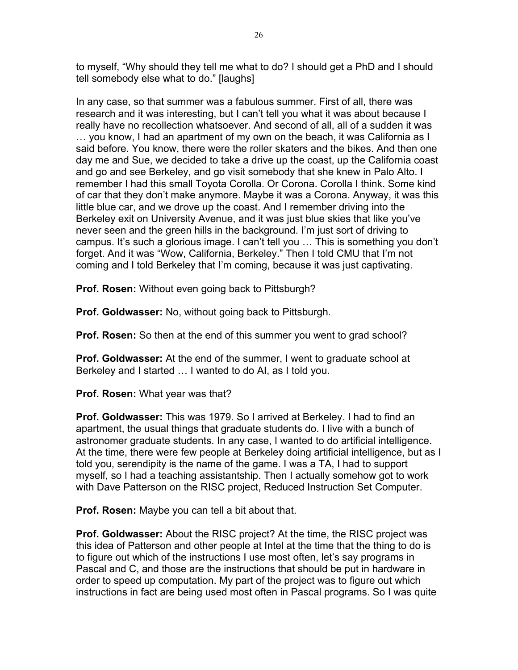to myself, "Why should they tell me what to do? I should get a PhD and I should tell somebody else what to do." [laughs]

In any case, so that summer was a fabulous summer. First of all, there was research and it was interesting, but I can't tell you what it was about because I really have no recollection whatsoever. And second of all, all of a sudden it was … you know, I had an apartment of my own on the beach, it was California as I said before. You know, there were the roller skaters and the bikes. And then one day me and Sue, we decided to take a drive up the coast, up the California coast and go and see Berkeley, and go visit somebody that she knew in Palo Alto. I remember I had this small Toyota Corolla. Or Corona. Corolla I think. Some kind of car that they don't make anymore. Maybe it was a Corona. Anyway, it was this little blue car, and we drove up the coast. And I remember driving into the Berkeley exit on University Avenue, and it was just blue skies that like you've never seen and the green hills in the background. I'm just sort of driving to campus. It's such a glorious image. I can't tell you … This is something you don't forget. And it was "Wow, California, Berkeley." Then I told CMU that I'm not coming and I told Berkeley that I'm coming, because it was just captivating.

**Prof. Rosen:** Without even going back to Pittsburgh?

**Prof. Goldwasser:** No, without going back to Pittsburgh.

**Prof. Rosen:** So then at the end of this summer you went to grad school?

**Prof. Goldwasser:** At the end of the summer, I went to graduate school at Berkeley and I started … I wanted to do AI, as I told you.

**Prof. Rosen:** What year was that?

**Prof. Goldwasser:** This was 1979. So I arrived at Berkeley. I had to find an apartment, the usual things that graduate students do. I live with a bunch of astronomer graduate students. In any case, I wanted to do artificial intelligence. At the time, there were few people at Berkeley doing artificial intelligence, but as I told you, serendipity is the name of the game. I was a TA, I had to support myself, so I had a teaching assistantship. Then I actually somehow got to work with Dave Patterson on the RISC project, Reduced Instruction Set Computer.

**Prof. Rosen:** Maybe you can tell a bit about that.

**Prof. Goldwasser:** About the RISC project? At the time, the RISC project was this idea of Patterson and other people at Intel at the time that the thing to do is to figure out which of the instructions I use most often, let's say programs in Pascal and C, and those are the instructions that should be put in hardware in order to speed up computation. My part of the project was to figure out which instructions in fact are being used most often in Pascal programs. So I was quite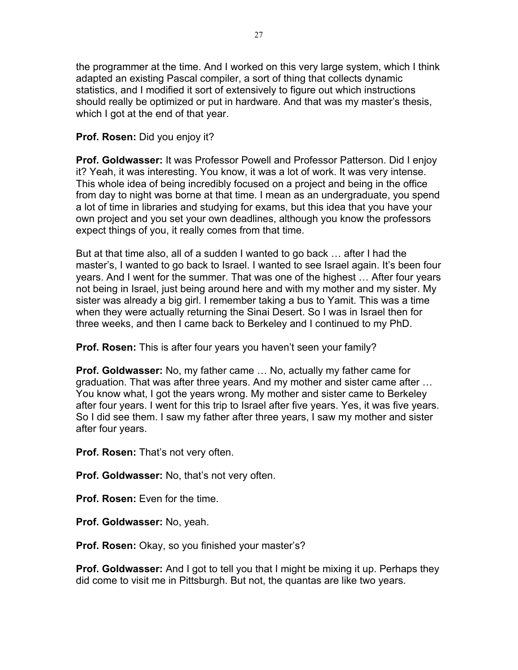the programmer at the time. And I worked on this very large system, which I think adapted an existing Pascal compiler, a sort of thing that collects dynamic statistics, and I modified it sort of extensively to figure out which instructions should really be optimized or put in hardware. And that was my master's thesis, which I got at the end of that year.

# **Prof. Rosen:** Did you enjoy it?

**Prof. Goldwasser:** It was Professor Powell and Professor Patterson. Did I enjoy it? Yeah, it was interesting. You know, it was a lot of work. It was very intense. This whole idea of being incredibly focused on a project and being in the office from day to night was borne at that time. I mean as an undergraduate, you spend a lot of time in libraries and studying for exams, but this idea that you have your own project and you set your own deadlines, although you know the professors expect things of you, it really comes from that time.

But at that time also, all of a sudden I wanted to go back … after I had the master's, I wanted to go back to Israel. I wanted to see Israel again. It's been four years. And I went for the summer. That was one of the highest … After four years not being in Israel, just being around here and with my mother and my sister. My sister was already a big girl. I remember taking a bus to Yamit. This was a time when they were actually returning the Sinai Desert. So I was in Israel then for three weeks, and then I came back to Berkeley and I continued to my PhD.

**Prof. Rosen:** This is after four years you haven't seen your family?

**Prof. Goldwasser:** No, my father came … No, actually my father came for graduation. That was after three years. And my mother and sister came after … You know what, I got the years wrong. My mother and sister came to Berkeley after four years. I went for this trip to Israel after five years. Yes, it was five years. So I did see them. I saw my father after three years, I saw my mother and sister after four years.

**Prof. Rosen: That's not very often.** 

**Prof. Goldwasser:** No, that's not very often.

**Prof. Rosen:** Even for the time.

**Prof. Goldwasser:** No, yeah.

**Prof. Rosen:** Okay, so you finished your master's?

**Prof. Goldwasser:** And I got to tell you that I might be mixing it up. Perhaps they did come to visit me in Pittsburgh. But not, the quantas are like two years.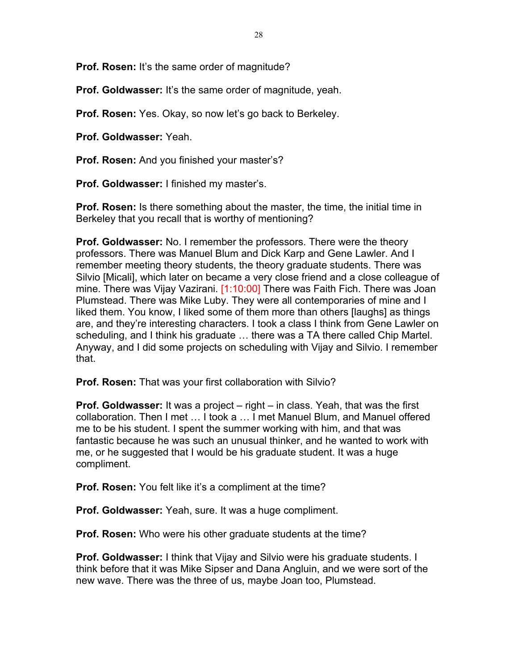**Prof. Rosen:** It's the same order of magnitude?

**Prof. Goldwasser:** It's the same order of magnitude, yeah.

**Prof. Rosen:** Yes. Okay, so now let's go back to Berkeley.

**Prof. Goldwasser:** Yeah.

**Prof. Rosen:** And you finished your master's?

**Prof. Goldwasser:** I finished my master's.

**Prof. Rosen:** Is there something about the master, the time, the initial time in Berkeley that you recall that is worthy of mentioning?

**Prof. Goldwasser:** No. I remember the professors. There were the theory professors. There was Manuel Blum and Dick Karp and Gene Lawler. And I remember meeting theory students, the theory graduate students. There was Silvio [Micali], which later on became a very close friend and a close colleague of mine. There was Vijay Vazirani. [1:10:00] There was Faith Fich. There was Joan Plumstead. There was Mike Luby. They were all contemporaries of mine and I liked them. You know, I liked some of them more than others [laughs] as things are, and they're interesting characters. I took a class I think from Gene Lawler on scheduling, and I think his graduate … there was a TA there called Chip Martel. Anyway, and I did some projects on scheduling with Vijay and Silvio. I remember that.

**Prof. Rosen:** That was your first collaboration with Silvio?

**Prof. Goldwasser:** It was a project – right – in class. Yeah, that was the first collaboration. Then I met … I took a … I met Manuel Blum, and Manuel offered me to be his student. I spent the summer working with him, and that was fantastic because he was such an unusual thinker, and he wanted to work with me, or he suggested that I would be his graduate student. It was a huge compliment.

**Prof. Rosen:** You felt like it's a compliment at the time?

**Prof. Goldwasser:** Yeah, sure. It was a huge compliment.

**Prof. Rosen:** Who were his other graduate students at the time?

**Prof. Goldwasser:** I think that Vijay and Silvio were his graduate students. I think before that it was Mike Sipser and Dana Angluin, and we were sort of the new wave. There was the three of us, maybe Joan too, Plumstead.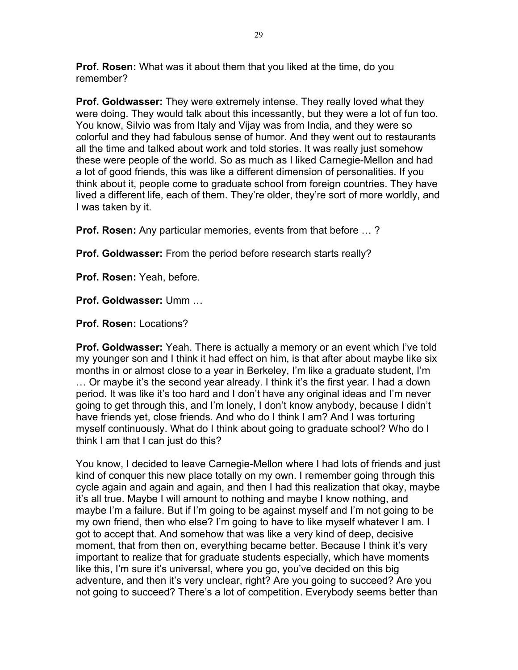**Prof. Rosen:** What was it about them that you liked at the time, do you remember?

**Prof. Goldwasser:** They were extremely intense. They really loved what they were doing. They would talk about this incessantly, but they were a lot of fun too. You know, Silvio was from Italy and Vijay was from India, and they were so colorful and they had fabulous sense of humor. And they went out to restaurants all the time and talked about work and told stories. It was really just somehow these were people of the world. So as much as I liked Carnegie-Mellon and had a lot of good friends, this was like a different dimension of personalities. If you think about it, people come to graduate school from foreign countries. They have lived a different life, each of them. They're older, they're sort of more worldly, and I was taken by it.

**Prof. Rosen:** Any particular memories, events from that before … ?

**Prof. Goldwasser:** From the period before research starts really?

**Prof. Rosen:** Yeah, before.

**Prof. Goldwasser:** Umm …

**Prof. Rosen:** Locations?

**Prof. Goldwasser:** Yeah. There is actually a memory or an event which I've told my younger son and I think it had effect on him, is that after about maybe like six months in or almost close to a year in Berkeley, I'm like a graduate student, I'm … Or maybe it's the second year already. I think it's the first year. I had a down period. It was like it's too hard and I don't have any original ideas and I'm never going to get through this, and I'm lonely, I don't know anybody, because I didn't have friends yet, close friends. And who do I think I am? And I was torturing myself continuously. What do I think about going to graduate school? Who do I think I am that I can just do this?

You know, I decided to leave Carnegie-Mellon where I had lots of friends and just kind of conquer this new place totally on my own. I remember going through this cycle again and again and again, and then I had this realization that okay, maybe it's all true. Maybe I will amount to nothing and maybe I know nothing, and maybe I'm a failure. But if I'm going to be against myself and I'm not going to be my own friend, then who else? I'm going to have to like myself whatever I am. I got to accept that. And somehow that was like a very kind of deep, decisive moment, that from then on, everything became better. Because I think it's very important to realize that for graduate students especially, which have moments like this, I'm sure it's universal, where you go, you've decided on this big adventure, and then it's very unclear, right? Are you going to succeed? Are you not going to succeed? There's a lot of competition. Everybody seems better than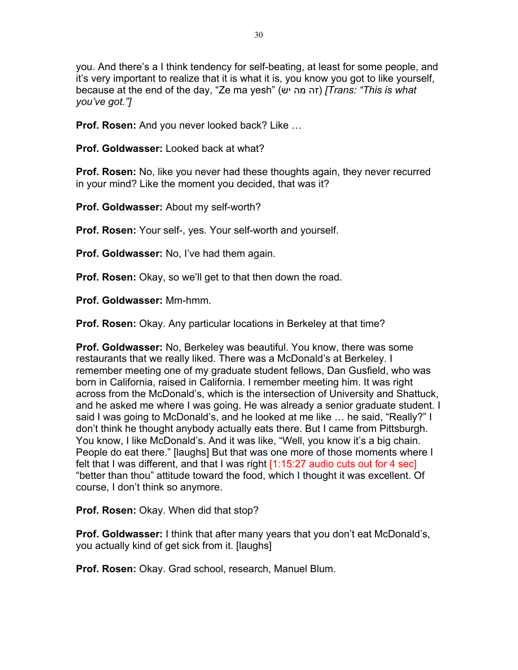you. And there's a I think tendency for self-beating, at least for some people, and it's very important to realize that it is what it is, you know you got to like yourself, because at the end of the day, "Ze ma yesh" )הז המ שי*]* )*Trans: "This is what you've got."]*

**Prof. Rosen:** And you never looked back? Like …

**Prof. Goldwasser:** Looked back at what?

**Prof. Rosen:** No, like you never had these thoughts again, they never recurred in your mind? Like the moment you decided, that was it?

**Prof. Goldwasser:** About my self-worth?

**Prof. Rosen:** Your self-, yes. Your self-worth and yourself.

**Prof. Goldwasser:** No, I've had them again.

**Prof. Rosen:** Okay, so we'll get to that then down the road.

**Prof. Goldwasser:** Mm-hmm.

**Prof. Rosen:** Okay. Any particular locations in Berkeley at that time?

**Prof. Goldwasser:** No, Berkeley was beautiful. You know, there was some restaurants that we really liked. There was a McDonald's at Berkeley. I remember meeting one of my graduate student fellows, Dan Gusfield, who was born in California, raised in California. I remember meeting him. It was right across from the McDonald's, which is the intersection of University and Shattuck, and he asked me where I was going. He was already a senior graduate student. I said I was going to McDonald's, and he looked at me like … he said, "Really?" I don't think he thought anybody actually eats there. But I came from Pittsburgh. You know, I like McDonald's. And it was like, "Well, you know it's a big chain. People do eat there." [laughs] But that was one more of those moments where I felt that I was different, and that I was right  $[1:15:27]$  audio cuts out for 4 sec] "better than thou" attitude toward the food, which I thought it was excellent. Of course, I don't think so anymore.

**Prof. Rosen:** Okay. When did that stop?

**Prof. Goldwasser:** I think that after many years that you don't eat McDonald's, you actually kind of get sick from it. [laughs]

**Prof. Rosen:** Okay. Grad school, research, Manuel Blum.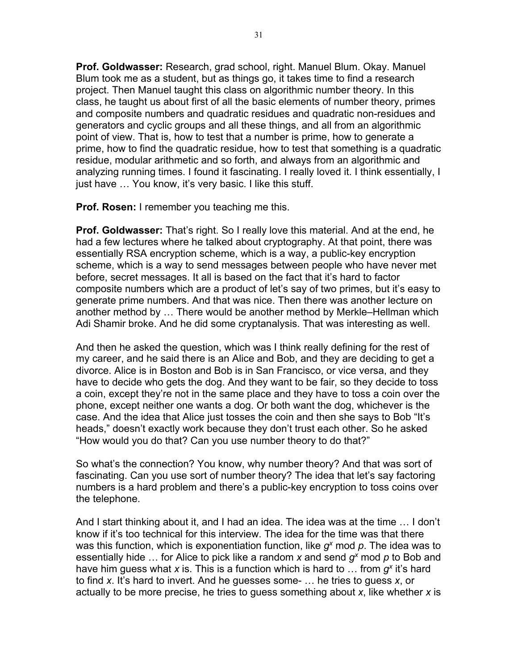**Prof. Goldwasser:** Research, grad school, right. Manuel Blum. Okay. Manuel Blum took me as a student, but as things go, it takes time to find a research project. Then Manuel taught this class on algorithmic number theory. In this class, he taught us about first of all the basic elements of number theory, primes and composite numbers and quadratic residues and quadratic non-residues and generators and cyclic groups and all these things, and all from an algorithmic point of view. That is, how to test that a number is prime, how to generate a prime, how to find the quadratic residue, how to test that something is a quadratic residue, modular arithmetic and so forth, and always from an algorithmic and analyzing running times. I found it fascinating. I really loved it. I think essentially, I just have … You know, it's very basic. I like this stuff.

**Prof. Rosen:** I remember you teaching me this.

**Prof. Goldwasser:** That's right. So I really love this material. And at the end, he had a few lectures where he talked about cryptography. At that point, there was essentially RSA encryption scheme, which is a way, a public-key encryption scheme, which is a way to send messages between people who have never met before, secret messages. It all is based on the fact that it's hard to factor composite numbers which are a product of let's say of two primes, but it's easy to generate prime numbers. And that was nice. Then there was another lecture on another method by … There would be another method by Merkle–Hellman which Adi Shamir broke. And he did some cryptanalysis. That was interesting as well.

And then he asked the question, which was I think really defining for the rest of my career, and he said there is an Alice and Bob, and they are deciding to get a divorce. Alice is in Boston and Bob is in San Francisco, or vice versa, and they have to decide who gets the dog. And they want to be fair, so they decide to toss a coin, except they're not in the same place and they have to toss a coin over the phone, except neither one wants a dog. Or both want the dog, whichever is the case. And the idea that Alice just tosses the coin and then she says to Bob "It's heads," doesn't exactly work because they don't trust each other. So he asked "How would you do that? Can you use number theory to do that?"

So what's the connection? You know, why number theory? And that was sort of fascinating. Can you use sort of number theory? The idea that let's say factoring numbers is a hard problem and there's a public-key encryption to toss coins over the telephone.

And I start thinking about it, and I had an idea. The idea was at the time … I don't know if it's too technical for this interview. The idea for the time was that there was this function, which is exponentiation function, like *gx* mod *p*. The idea was to essentially hide … for Alice to pick like a random *x* and send *gx* mod *p* to Bob and have him guess what x is. This is a function which is hard to ... from  $g^x$  it's hard to find *x*. It's hard to invert. And he guesses some- … he tries to guess *x*, or actually to be more precise, he tries to guess something about *x*, like whether *x* is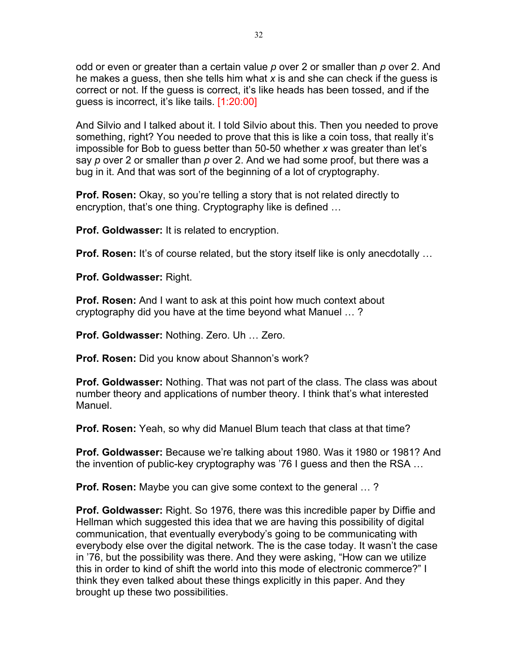odd or even or greater than a certain value *p* over 2 or smaller than *p* over 2. And he makes a guess, then she tells him what *x* is and she can check if the guess is correct or not. If the guess is correct, it's like heads has been tossed, and if the guess is incorrect, it's like tails. [1:20:00]

And Silvio and I talked about it. I told Silvio about this. Then you needed to prove something, right? You needed to prove that this is like a coin toss, that really it's impossible for Bob to guess better than 50-50 whether *x* was greater than let's say *p* over 2 or smaller than *p* over 2. And we had some proof, but there was a bug in it. And that was sort of the beginning of a lot of cryptography.

**Prof. Rosen:** Okay, so you're telling a story that is not related directly to encryption, that's one thing. Cryptography like is defined …

**Prof. Goldwasser:** It is related to encryption.

**Prof. Rosen:** It's of course related, but the story itself like is only anecdotally ...

**Prof. Goldwasser:** Right.

**Prof. Rosen:** And I want to ask at this point how much context about cryptography did you have at the time beyond what Manuel … ?

**Prof. Goldwasser:** Nothing. Zero. Uh … Zero.

**Prof. Rosen:** Did you know about Shannon's work?

**Prof. Goldwasser:** Nothing. That was not part of the class. The class was about number theory and applications of number theory. I think that's what interested Manuel.

**Prof. Rosen:** Yeah, so why did Manuel Blum teach that class at that time?

**Prof. Goldwasser:** Because we're talking about 1980. Was it 1980 or 1981? And the invention of public-key cryptography was '76 I guess and then the RSA …

**Prof. Rosen:** Maybe you can give some context to the general … ?

**Prof. Goldwasser:** Right. So 1976, there was this incredible paper by Diffie and Hellman which suggested this idea that we are having this possibility of digital communication, that eventually everybody's going to be communicating with everybody else over the digital network. The is the case today. It wasn't the case in '76, but the possibility was there. And they were asking, "How can we utilize this in order to kind of shift the world into this mode of electronic commerce?" I think they even talked about these things explicitly in this paper. And they brought up these two possibilities.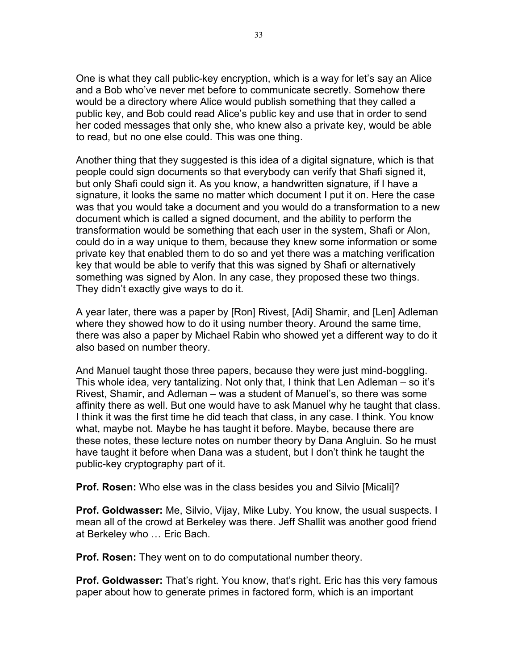One is what they call public-key encryption, which is a way for let's say an Alice and a Bob who've never met before to communicate secretly. Somehow there would be a directory where Alice would publish something that they called a public key, and Bob could read Alice's public key and use that in order to send her coded messages that only she, who knew also a private key, would be able to read, but no one else could. This was one thing.

Another thing that they suggested is this idea of a digital signature, which is that people could sign documents so that everybody can verify that Shafi signed it, but only Shafi could sign it. As you know, a handwritten signature, if I have a signature, it looks the same no matter which document I put it on. Here the case was that you would take a document and you would do a transformation to a new document which is called a signed document, and the ability to perform the transformation would be something that each user in the system, Shafi or Alon, could do in a way unique to them, because they knew some information or some private key that enabled them to do so and yet there was a matching verification key that would be able to verify that this was signed by Shafi or alternatively something was signed by Alon. In any case, they proposed these two things. They didn't exactly give ways to do it.

A year later, there was a paper by [Ron] Rivest, [Adi] Shamir, and [Len] Adleman where they showed how to do it using number theory. Around the same time, there was also a paper by Michael Rabin who showed yet a different way to do it also based on number theory.

And Manuel taught those three papers, because they were just mind-boggling. This whole idea, very tantalizing. Not only that, I think that Len Adleman – so it's Rivest, Shamir, and Adleman – was a student of Manuel's, so there was some affinity there as well. But one would have to ask Manuel why he taught that class. I think it was the first time he did teach that class, in any case. I think. You know what, maybe not. Maybe he has taught it before. Maybe, because there are these notes, these lecture notes on number theory by Dana Angluin. So he must have taught it before when Dana was a student, but I don't think he taught the public-key cryptography part of it.

**Prof. Rosen:** Who else was in the class besides you and Silvio [Micali]?

**Prof. Goldwasser:** Me, Silvio, Vijay, Mike Luby. You know, the usual suspects. I mean all of the crowd at Berkeley was there. Jeff Shallit was another good friend at Berkeley who … Eric Bach.

**Prof. Rosen:** They went on to do computational number theory.

**Prof. Goldwasser:** That's right. You know, that's right. Eric has this very famous paper about how to generate primes in factored form, which is an important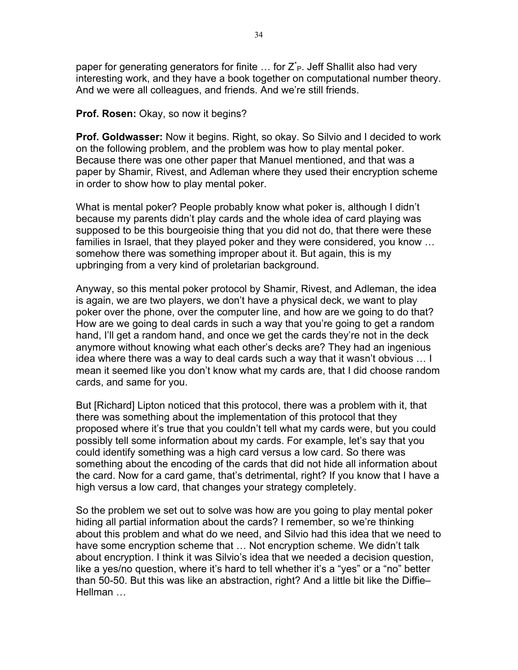paper for generating generators for finite  $\ldots$  for  $Z^*_{P}$ . Jeff Shallit also had very interesting work, and they have a book together on computational number theory. And we were all colleagues, and friends. And we're still friends.

### **Prof. Rosen:** Okay, so now it begins?

**Prof. Goldwasser:** Now it begins. Right, so okay. So Silvio and I decided to work on the following problem, and the problem was how to play mental poker. Because there was one other paper that Manuel mentioned, and that was a paper by Shamir, Rivest, and Adleman where they used their encryption scheme in order to show how to play mental poker.

What is mental poker? People probably know what poker is, although I didn't because my parents didn't play cards and the whole idea of card playing was supposed to be this bourgeoisie thing that you did not do, that there were these families in Israel, that they played poker and they were considered, you know … somehow there was something improper about it. But again, this is my upbringing from a very kind of proletarian background.

Anyway, so this mental poker protocol by Shamir, Rivest, and Adleman, the idea is again, we are two players, we don't have a physical deck, we want to play poker over the phone, over the computer line, and how are we going to do that? How are we going to deal cards in such a way that you're going to get a random hand, I'll get a random hand, and once we get the cards they're not in the deck anymore without knowing what each other's decks are? They had an ingenious idea where there was a way to deal cards such a way that it wasn't obvious … I mean it seemed like you don't know what my cards are, that I did choose random cards, and same for you.

But [Richard] Lipton noticed that this protocol, there was a problem with it, that there was something about the implementation of this protocol that they proposed where it's true that you couldn't tell what my cards were, but you could possibly tell some information about my cards. For example, let's say that you could identify something was a high card versus a low card. So there was something about the encoding of the cards that did not hide all information about the card. Now for a card game, that's detrimental, right? If you know that I have a high versus a low card, that changes your strategy completely.

So the problem we set out to solve was how are you going to play mental poker hiding all partial information about the cards? I remember, so we're thinking about this problem and what do we need, and Silvio had this idea that we need to have some encryption scheme that … Not encryption scheme. We didn't talk about encryption. I think it was Silvio's idea that we needed a decision question, like a yes/no question, where it's hard to tell whether it's a "yes" or a "no" better than 50-50. But this was like an abstraction, right? And a little bit like the Diffie– Hellman …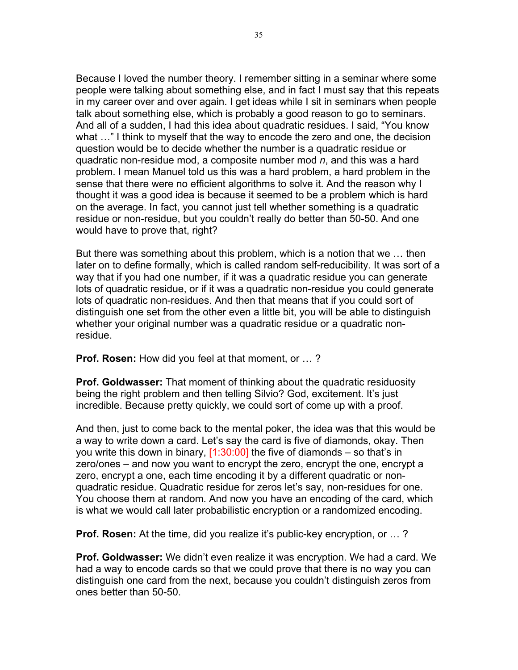Because I loved the number theory. I remember sitting in a seminar where some people were talking about something else, and in fact I must say that this repeats in my career over and over again. I get ideas while I sit in seminars when people talk about something else, which is probably a good reason to go to seminars. And all of a sudden, I had this idea about quadratic residues. I said, "You know what …" I think to myself that the way to encode the zero and one, the decision question would be to decide whether the number is a quadratic residue or quadratic non-residue mod, a composite number mod *n*, and this was a hard problem. I mean Manuel told us this was a hard problem, a hard problem in the sense that there were no efficient algorithms to solve it. And the reason why I thought it was a good idea is because it seemed to be a problem which is hard on the average. In fact, you cannot just tell whether something is a quadratic residue or non-residue, but you couldn't really do better than 50-50. And one would have to prove that, right?

But there was something about this problem, which is a notion that we … then later on to define formally, which is called random self-reducibility. It was sort of a way that if you had one number, if it was a quadratic residue you can generate lots of quadratic residue, or if it was a quadratic non-residue you could generate lots of quadratic non-residues. And then that means that if you could sort of distinguish one set from the other even a little bit, you will be able to distinguish whether your original number was a quadratic residue or a quadratic nonresidue.

**Prof. Rosen:** How did you feel at that moment, or … ?

**Prof. Goldwasser:** That moment of thinking about the quadratic residuosity being the right problem and then telling Silvio? God, excitement. It's just incredible. Because pretty quickly, we could sort of come up with a proof.

And then, just to come back to the mental poker, the idea was that this would be a way to write down a card. Let's say the card is five of diamonds, okay. Then you write this down in binary,  $[1:30:00]$  the five of diamonds – so that's in zero/ones – and now you want to encrypt the zero, encrypt the one, encrypt a zero, encrypt a one, each time encoding it by a different quadratic or nonquadratic residue. Quadratic residue for zeros let's say, non-residues for one. You choose them at random. And now you have an encoding of the card, which is what we would call later probabilistic encryption or a randomized encoding.

**Prof. Rosen:** At the time, did you realize it's public-key encryption, or … ?

**Prof. Goldwasser:** We didn't even realize it was encryption. We had a card. We had a way to encode cards so that we could prove that there is no way you can distinguish one card from the next, because you couldn't distinguish zeros from ones better than 50-50.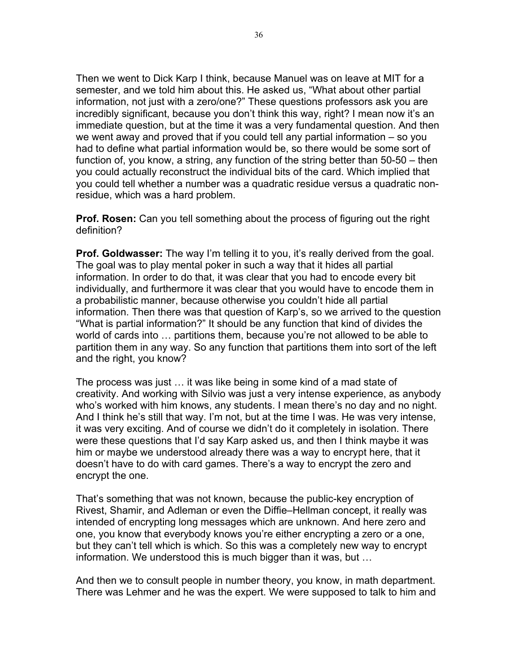Then we went to Dick Karp I think, because Manuel was on leave at MIT for a semester, and we told him about this. He asked us, "What about other partial information, not just with a zero/one?" These questions professors ask you are incredibly significant, because you don't think this way, right? I mean now it's an immediate question, but at the time it was a very fundamental question. And then we went away and proved that if you could tell any partial information – so you had to define what partial information would be, so there would be some sort of function of, you know, a string, any function of the string better than 50-50 – then you could actually reconstruct the individual bits of the card. Which implied that you could tell whether a number was a quadratic residue versus a quadratic nonresidue, which was a hard problem.

**Prof. Rosen:** Can you tell something about the process of figuring out the right definition?

**Prof. Goldwasser:** The way I'm telling it to you, it's really derived from the goal. The goal was to play mental poker in such a way that it hides all partial information. In order to do that, it was clear that you had to encode every bit individually, and furthermore it was clear that you would have to encode them in a probabilistic manner, because otherwise you couldn't hide all partial information. Then there was that question of Karp's, so we arrived to the question "What is partial information?" It should be any function that kind of divides the world of cards into … partitions them, because you're not allowed to be able to partition them in any way. So any function that partitions them into sort of the left and the right, you know?

The process was just … it was like being in some kind of a mad state of creativity. And working with Silvio was just a very intense experience, as anybody who's worked with him knows, any students. I mean there's no day and no night. And I think he's still that way. I'm not, but at the time I was. He was very intense, it was very exciting. And of course we didn't do it completely in isolation. There were these questions that I'd say Karp asked us, and then I think maybe it was him or maybe we understood already there was a way to encrypt here, that it doesn't have to do with card games. There's a way to encrypt the zero and encrypt the one.

That's something that was not known, because the public-key encryption of Rivest, Shamir, and Adleman or even the Diffie–Hellman concept, it really was intended of encrypting long messages which are unknown. And here zero and one, you know that everybody knows you're either encrypting a zero or a one, but they can't tell which is which. So this was a completely new way to encrypt information. We understood this is much bigger than it was, but …

And then we to consult people in number theory, you know, in math department. There was Lehmer and he was the expert. We were supposed to talk to him and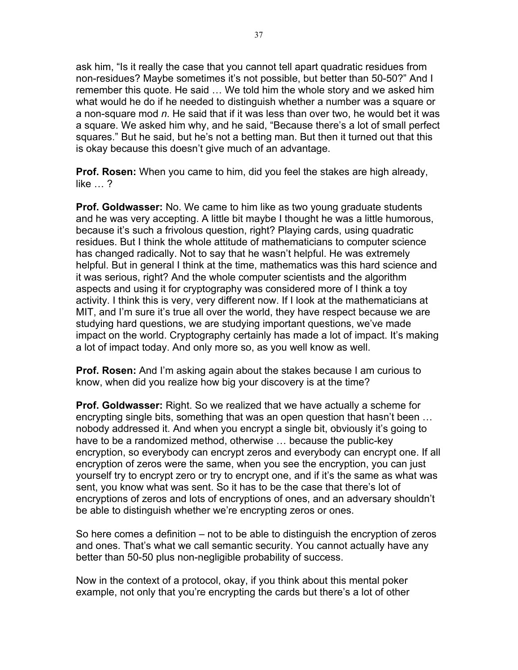ask him, "Is it really the case that you cannot tell apart quadratic residues from non-residues? Maybe sometimes it's not possible, but better than 50-50?" And I remember this quote. He said … We told him the whole story and we asked him what would he do if he needed to distinguish whether a number was a square or a non-square mod *n*. He said that if it was less than over two, he would bet it was a square. We asked him why, and he said, "Because there's a lot of small perfect squares." But he said, but he's not a betting man. But then it turned out that this is okay because this doesn't give much of an advantage.

**Prof. Rosen:** When you came to him, did you feel the stakes are high already, like … ?

**Prof. Goldwasser:** No. We came to him like as two young graduate students and he was very accepting. A little bit maybe I thought he was a little humorous, because it's such a frivolous question, right? Playing cards, using quadratic residues. But I think the whole attitude of mathematicians to computer science has changed radically. Not to say that he wasn't helpful. He was extremely helpful. But in general I think at the time, mathematics was this hard science and it was serious, right? And the whole computer scientists and the algorithm aspects and using it for cryptography was considered more of I think a toy activity. I think this is very, very different now. If I look at the mathematicians at MIT, and I'm sure it's true all over the world, they have respect because we are studying hard questions, we are studying important questions, we've made impact on the world. Cryptography certainly has made a lot of impact. It's making a lot of impact today. And only more so, as you well know as well.

**Prof. Rosen:** And I'm asking again about the stakes because I am curious to know, when did you realize how big your discovery is at the time?

**Prof. Goldwasser:** Right. So we realized that we have actually a scheme for encrypting single bits, something that was an open question that hasn't been … nobody addressed it. And when you encrypt a single bit, obviously it's going to have to be a randomized method, otherwise … because the public-key encryption, so everybody can encrypt zeros and everybody can encrypt one. If all encryption of zeros were the same, when you see the encryption, you can just yourself try to encrypt zero or try to encrypt one, and if it's the same as what was sent, you know what was sent. So it has to be the case that there's lot of encryptions of zeros and lots of encryptions of ones, and an adversary shouldn't be able to distinguish whether we're encrypting zeros or ones.

So here comes a definition – not to be able to distinguish the encryption of zeros and ones. That's what we call semantic security. You cannot actually have any better than 50-50 plus non-negligible probability of success.

Now in the context of a protocol, okay, if you think about this mental poker example, not only that you're encrypting the cards but there's a lot of other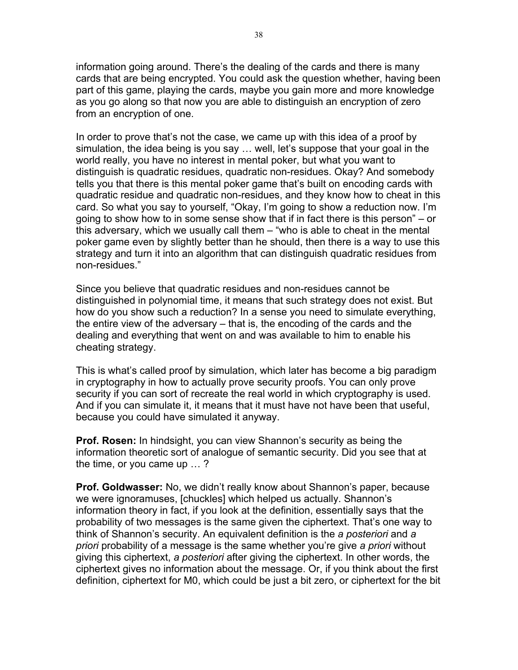information going around. There's the dealing of the cards and there is many cards that are being encrypted. You could ask the question whether, having been part of this game, playing the cards, maybe you gain more and more knowledge as you go along so that now you are able to distinguish an encryption of zero from an encryption of one.

In order to prove that's not the case, we came up with this idea of a proof by simulation, the idea being is you say … well, let's suppose that your goal in the world really, you have no interest in mental poker, but what you want to distinguish is quadratic residues, quadratic non-residues. Okay? And somebody tells you that there is this mental poker game that's built on encoding cards with quadratic residue and quadratic non-residues, and they know how to cheat in this card. So what you say to yourself, "Okay, I'm going to show a reduction now. I'm going to show how to in some sense show that if in fact there is this person" – or this adversary, which we usually call them – "who is able to cheat in the mental poker game even by slightly better than he should, then there is a way to use this strategy and turn it into an algorithm that can distinguish quadratic residues from non-residues."

Since you believe that quadratic residues and non-residues cannot be distinguished in polynomial time, it means that such strategy does not exist. But how do you show such a reduction? In a sense you need to simulate everything, the entire view of the adversary – that is, the encoding of the cards and the dealing and everything that went on and was available to him to enable his cheating strategy.

This is what's called proof by simulation, which later has become a big paradigm in cryptography in how to actually prove security proofs. You can only prove security if you can sort of recreate the real world in which cryptography is used. And if you can simulate it, it means that it must have not have been that useful, because you could have simulated it anyway.

**Prof. Rosen:** In hindsight, you can view Shannon's security as being the information theoretic sort of analogue of semantic security. Did you see that at the time, or you came up … ?

**Prof. Goldwasser:** No, we didn't really know about Shannon's paper, because we were ignoramuses, [chuckles] which helped us actually. Shannon's information theory in fact, if you look at the definition, essentially says that the probability of two messages is the same given the ciphertext. That's one way to think of Shannon's security. An equivalent definition is the *a posteriori* and *a priori* probability of a message is the same whether you're give *a priori* without giving this ciphertext, *a posteriori* after giving the ciphertext. In other words, the ciphertext gives no information about the message. Or, if you think about the first definition, ciphertext for M0, which could be just a bit zero, or ciphertext for the bit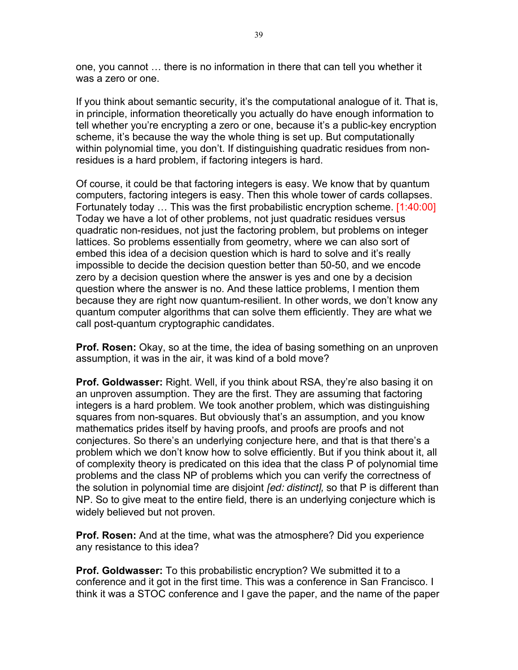one, you cannot … there is no information in there that can tell you whether it was a zero or one.

If you think about semantic security, it's the computational analogue of it. That is, in principle, information theoretically you actually do have enough information to tell whether you're encrypting a zero or one, because it's a public-key encryption scheme, it's because the way the whole thing is set up. But computationally within polynomial time, you don't. If distinguishing quadratic residues from nonresidues is a hard problem, if factoring integers is hard.

Of course, it could be that factoring integers is easy. We know that by quantum computers, factoring integers is easy. Then this whole tower of cards collapses. Fortunately today … This was the first probabilistic encryption scheme. [1:40:00] Today we have a lot of other problems, not just quadratic residues versus quadratic non-residues, not just the factoring problem, but problems on integer lattices. So problems essentially from geometry, where we can also sort of embed this idea of a decision question which is hard to solve and it's really impossible to decide the decision question better than 50-50, and we encode zero by a decision question where the answer is yes and one by a decision question where the answer is no. And these lattice problems, I mention them because they are right now quantum-resilient. In other words, we don't know any quantum computer algorithms that can solve them efficiently. They are what we call post-quantum cryptographic candidates.

**Prof. Rosen:** Okay, so at the time, the idea of basing something on an unproven assumption, it was in the air, it was kind of a bold move?

**Prof. Goldwasser:** Right. Well, if you think about RSA, they're also basing it on an unproven assumption. They are the first. They are assuming that factoring integers is a hard problem. We took another problem, which was distinguishing squares from non-squares. But obviously that's an assumption, and you know mathematics prides itself by having proofs, and proofs are proofs and not conjectures. So there's an underlying conjecture here, and that is that there's a problem which we don't know how to solve efficiently. But if you think about it, all of complexity theory is predicated on this idea that the class P of polynomial time problems and the class NP of problems which you can verify the correctness of the solution in polynomial time are disjoint *[ed: distinct],* so that P is different than NP. So to give meat to the entire field, there is an underlying conjecture which is widely believed but not proven.

**Prof. Rosen:** And at the time, what was the atmosphere? Did you experience any resistance to this idea?

**Prof. Goldwasser:** To this probabilistic encryption? We submitted it to a conference and it got in the first time. This was a conference in San Francisco. I think it was a STOC conference and I gave the paper, and the name of the paper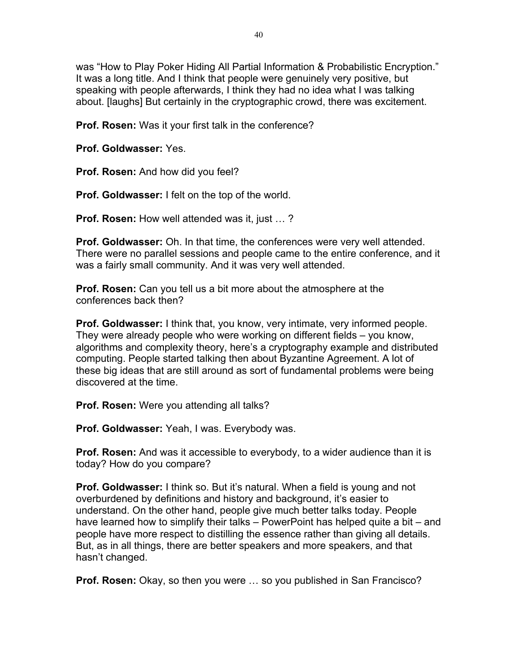was "How to Play Poker Hiding All Partial Information & Probabilistic Encryption." It was a long title. And I think that people were genuinely very positive, but speaking with people afterwards, I think they had no idea what I was talking about. [laughs] But certainly in the cryptographic crowd, there was excitement.

**Prof. Rosen:** Was it your first talk in the conference?

**Prof. Goldwasser:** Yes.

**Prof. Rosen:** And how did you feel?

**Prof. Goldwasser:** I felt on the top of the world.

**Prof. Rosen:** How well attended was it, just … ?

**Prof. Goldwasser:** Oh. In that time, the conferences were very well attended. There were no parallel sessions and people came to the entire conference, and it was a fairly small community. And it was very well attended.

**Prof. Rosen:** Can you tell us a bit more about the atmosphere at the conferences back then?

**Prof. Goldwasser:** I think that, you know, very intimate, very informed people. They were already people who were working on different fields – you know, algorithms and complexity theory, here's a cryptography example and distributed computing. People started talking then about Byzantine Agreement. A lot of these big ideas that are still around as sort of fundamental problems were being discovered at the time.

**Prof. Rosen:** Were you attending all talks?

**Prof. Goldwasser:** Yeah, I was. Everybody was.

**Prof. Rosen:** And was it accessible to everybody, to a wider audience than it is today? How do you compare?

**Prof. Goldwasser:** I think so. But it's natural. When a field is young and not overburdened by definitions and history and background, it's easier to understand. On the other hand, people give much better talks today. People have learned how to simplify their talks – PowerPoint has helped quite a bit – and people have more respect to distilling the essence rather than giving all details. But, as in all things, there are better speakers and more speakers, and that hasn't changed.

**Prof. Rosen:** Okay, so then you were … so you published in San Francisco?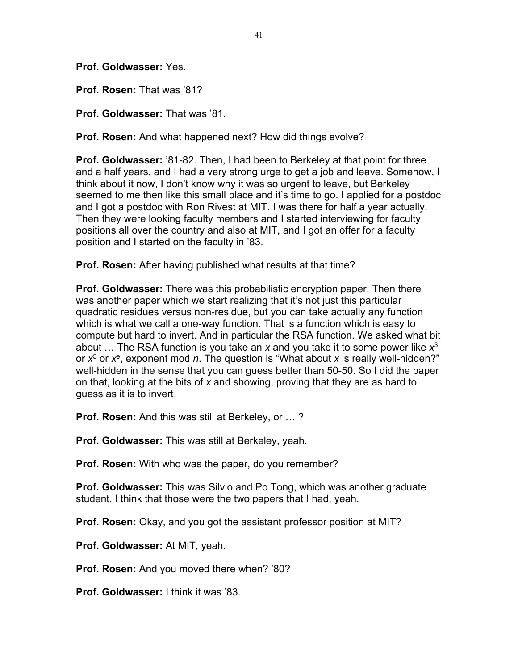**Prof. Goldwasser:** Yes.

**Prof. Rosen:** That was '81?

**Prof. Goldwasser:** That was '81.

**Prof. Rosen:** And what happened next? How did things evolve?

**Prof. Goldwasser:** '81-82. Then, I had been to Berkeley at that point for three and a half years, and I had a very strong urge to get a job and leave. Somehow, I think about it now, I don't know why it was so urgent to leave, but Berkeley seemed to me then like this small place and it's time to go. I applied for a postdoc and I got a postdoc with Ron Rivest at MIT. I was there for half a year actually. Then they were looking faculty members and I started interviewing for faculty positions all over the country and also at MIT, and I got an offer for a faculty position and I started on the faculty in '83.

**Prof. Rosen:** After having published what results at that time?

**Prof. Goldwasser:** There was this probabilistic encryption paper. Then there was another paper which we start realizing that it's not just this particular quadratic residues versus non-residue, but you can take actually any function which is what we call a one-way function. That is a function which is easy to compute but hard to invert. And in particular the RSA function. We asked what bit about … The RSA function is you take an *x* and you take it to some power like *x*<sup>3</sup> or *x*<sup>5</sup> or *x*e, exponent mod *n*. The question is "What about *x* is really well-hidden?" well-hidden in the sense that you can guess better than 50-50. So I did the paper on that, looking at the bits of *x* and showing, proving that they are as hard to guess as it is to invert.

**Prof. Rosen:** And this was still at Berkeley, or … ?

**Prof. Goldwasser:** This was still at Berkeley, yeah.

**Prof. Rosen:** With who was the paper, do you remember?

**Prof. Goldwasser:** This was Silvio and Po Tong, which was another graduate student. I think that those were the two papers that I had, yeah.

**Prof. Rosen:** Okay, and you got the assistant professor position at MIT?

**Prof. Goldwasser:** At MIT, yeah.

**Prof. Rosen:** And you moved there when? '80?

**Prof. Goldwasser:** I think it was '83.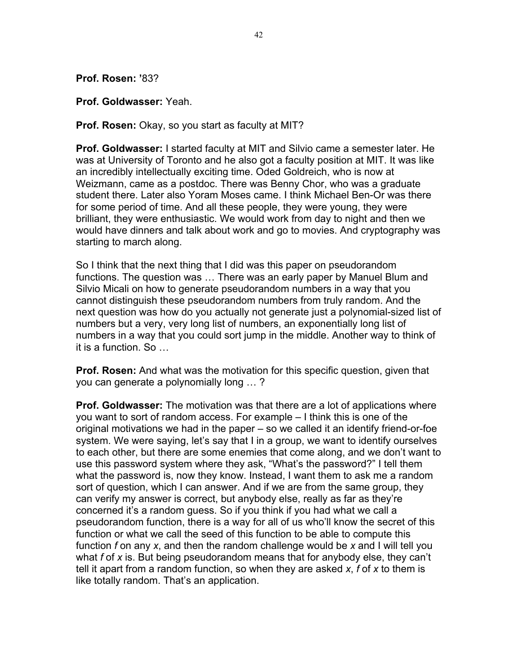**Prof. Rosen: '**83?

**Prof. Goldwasser:** Yeah.

**Prof. Rosen:** Okay, so you start as faculty at MIT?

**Prof. Goldwasser:** I started faculty at MIT and Silvio came a semester later. He was at University of Toronto and he also got a faculty position at MIT. It was like an incredibly intellectually exciting time. Oded Goldreich, who is now at Weizmann, came as a postdoc. There was Benny Chor, who was a graduate student there. Later also Yoram Moses came. I think Michael Ben-Or was there for some period of time. And all these people, they were young, they were brilliant, they were enthusiastic. We would work from day to night and then we would have dinners and talk about work and go to movies. And cryptography was starting to march along.

So I think that the next thing that I did was this paper on pseudorandom functions. The question was … There was an early paper by Manuel Blum and Silvio Micali on how to generate pseudorandom numbers in a way that you cannot distinguish these pseudorandom numbers from truly random. And the next question was how do you actually not generate just a polynomial-sized list of numbers but a very, very long list of numbers, an exponentially long list of numbers in a way that you could sort jump in the middle. Another way to think of it is a function. So …

**Prof. Rosen:** And what was the motivation for this specific question, given that you can generate a polynomially long … ?

**Prof. Goldwasser:** The motivation was that there are a lot of applications where you want to sort of random access. For example – I think this is one of the original motivations we had in the paper – so we called it an identify friend-or-foe system. We were saying, let's say that I in a group, we want to identify ourselves to each other, but there are some enemies that come along, and we don't want to use this password system where they ask, "What's the password?" I tell them what the password is, now they know. Instead, I want them to ask me a random sort of question, which I can answer. And if we are from the same group, they can verify my answer is correct, but anybody else, really as far as they're concerned it's a random guess. So if you think if you had what we call a pseudorandom function, there is a way for all of us who'll know the secret of this function or what we call the seed of this function to be able to compute this function *f* on any *x*, and then the random challenge would be *x* and I will tell you what *f* of *x* is. But being pseudorandom means that for anybody else, they can't tell it apart from a random function, so when they are asked *x*, *f* of *x* to them is like totally random. That's an application.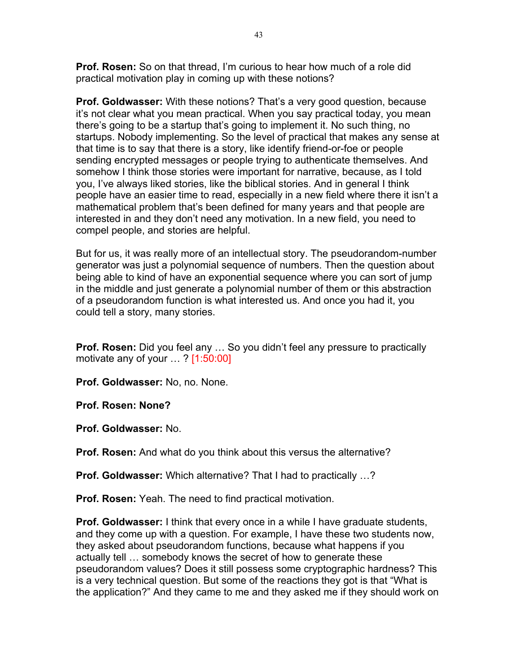**Prof. Rosen:** So on that thread, I'm curious to hear how much of a role did practical motivation play in coming up with these notions?

**Prof. Goldwasser:** With these notions? That's a very good question, because it's not clear what you mean practical. When you say practical today, you mean there's going to be a startup that's going to implement it. No such thing, no startups. Nobody implementing. So the level of practical that makes any sense at that time is to say that there is a story, like identify friend-or-foe or people sending encrypted messages or people trying to authenticate themselves. And somehow I think those stories were important for narrative, because, as I told you, I've always liked stories, like the biblical stories. And in general I think people have an easier time to read, especially in a new field where there it isn't a mathematical problem that's been defined for many years and that people are interested in and they don't need any motivation. In a new field, you need to compel people, and stories are helpful.

But for us, it was really more of an intellectual story. The pseudorandom-number generator was just a polynomial sequence of numbers. Then the question about being able to kind of have an exponential sequence where you can sort of jump in the middle and just generate a polynomial number of them or this abstraction of a pseudorandom function is what interested us. And once you had it, you could tell a story, many stories.

**Prof. Rosen:** Did you feel any … So you didn't feel any pressure to practically motivate any of your … ? [1:50:00]

**Prof. Goldwasser:** No, no. None.

**Prof. Rosen: None?**

**Prof. Goldwasser:** No.

**Prof. Rosen:** And what do you think about this versus the alternative?

**Prof. Goldwasser:** Which alternative? That I had to practically …?

**Prof. Rosen:** Yeah. The need to find practical motivation.

**Prof. Goldwasser:** I think that every once in a while I have graduate students, and they come up with a question. For example, I have these two students now, they asked about pseudorandom functions, because what happens if you actually tell … somebody knows the secret of how to generate these pseudorandom values? Does it still possess some cryptographic hardness? This is a very technical question. But some of the reactions they got is that "What is the application?" And they came to me and they asked me if they should work on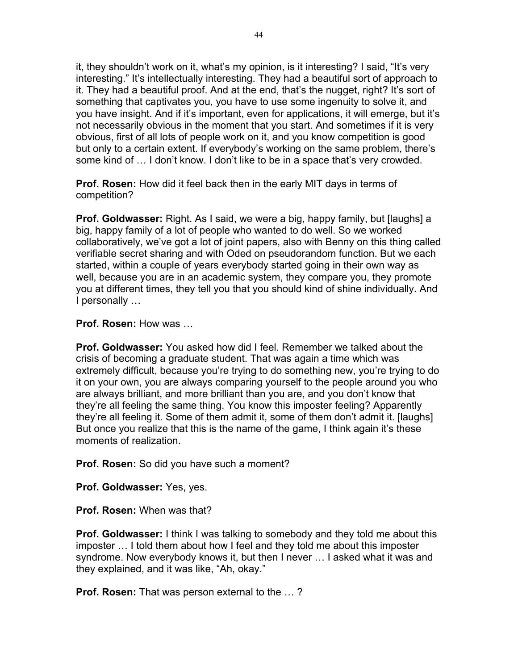it, they shouldn't work on it, what's my opinion, is it interesting? I said, "It's very interesting." It's intellectually interesting. They had a beautiful sort of approach to it. They had a beautiful proof. And at the end, that's the nugget, right? It's sort of something that captivates you, you have to use some ingenuity to solve it, and you have insight. And if it's important, even for applications, it will emerge, but it's not necessarily obvious in the moment that you start. And sometimes if it is very obvious, first of all lots of people work on it, and you know competition is good but only to a certain extent. If everybody's working on the same problem, there's some kind of … I don't know. I don't like to be in a space that's very crowded.

**Prof. Rosen:** How did it feel back then in the early MIT days in terms of competition?

**Prof. Goldwasser:** Right. As I said, we were a big, happy family, but [laughs] a big, happy family of a lot of people who wanted to do well. So we worked collaboratively, we've got a lot of joint papers, also with Benny on this thing called verifiable secret sharing and with Oded on pseudorandom function. But we each started, within a couple of years everybody started going in their own way as well, because you are in an academic system, they compare you, they promote you at different times, they tell you that you should kind of shine individually. And I personally …

**Prof. Rosen:** How was …

**Prof. Goldwasser:** You asked how did I feel. Remember we talked about the crisis of becoming a graduate student. That was again a time which was extremely difficult, because you're trying to do something new, you're trying to do it on your own, you are always comparing yourself to the people around you who are always brilliant, and more brilliant than you are, and you don't know that they're all feeling the same thing. You know this imposter feeling? Apparently they're all feeling it. Some of them admit it, some of them don't admit it. [laughs] But once you realize that this is the name of the game, I think again it's these moments of realization.

**Prof. Rosen:** So did you have such a moment?

**Prof. Goldwasser:** Yes, yes.

**Prof. Rosen:** When was that?

**Prof. Goldwasser:** I think I was talking to somebody and they told me about this imposter … I told them about how I feel and they told me about this imposter syndrome. Now everybody knows it, but then I never … I asked what it was and they explained, and it was like, "Ah, okay."

**Prof. Rosen:** That was person external to the … ?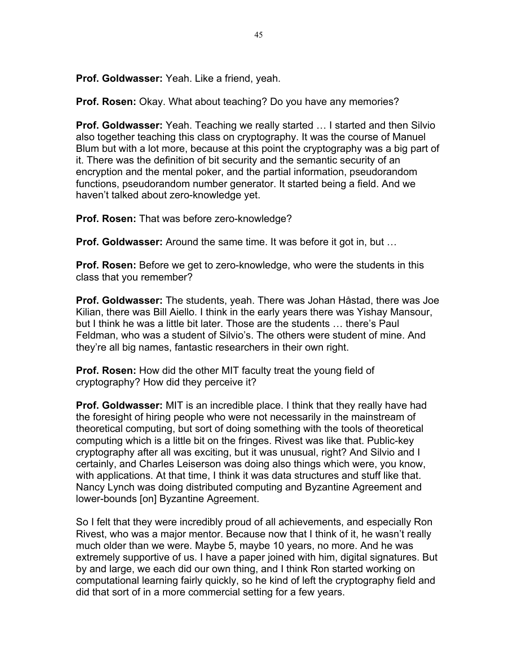**Prof. Goldwasser:** Yeah. Like a friend, yeah.

**Prof. Rosen:** Okay. What about teaching? Do you have any memories?

**Prof. Goldwasser:** Yeah. Teaching we really started … I started and then Silvio also together teaching this class on cryptography. It was the course of Manuel Blum but with a lot more, because at this point the cryptography was a big part of it. There was the definition of bit security and the semantic security of an encryption and the mental poker, and the partial information, pseudorandom functions, pseudorandom number generator. It started being a field. And we haven't talked about zero-knowledge yet.

**Prof. Rosen:** That was before zero-knowledge?

**Prof. Goldwasser:** Around the same time. It was before it got in, but …

**Prof. Rosen:** Before we get to zero-knowledge, who were the students in this class that you remember?

**Prof. Goldwasser:** The students, yeah. There was Johan Håstad, there was Joe Kilian, there was Bill Aiello. I think in the early years there was Yishay Mansour, but I think he was a little bit later. Those are the students … there's Paul Feldman, who was a student of Silvio's. The others were student of mine. And they're all big names, fantastic researchers in their own right.

**Prof. Rosen:** How did the other MIT faculty treat the young field of cryptography? How did they perceive it?

**Prof. Goldwasser:** MIT is an incredible place. I think that they really have had the foresight of hiring people who were not necessarily in the mainstream of theoretical computing, but sort of doing something with the tools of theoretical computing which is a little bit on the fringes. Rivest was like that. Public-key cryptography after all was exciting, but it was unusual, right? And Silvio and I certainly, and Charles Leiserson was doing also things which were, you know, with applications. At that time, I think it was data structures and stuff like that. Nancy Lynch was doing distributed computing and Byzantine Agreement and lower-bounds [on] Byzantine Agreement.

So I felt that they were incredibly proud of all achievements, and especially Ron Rivest, who was a major mentor. Because now that I think of it, he wasn't really much older than we were. Maybe 5, maybe 10 years, no more. And he was extremely supportive of us. I have a paper joined with him, digital signatures. But by and large, we each did our own thing, and I think Ron started working on computational learning fairly quickly, so he kind of left the cryptography field and did that sort of in a more commercial setting for a few years.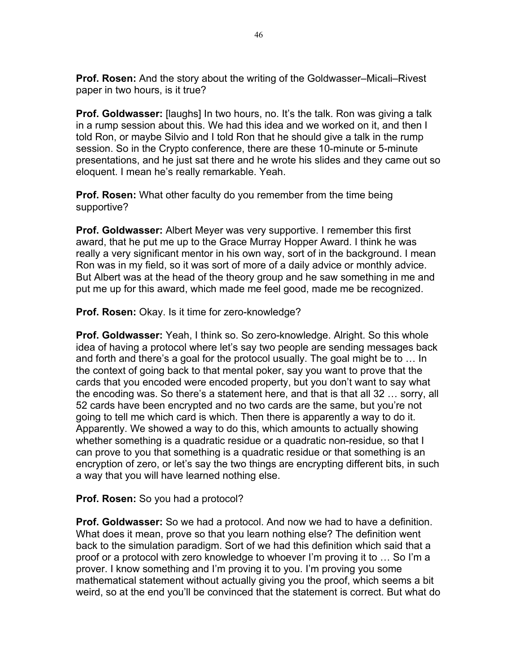**Prof. Rosen:** And the story about the writing of the Goldwasser–Micali–Rivest paper in two hours, is it true?

**Prof. Goldwasser:** [laughs] In two hours, no. It's the talk. Ron was giving a talk in a rump session about this. We had this idea and we worked on it, and then I told Ron, or maybe Silvio and I told Ron that he should give a talk in the rump session. So in the Crypto conference, there are these 10-minute or 5-minute presentations, and he just sat there and he wrote his slides and they came out so eloquent. I mean he's really remarkable. Yeah.

**Prof. Rosen:** What other faculty do you remember from the time being supportive?

**Prof. Goldwasser:** Albert Meyer was very supportive. I remember this first award, that he put me up to the Grace Murray Hopper Award. I think he was really a very significant mentor in his own way, sort of in the background. I mean Ron was in my field, so it was sort of more of a daily advice or monthly advice. But Albert was at the head of the theory group and he saw something in me and put me up for this award, which made me feel good, made me be recognized.

**Prof. Rosen:** Okay. Is it time for zero-knowledge?

**Prof. Goldwasser:** Yeah, I think so. So zero-knowledge. Alright. So this whole idea of having a protocol where let's say two people are sending messages back and forth and there's a goal for the protocol usually. The goal might be to … In the context of going back to that mental poker, say you want to prove that the cards that you encoded were encoded property, but you don't want to say what the encoding was. So there's a statement here, and that is that all 32 … sorry, all 52 cards have been encrypted and no two cards are the same, but you're not going to tell me which card is which. Then there is apparently a way to do it. Apparently. We showed a way to do this, which amounts to actually showing whether something is a quadratic residue or a quadratic non-residue, so that I can prove to you that something is a quadratic residue or that something is an encryption of zero, or let's say the two things are encrypting different bits, in such a way that you will have learned nothing else.

## **Prof. Rosen:** So you had a protocol?

**Prof. Goldwasser:** So we had a protocol. And now we had to have a definition. What does it mean, prove so that you learn nothing else? The definition went back to the simulation paradigm. Sort of we had this definition which said that a proof or a protocol with zero knowledge to whoever I'm proving it to … So I'm a prover. I know something and I'm proving it to you. I'm proving you some mathematical statement without actually giving you the proof, which seems a bit weird, so at the end you'll be convinced that the statement is correct. But what do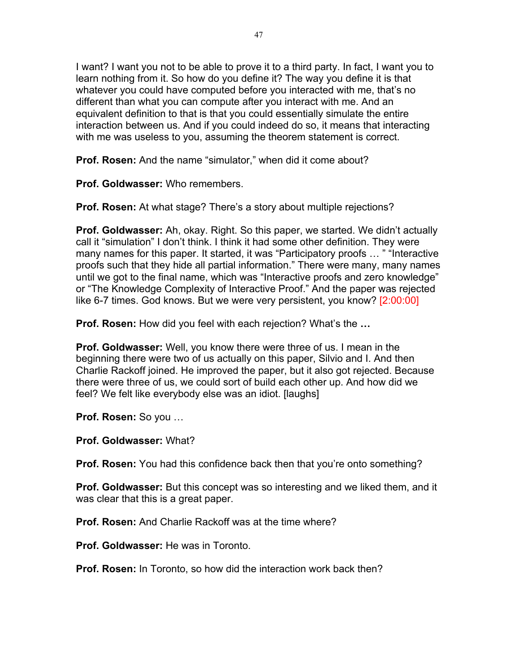I want? I want you not to be able to prove it to a third party. In fact, I want you to learn nothing from it. So how do you define it? The way you define it is that whatever you could have computed before you interacted with me, that's no different than what you can compute after you interact with me. And an equivalent definition to that is that you could essentially simulate the entire interaction between us. And if you could indeed do so, it means that interacting with me was useless to you, assuming the theorem statement is correct.

**Prof. Rosen:** And the name "simulator," when did it come about?

**Prof. Goldwasser:** Who remembers.

**Prof. Rosen:** At what stage? There's a story about multiple rejections?

**Prof. Goldwasser:** Ah, okay. Right. So this paper, we started. We didn't actually call it "simulation" I don't think. I think it had some other definition. They were many names for this paper. It started, it was "Participatory proofs … " "Interactive proofs such that they hide all partial information." There were many, many names until we got to the final name, which was "Interactive proofs and zero knowledge" or "The Knowledge Complexity of Interactive Proof." And the paper was rejected like 6-7 times. God knows. But we were very persistent, you know? [2:00:00]

**Prof. Rosen:** How did you feel with each rejection? What's the **…**

**Prof. Goldwasser:** Well, you know there were three of us. I mean in the beginning there were two of us actually on this paper, Silvio and I. And then Charlie Rackoff joined. He improved the paper, but it also got rejected. Because there were three of us, we could sort of build each other up. And how did we feel? We felt like everybody else was an idiot. [laughs]

**Prof. Rosen:** So you …

**Prof. Goldwasser:** What?

**Prof. Rosen:** You had this confidence back then that you're onto something?

**Prof. Goldwasser:** But this concept was so interesting and we liked them, and it was clear that this is a great paper.

**Prof. Rosen:** And Charlie Rackoff was at the time where?

**Prof. Goldwasser:** He was in Toronto.

**Prof. Rosen:** In Toronto, so how did the interaction work back then?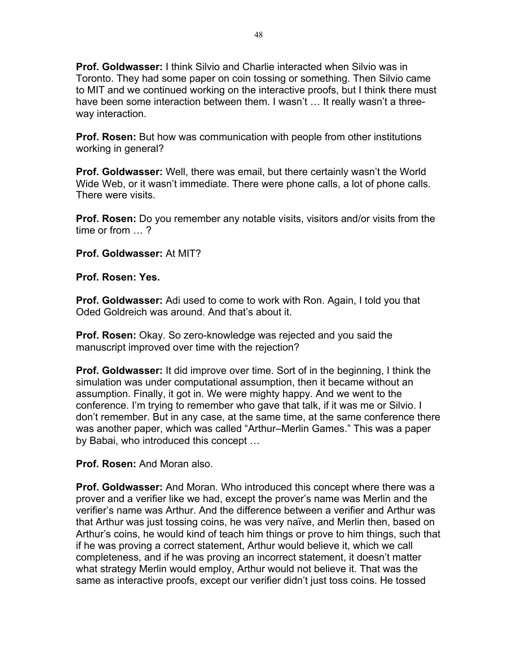**Prof. Goldwasser:** I think Silvio and Charlie interacted when Silvio was in Toronto. They had some paper on coin tossing or something. Then Silvio came to MIT and we continued working on the interactive proofs, but I think there must have been some interaction between them. I wasn't … It really wasn't a threeway interaction.

**Prof. Rosen:** But how was communication with people from other institutions working in general?

**Prof. Goldwasser:** Well, there was email, but there certainly wasn't the World Wide Web, or it wasn't immediate. There were phone calls, a lot of phone calls. There were visits.

**Prof. Rosen:** Do you remember any notable visits, visitors and/or visits from the time or from … ?

**Prof. Goldwasser:** At MIT?

**Prof. Rosen: Yes.**

**Prof. Goldwasser:** Adi used to come to work with Ron. Again, I told you that Oded Goldreich was around. And that's about it.

**Prof. Rosen:** Okay. So zero-knowledge was rejected and you said the manuscript improved over time with the rejection?

**Prof. Goldwasser:** It did improve over time. Sort of in the beginning, I think the simulation was under computational assumption, then it became without an assumption. Finally, it got in. We were mighty happy. And we went to the conference. I'm trying to remember who gave that talk, if it was me or Silvio. I don't remember. But in any case, at the same time, at the same conference there was another paper, which was called "Arthur–Merlin Games." This was a paper by Babai, who introduced this concept …

**Prof. Rosen:** And Moran also.

**Prof. Goldwasser:** And Moran. Who introduced this concept where there was a prover and a verifier like we had, except the prover's name was Merlin and the verifier's name was Arthur. And the difference between a verifier and Arthur was that Arthur was just tossing coins, he was very naïve, and Merlin then, based on Arthur's coins, he would kind of teach him things or prove to him things, such that if he was proving a correct statement, Arthur would believe it, which we call completeness, and if he was proving an incorrect statement, it doesn't matter what strategy Merlin would employ, Arthur would not believe it. That was the same as interactive proofs, except our verifier didn't just toss coins. He tossed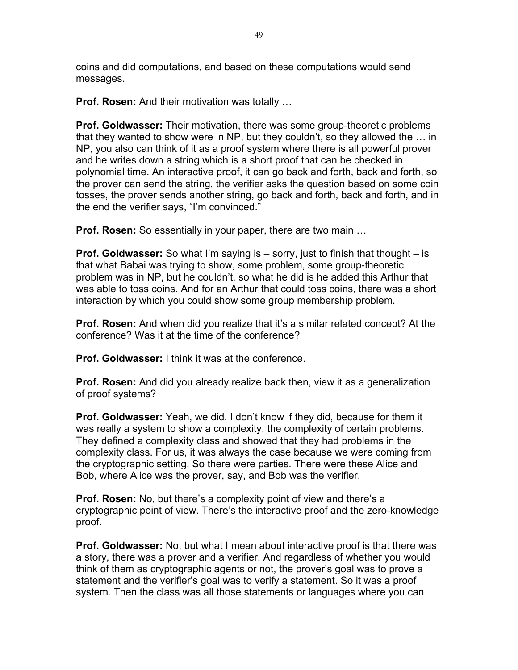coins and did computations, and based on these computations would send messages.

**Prof. Rosen:** And their motivation was totally …

**Prof. Goldwasser:** Their motivation, there was some group-theoretic problems that they wanted to show were in NP, but they couldn't, so they allowed the … in NP, you also can think of it as a proof system where there is all powerful prover and he writes down a string which is a short proof that can be checked in polynomial time. An interactive proof, it can go back and forth, back and forth, so the prover can send the string, the verifier asks the question based on some coin tosses, the prover sends another string, go back and forth, back and forth, and in the end the verifier says, "I'm convinced."

**Prof. Rosen:** So essentially in your paper, there are two main …

**Prof. Goldwasser:** So what I'm saying is – sorry, just to finish that thought – is that what Babai was trying to show, some problem, some group-theoretic problem was in NP, but he couldn't, so what he did is he added this Arthur that was able to toss coins. And for an Arthur that could toss coins, there was a short interaction by which you could show some group membership problem.

**Prof. Rosen:** And when did you realize that it's a similar related concept? At the conference? Was it at the time of the conference?

**Prof. Goldwasser:** I think it was at the conference.

**Prof. Rosen:** And did you already realize back then, view it as a generalization of proof systems?

**Prof. Goldwasser:** Yeah, we did. I don't know if they did, because for them it was really a system to show a complexity, the complexity of certain problems. They defined a complexity class and showed that they had problems in the complexity class. For us, it was always the case because we were coming from the cryptographic setting. So there were parties. There were these Alice and Bob, where Alice was the prover, say, and Bob was the verifier.

**Prof. Rosen:** No, but there's a complexity point of view and there's a cryptographic point of view. There's the interactive proof and the zero-knowledge proof.

**Prof. Goldwasser:** No, but what I mean about interactive proof is that there was a story, there was a prover and a verifier. And regardless of whether you would think of them as cryptographic agents or not, the prover's goal was to prove a statement and the verifier's goal was to verify a statement. So it was a proof system. Then the class was all those statements or languages where you can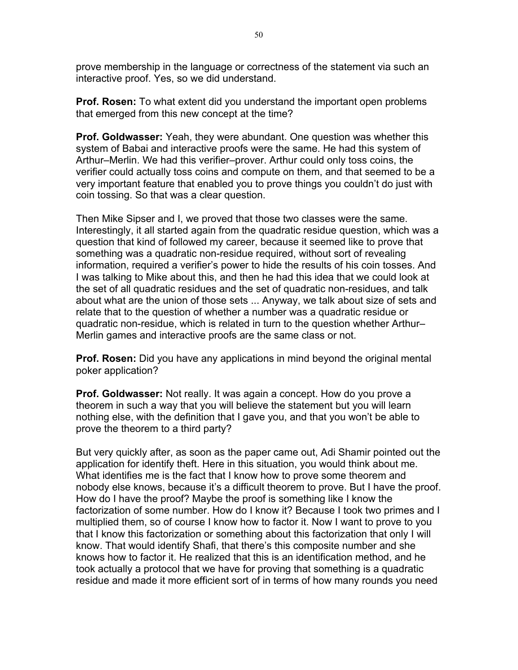prove membership in the language or correctness of the statement via such an interactive proof. Yes, so we did understand.

**Prof. Rosen:** To what extent did you understand the important open problems that emerged from this new concept at the time?

**Prof. Goldwasser:** Yeah, they were abundant. One question was whether this system of Babai and interactive proofs were the same. He had this system of Arthur–Merlin. We had this verifier–prover. Arthur could only toss coins, the verifier could actually toss coins and compute on them, and that seemed to be a very important feature that enabled you to prove things you couldn't do just with coin tossing. So that was a clear question.

Then Mike Sipser and I, we proved that those two classes were the same. Interestingly, it all started again from the quadratic residue question, which was a question that kind of followed my career, because it seemed like to prove that something was a quadratic non-residue required, without sort of revealing information, required a verifier's power to hide the results of his coin tosses. And I was talking to Mike about this, and then he had this idea that we could look at the set of all quadratic residues and the set of quadratic non-residues, and talk about what are the union of those sets ... Anyway, we talk about size of sets and relate that to the question of whether a number was a quadratic residue or quadratic non-residue, which is related in turn to the question whether Arthur– Merlin games and interactive proofs are the same class or not.

**Prof. Rosen:** Did you have any applications in mind beyond the original mental poker application?

**Prof. Goldwasser:** Not really. It was again a concept. How do you prove a theorem in such a way that you will believe the statement but you will learn nothing else, with the definition that I gave you, and that you won't be able to prove the theorem to a third party?

But very quickly after, as soon as the paper came out, Adi Shamir pointed out the application for identify theft. Here in this situation, you would think about me. What identifies me is the fact that I know how to prove some theorem and nobody else knows, because it's a difficult theorem to prove. But I have the proof. How do I have the proof? Maybe the proof is something like I know the factorization of some number. How do I know it? Because I took two primes and I multiplied them, so of course I know how to factor it. Now I want to prove to you that I know this factorization or something about this factorization that only I will know. That would identify Shafi, that there's this composite number and she knows how to factor it. He realized that this is an identification method, and he took actually a protocol that we have for proving that something is a quadratic residue and made it more efficient sort of in terms of how many rounds you need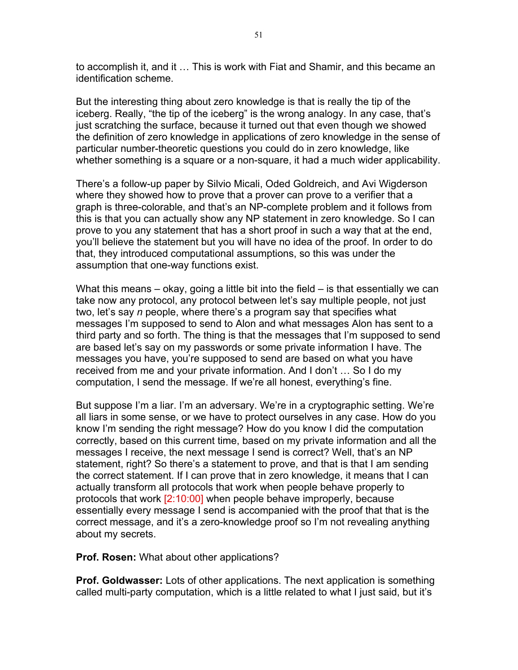to accomplish it, and it … This is work with Fiat and Shamir, and this became an identification scheme.

But the interesting thing about zero knowledge is that is really the tip of the iceberg. Really, "the tip of the iceberg" is the wrong analogy. In any case, that's just scratching the surface, because it turned out that even though we showed the definition of zero knowledge in applications of zero knowledge in the sense of particular number-theoretic questions you could do in zero knowledge, like whether something is a square or a non-square, it had a much wider applicability.

There's a follow-up paper by Silvio Micali, Oded Goldreich, and Avi Wigderson where they showed how to prove that a prover can prove to a verifier that a graph is three-colorable, and that's an NP-complete problem and it follows from this is that you can actually show any NP statement in zero knowledge. So I can prove to you any statement that has a short proof in such a way that at the end, you'll believe the statement but you will have no idea of the proof. In order to do that, they introduced computational assumptions, so this was under the assumption that one-way functions exist.

What this means – okay, going a little bit into the field – is that essentially we can take now any protocol, any protocol between let's say multiple people, not just two, let's say *n* people, where there's a program say that specifies what messages I'm supposed to send to Alon and what messages Alon has sent to a third party and so forth. The thing is that the messages that I'm supposed to send are based let's say on my passwords or some private information I have. The messages you have, you're supposed to send are based on what you have received from me and your private information. And I don't … So I do my computation, I send the message. If we're all honest, everything's fine.

But suppose I'm a liar. I'm an adversary. We're in a cryptographic setting. We're all liars in some sense, or we have to protect ourselves in any case. How do you know I'm sending the right message? How do you know I did the computation correctly, based on this current time, based on my private information and all the messages I receive, the next message I send is correct? Well, that's an NP statement, right? So there's a statement to prove, and that is that I am sending the correct statement. If I can prove that in zero knowledge, it means that I can actually transform all protocols that work when people behave properly to protocols that work [2:10:00] when people behave improperly, because essentially every message I send is accompanied with the proof that that is the correct message, and it's a zero-knowledge proof so I'm not revealing anything about my secrets.

**Prof. Rosen:** What about other applications?

**Prof. Goldwasser:** Lots of other applications. The next application is something called multi-party computation, which is a little related to what I just said, but it's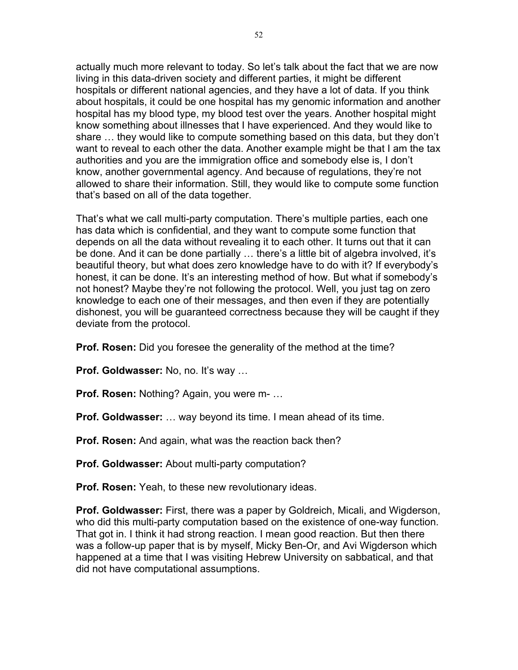actually much more relevant to today. So let's talk about the fact that we are now living in this data-driven society and different parties, it might be different hospitals or different national agencies, and they have a lot of data. If you think about hospitals, it could be one hospital has my genomic information and another hospital has my blood type, my blood test over the years. Another hospital might know something about illnesses that I have experienced. And they would like to share … they would like to compute something based on this data, but they don't want to reveal to each other the data. Another example might be that I am the tax authorities and you are the immigration office and somebody else is, I don't know, another governmental agency. And because of regulations, they're not allowed to share their information. Still, they would like to compute some function that's based on all of the data together.

That's what we call multi-party computation. There's multiple parties, each one has data which is confidential, and they want to compute some function that depends on all the data without revealing it to each other. It turns out that it can be done. And it can be done partially … there's a little bit of algebra involved, it's beautiful theory, but what does zero knowledge have to do with it? If everybody's honest, it can be done. It's an interesting method of how. But what if somebody's not honest? Maybe they're not following the protocol. Well, you just tag on zero knowledge to each one of their messages, and then even if they are potentially dishonest, you will be guaranteed correctness because they will be caught if they deviate from the protocol.

**Prof. Rosen:** Did you foresee the generality of the method at the time?

**Prof. Goldwasser:** No, no. It's way …

**Prof. Rosen:** Nothing? Again, you were m- …

**Prof. Goldwasser:** … way beyond its time. I mean ahead of its time.

**Prof. Rosen:** And again, what was the reaction back then?

**Prof. Goldwasser:** About multi-party computation?

**Prof. Rosen:** Yeah, to these new revolutionary ideas.

**Prof. Goldwasser:** First, there was a paper by Goldreich, Micali, and Wigderson, who did this multi-party computation based on the existence of one-way function. That got in. I think it had strong reaction. I mean good reaction. But then there was a follow-up paper that is by myself, Micky Ben-Or, and Avi Wigderson which happened at a time that I was visiting Hebrew University on sabbatical, and that did not have computational assumptions.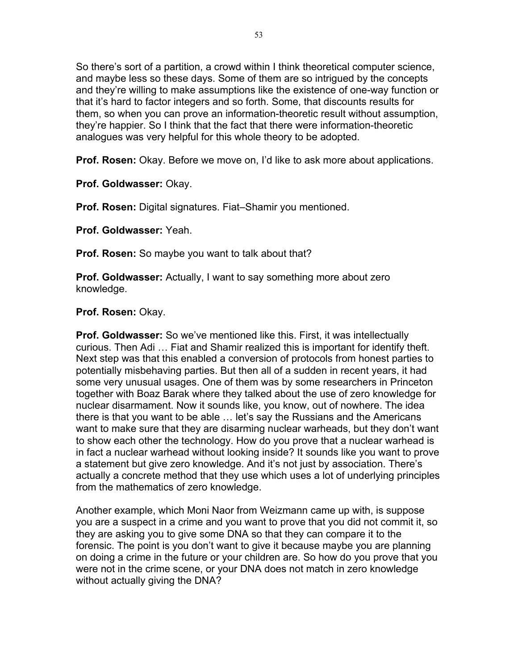So there's sort of a partition, a crowd within I think theoretical computer science, and maybe less so these days. Some of them are so intrigued by the concepts and they're willing to make assumptions like the existence of one-way function or that it's hard to factor integers and so forth. Some, that discounts results for them, so when you can prove an information-theoretic result without assumption, they're happier. So I think that the fact that there were information-theoretic analogues was very helpful for this whole theory to be adopted.

**Prof. Rosen:** Okay. Before we move on, I'd like to ask more about applications.

**Prof. Goldwasser:** Okay.

**Prof. Rosen:** Digital signatures. Fiat–Shamir you mentioned.

**Prof. Goldwasser:** Yeah.

**Prof. Rosen:** So maybe you want to talk about that?

**Prof. Goldwasser:** Actually, I want to say something more about zero knowledge.

**Prof. Rosen:** Okay.

**Prof. Goldwasser:** So we've mentioned like this. First, it was intellectually curious. Then Adi … Fiat and Shamir realized this is important for identify theft. Next step was that this enabled a conversion of protocols from honest parties to potentially misbehaving parties. But then all of a sudden in recent years, it had some very unusual usages. One of them was by some researchers in Princeton together with Boaz Barak where they talked about the use of zero knowledge for nuclear disarmament. Now it sounds like, you know, out of nowhere. The idea there is that you want to be able … let's say the Russians and the Americans want to make sure that they are disarming nuclear warheads, but they don't want to show each other the technology. How do you prove that a nuclear warhead is in fact a nuclear warhead without looking inside? It sounds like you want to prove a statement but give zero knowledge. And it's not just by association. There's actually a concrete method that they use which uses a lot of underlying principles from the mathematics of zero knowledge.

Another example, which Moni Naor from Weizmann came up with, is suppose you are a suspect in a crime and you want to prove that you did not commit it, so they are asking you to give some DNA so that they can compare it to the forensic. The point is you don't want to give it because maybe you are planning on doing a crime in the future or your children are. So how do you prove that you were not in the crime scene, or your DNA does not match in zero knowledge without actually giving the DNA?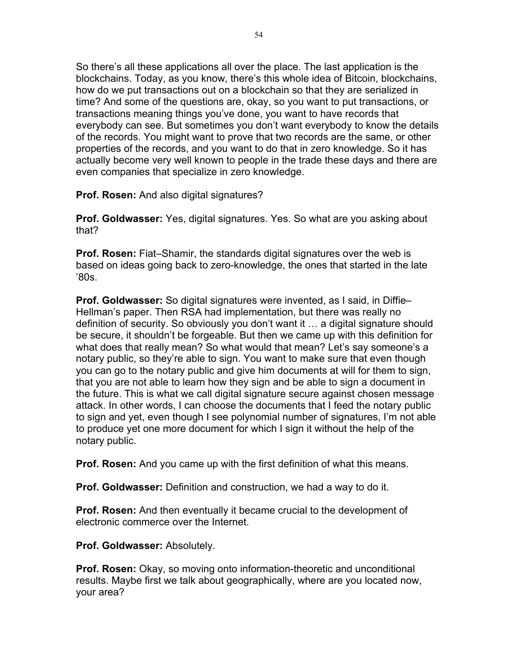So there's all these applications all over the place. The last application is the blockchains. Today, as you know, there's this whole idea of Bitcoin, blockchains, how do we put transactions out on a blockchain so that they are serialized in time? And some of the questions are, okay, so you want to put transactions, or transactions meaning things you've done, you want to have records that everybody can see. But sometimes you don't want everybody to know the details of the records. You might want to prove that two records are the same, or other properties of the records, and you want to do that in zero knowledge. So it has actually become very well known to people in the trade these days and there are even companies that specialize in zero knowledge.

**Prof. Rosen:** And also digital signatures?

**Prof. Goldwasser:** Yes, digital signatures. Yes. So what are you asking about that?

**Prof. Rosen:** Fiat–Shamir, the standards digital signatures over the web is based on ideas going back to zero-knowledge, the ones that started in the late '80s.

**Prof. Goldwasser:** So digital signatures were invented, as I said, in Diffie– Hellman's paper. Then RSA had implementation, but there was really no definition of security. So obviously you don't want it … a digital signature should be secure, it shouldn't be forgeable. But then we came up with this definition for what does that really mean? So what would that mean? Let's say someone's a notary public, so they're able to sign. You want to make sure that even though you can go to the notary public and give him documents at will for them to sign, that you are not able to learn how they sign and be able to sign a document in the future. This is what we call digital signature secure against chosen message attack. In other words, I can choose the documents that I feed the notary public to sign and yet, even though I see polynomial number of signatures, I'm not able to produce yet one more document for which I sign it without the help of the notary public.

**Prof. Rosen:** And you came up with the first definition of what this means.

**Prof. Goldwasser:** Definition and construction, we had a way to do it.

**Prof. Rosen:** And then eventually it became crucial to the development of electronic commerce over the Internet.

**Prof. Goldwasser:** Absolutely.

**Prof. Rosen:** Okay, so moving onto information-theoretic and unconditional results. Maybe first we talk about geographically, where are you located now, your area?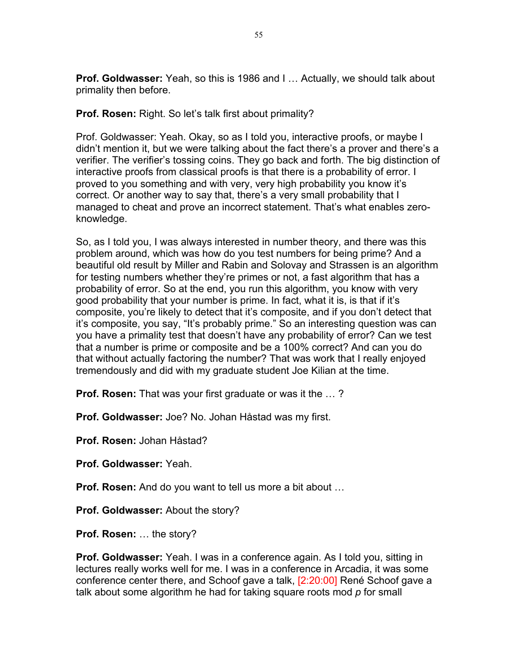**Prof. Goldwasser:** Yeah, so this is 1986 and I … Actually, we should talk about primality then before.

**Prof. Rosen:** Right. So let's talk first about primality?

Prof. Goldwasser: Yeah. Okay, so as I told you, interactive proofs, or maybe I didn't mention it, but we were talking about the fact there's a prover and there's a verifier. The verifier's tossing coins. They go back and forth. The big distinction of interactive proofs from classical proofs is that there is a probability of error. I proved to you something and with very, very high probability you know it's correct. Or another way to say that, there's a very small probability that I managed to cheat and prove an incorrect statement. That's what enables zeroknowledge.

So, as I told you, I was always interested in number theory, and there was this problem around, which was how do you test numbers for being prime? And a beautiful old result by Miller and Rabin and Solovay and Strassen is an algorithm for testing numbers whether they're primes or not, a fast algorithm that has a probability of error. So at the end, you run this algorithm, you know with very good probability that your number is prime. In fact, what it is, is that if it's composite, you're likely to detect that it's composite, and if you don't detect that it's composite, you say, "It's probably prime." So an interesting question was can you have a primality test that doesn't have any probability of error? Can we test that a number is prime or composite and be a 100% correct? And can you do that without actually factoring the number? That was work that I really enjoyed tremendously and did with my graduate student Joe Kilian at the time.

**Prof. Rosen:** That was your first graduate or was it the … ?

**Prof. Goldwasser:** Joe? No. Johan Håstad was my first.

**Prof. Rosen:** Johan Håstad?

**Prof. Goldwasser:** Yeah.

**Prof. Rosen:** And do you want to tell us more a bit about …

**Prof. Goldwasser:** About the story?

**Prof. Rosen:** … the story?

**Prof. Goldwasser:** Yeah. I was in a conference again. As I told you, sitting in lectures really works well for me. I was in a conference in Arcadia, it was some conference center there, and Schoof gave a talk, [2:20:00] René Schoof gave a talk about some algorithm he had for taking square roots mod *p* for small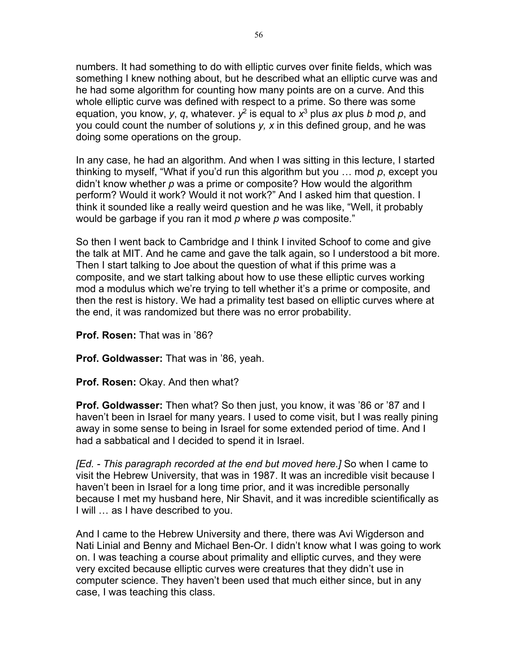numbers. It had something to do with elliptic curves over finite fields, which was something I knew nothing about, but he described what an elliptic curve was and he had some algorithm for counting how many points are on a curve. And this whole elliptic curve was defined with respect to a prime. So there was some equation, you know, y, q, whatever.  $y^2$  is equal to  $x^3$  plus ax plus b mod p, and you could count the number of solutions *y, x* in this defined group, and he was doing some operations on the group.

In any case, he had an algorithm. And when I was sitting in this lecture, I started thinking to myself, "What if you'd run this algorithm but you … mod *p*, except you didn't know whether *p* was a prime or composite? How would the algorithm perform? Would it work? Would it not work?" And I asked him that question. I think it sounded like a really weird question and he was like, "Well, it probably would be garbage if you ran it mod *p* where *p* was composite."

So then I went back to Cambridge and I think I invited Schoof to come and give the talk at MIT. And he came and gave the talk again, so I understood a bit more. Then I start talking to Joe about the question of what if this prime was a composite, and we start talking about how to use these elliptic curves working mod a modulus which we're trying to tell whether it's a prime or composite, and then the rest is history. We had a primality test based on elliptic curves where at the end, it was randomized but there was no error probability.

**Prof. Rosen:** That was in '86?

**Prof. Goldwasser:** That was in '86, yeah.

**Prof. Rosen:** Okay. And then what?

**Prof. Goldwasser:** Then what? So then just, you know, it was '86 or '87 and I haven't been in Israel for many years. I used to come visit, but I was really pining away in some sense to being in Israel for some extended period of time. And I had a sabbatical and I decided to spend it in Israel.

*[Ed. - This paragraph recorded at the end but moved here.]* So when I came to visit the Hebrew University, that was in 1987. It was an incredible visit because I haven't been in Israel for a long time prior, and it was incredible personally because I met my husband here, Nir Shavit, and it was incredible scientifically as I will … as I have described to you.

And I came to the Hebrew University and there, there was Avi Wigderson and Nati Linial and Benny and Michael Ben-Or. I didn't know what I was going to work on. I was teaching a course about primality and elliptic curves, and they were very excited because elliptic curves were creatures that they didn't use in computer science. They haven't been used that much either since, but in any case, I was teaching this class.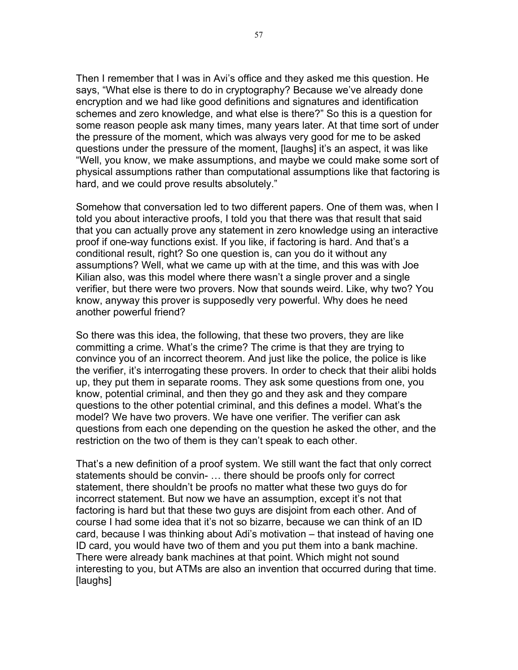Then I remember that I was in Avi's office and they asked me this question. He says, "What else is there to do in cryptography? Because we've already done encryption and we had like good definitions and signatures and identification schemes and zero knowledge, and what else is there?" So this is a question for some reason people ask many times, many years later. At that time sort of under the pressure of the moment, which was always very good for me to be asked questions under the pressure of the moment, [laughs] it's an aspect, it was like "Well, you know, we make assumptions, and maybe we could make some sort of physical assumptions rather than computational assumptions like that factoring is hard, and we could prove results absolutely."

Somehow that conversation led to two different papers. One of them was, when I told you about interactive proofs, I told you that there was that result that said that you can actually prove any statement in zero knowledge using an interactive proof if one-way functions exist. If you like, if factoring is hard. And that's a conditional result, right? So one question is, can you do it without any assumptions? Well, what we came up with at the time, and this was with Joe Kilian also, was this model where there wasn't a single prover and a single verifier, but there were two provers. Now that sounds weird. Like, why two? You know, anyway this prover is supposedly very powerful. Why does he need another powerful friend?

So there was this idea, the following, that these two provers, they are like committing a crime. What's the crime? The crime is that they are trying to convince you of an incorrect theorem. And just like the police, the police is like the verifier, it's interrogating these provers. In order to check that their alibi holds up, they put them in separate rooms. They ask some questions from one, you know, potential criminal, and then they go and they ask and they compare questions to the other potential criminal, and this defines a model. What's the model? We have two provers. We have one verifier. The verifier can ask questions from each one depending on the question he asked the other, and the restriction on the two of them is they can't speak to each other.

That's a new definition of a proof system. We still want the fact that only correct statements should be convin- … there should be proofs only for correct statement, there shouldn't be proofs no matter what these two guys do for incorrect statement. But now we have an assumption, except it's not that factoring is hard but that these two guys are disjoint from each other. And of course I had some idea that it's not so bizarre, because we can think of an ID card, because I was thinking about Adi's motivation – that instead of having one ID card, you would have two of them and you put them into a bank machine. There were already bank machines at that point. Which might not sound interesting to you, but ATMs are also an invention that occurred during that time. [laughs]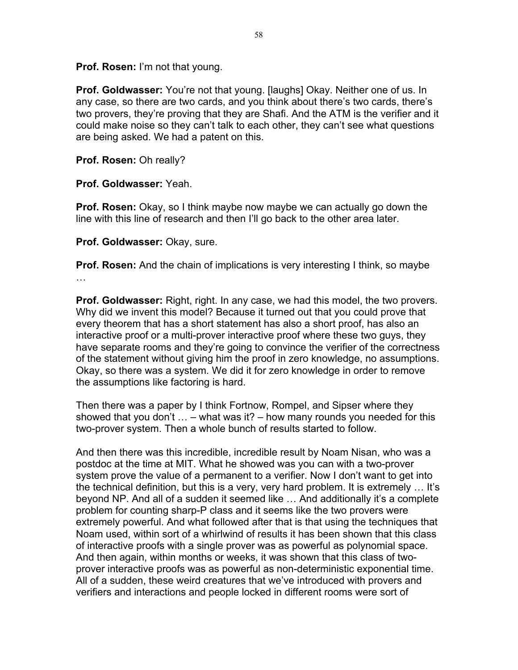**Prof. Rosen:** I'm not that young.

**Prof. Goldwasser:** You're not that young. [laughs] Okay. Neither one of us. In any case, so there are two cards, and you think about there's two cards, there's two provers, they're proving that they are Shafi. And the ATM is the verifier and it could make noise so they can't talk to each other, they can't see what questions are being asked. We had a patent on this.

**Prof. Rosen:** Oh really?

**Prof. Goldwasser:** Yeah.

**Prof. Rosen:** Okay, so I think maybe now maybe we can actually go down the line with this line of research and then I'll go back to the other area later.

**Prof. Goldwasser:** Okay, sure.

**Prof. Rosen:** And the chain of implications is very interesting I think, so maybe …

**Prof. Goldwasser:** Right, right. In any case, we had this model, the two provers. Why did we invent this model? Because it turned out that you could prove that every theorem that has a short statement has also a short proof, has also an interactive proof or a multi-prover interactive proof where these two guys, they have separate rooms and they're going to convince the verifier of the correctness of the statement without giving him the proof in zero knowledge, no assumptions. Okay, so there was a system. We did it for zero knowledge in order to remove the assumptions like factoring is hard.

Then there was a paper by I think Fortnow, Rompel, and Sipser where they showed that you don't  $\ldots$  – what was it? – how many rounds you needed for this two-prover system. Then a whole bunch of results started to follow.

And then there was this incredible, incredible result by Noam Nisan, who was a postdoc at the time at MIT. What he showed was you can with a two-prover system prove the value of a permanent to a verifier. Now I don't want to get into the technical definition, but this is a very, very hard problem. It is extremely … It's beyond NP. And all of a sudden it seemed like … And additionally it's a complete problem for counting sharp-P class and it seems like the two provers were extremely powerful. And what followed after that is that using the techniques that Noam used, within sort of a whirlwind of results it has been shown that this class of interactive proofs with a single prover was as powerful as polynomial space. And then again, within months or weeks, it was shown that this class of twoprover interactive proofs was as powerful as non-deterministic exponential time. All of a sudden, these weird creatures that we've introduced with provers and verifiers and interactions and people locked in different rooms were sort of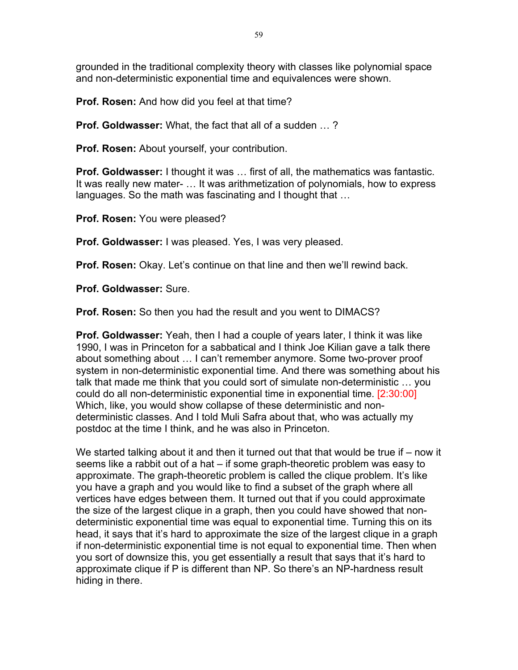grounded in the traditional complexity theory with classes like polynomial space and non-deterministic exponential time and equivalences were shown.

**Prof. Rosen:** And how did you feel at that time?

**Prof. Goldwasser:** What, the fact that all of a sudden … ?

**Prof. Rosen:** About yourself, your contribution.

**Prof. Goldwasser:** I thought it was ... first of all, the mathematics was fantastic. It was really new mater- … It was arithmetization of polynomials, how to express languages. So the math was fascinating and I thought that …

**Prof. Rosen:** You were pleased?

**Prof. Goldwasser:** I was pleased. Yes, I was very pleased.

**Prof. Rosen:** Okay. Let's continue on that line and then we'll rewind back.

**Prof. Goldwasser:** Sure.

**Prof. Rosen:** So then you had the result and you went to DIMACS?

**Prof. Goldwasser:** Yeah, then I had a couple of years later, I think it was like 1990, I was in Princeton for a sabbatical and I think Joe Kilian gave a talk there about something about … I can't remember anymore. Some two-prover proof system in non-deterministic exponential time. And there was something about his talk that made me think that you could sort of simulate non-deterministic … you could do all non-deterministic exponential time in exponential time. [2:30:00] Which, like, you would show collapse of these deterministic and nondeterministic classes. And I told Muli Safra about that, who was actually my postdoc at the time I think, and he was also in Princeton.

We started talking about it and then it turned out that that would be true if – now it seems like a rabbit out of a hat – if some graph-theoretic problem was easy to approximate. The graph-theoretic problem is called the clique problem. It's like you have a graph and you would like to find a subset of the graph where all vertices have edges between them. It turned out that if you could approximate the size of the largest clique in a graph, then you could have showed that nondeterministic exponential time was equal to exponential time. Turning this on its head, it says that it's hard to approximate the size of the largest clique in a graph if non-deterministic exponential time is not equal to exponential time. Then when you sort of downsize this, you get essentially a result that says that it's hard to approximate clique if P is different than NP. So there's an NP-hardness result hiding in there.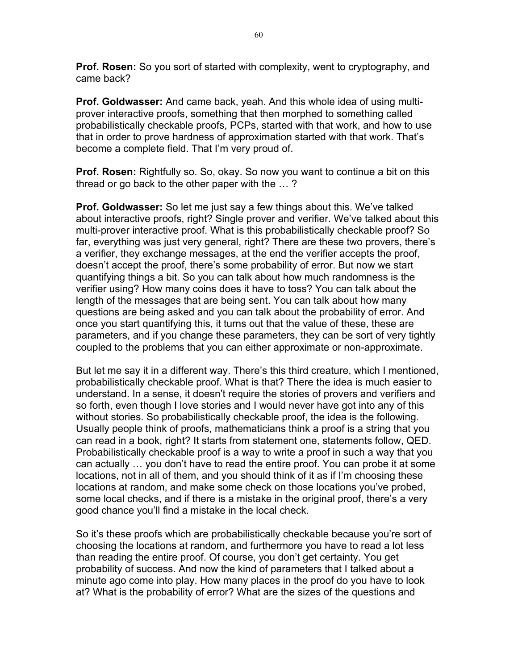**Prof. Rosen:** So you sort of started with complexity, went to cryptography, and came back?

**Prof. Goldwasser:** And came back, yeah. And this whole idea of using multiprover interactive proofs, something that then morphed to something called probabilistically checkable proofs, PCPs, started with that work, and how to use that in order to prove hardness of approximation started with that work. That's become a complete field. That I'm very proud of.

**Prof. Rosen:** Rightfully so. So, okay. So now you want to continue a bit on this thread or go back to the other paper with the … ?

**Prof. Goldwasser:** So let me just say a few things about this. We've talked about interactive proofs, right? Single prover and verifier. We've talked about this multi-prover interactive proof. What is this probabilistically checkable proof? So far, everything was just very general, right? There are these two provers, there's a verifier, they exchange messages, at the end the verifier accepts the proof, doesn't accept the proof, there's some probability of error. But now we start quantifying things a bit. So you can talk about how much randomness is the verifier using? How many coins does it have to toss? You can talk about the length of the messages that are being sent. You can talk about how many questions are being asked and you can talk about the probability of error. And once you start quantifying this, it turns out that the value of these, these are parameters, and if you change these parameters, they can be sort of very tightly coupled to the problems that you can either approximate or non-approximate.

But let me say it in a different way. There's this third creature, which I mentioned, probabilistically checkable proof. What is that? There the idea is much easier to understand. In a sense, it doesn't require the stories of provers and verifiers and so forth, even though I love stories and I would never have got into any of this without stories. So probabilistically checkable proof, the idea is the following. Usually people think of proofs, mathematicians think a proof is a string that you can read in a book, right? It starts from statement one, statements follow, QED. Probabilistically checkable proof is a way to write a proof in such a way that you can actually … you don't have to read the entire proof. You can probe it at some locations, not in all of them, and you should think of it as if I'm choosing these locations at random, and make some check on those locations you've probed, some local checks, and if there is a mistake in the original proof, there's a very good chance you'll find a mistake in the local check.

So it's these proofs which are probabilistically checkable because you're sort of choosing the locations at random, and furthermore you have to read a lot less than reading the entire proof. Of course, you don't get certainty. You get probability of success. And now the kind of parameters that I talked about a minute ago come into play. How many places in the proof do you have to look at? What is the probability of error? What are the sizes of the questions and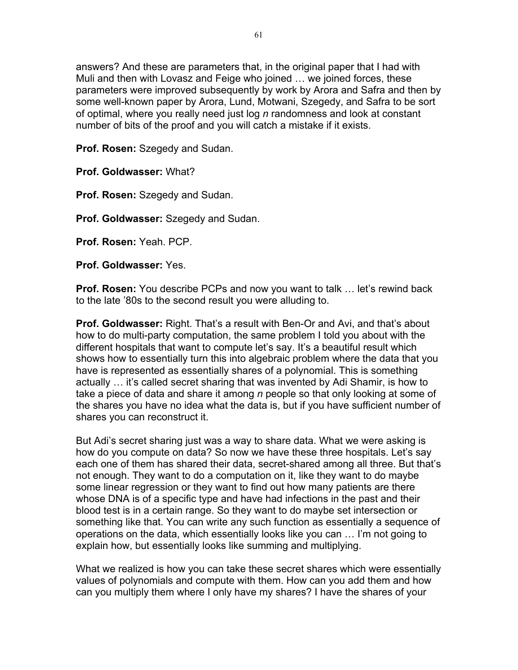answers? And these are parameters that, in the original paper that I had with Muli and then with Lovasz and Feige who joined … we joined forces, these parameters were improved subsequently by work by Arora and Safra and then by some well-known paper by Arora, Lund, Motwani, Szegedy, and Safra to be sort of optimal, where you really need just log *n* randomness and look at constant number of bits of the proof and you will catch a mistake if it exists.

**Prof. Rosen:** Szegedy and Sudan.

**Prof. Goldwasser:** What?

**Prof. Rosen:** Szegedy and Sudan.

**Prof. Goldwasser:** Szegedy and Sudan.

**Prof. Rosen:** Yeah. PCP.

**Prof. Goldwasser:** Yes.

**Prof. Rosen:** You describe PCPs and now you want to talk … let's rewind back to the late '80s to the second result you were alluding to.

**Prof. Goldwasser:** Right. That's a result with Ben-Or and Avi, and that's about how to do multi-party computation, the same problem I told you about with the different hospitals that want to compute let's say. It's a beautiful result which shows how to essentially turn this into algebraic problem where the data that you have is represented as essentially shares of a polynomial. This is something actually … it's called secret sharing that was invented by Adi Shamir, is how to take a piece of data and share it among *n* people so that only looking at some of the shares you have no idea what the data is, but if you have sufficient number of shares you can reconstruct it.

But Adi's secret sharing just was a way to share data. What we were asking is how do you compute on data? So now we have these three hospitals. Let's say each one of them has shared their data, secret-shared among all three. But that's not enough. They want to do a computation on it, like they want to do maybe some linear regression or they want to find out how many patients are there whose DNA is of a specific type and have had infections in the past and their blood test is in a certain range. So they want to do maybe set intersection or something like that. You can write any such function as essentially a sequence of operations on the data, which essentially looks like you can … I'm not going to explain how, but essentially looks like summing and multiplying.

What we realized is how you can take these secret shares which were essentially values of polynomials and compute with them. How can you add them and how can you multiply them where I only have my shares? I have the shares of your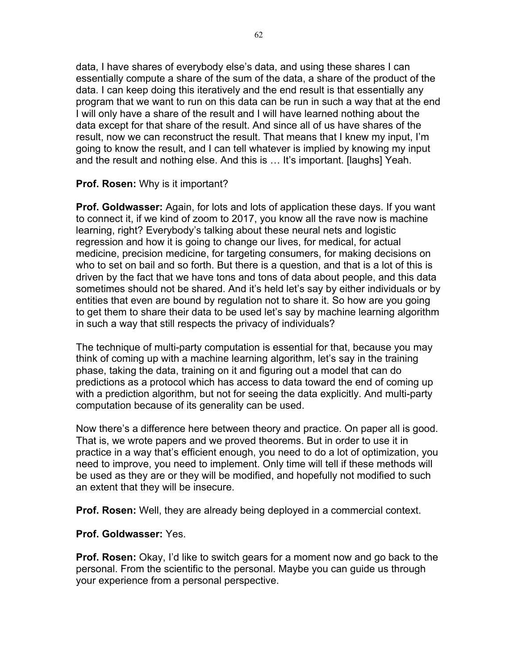data, I have shares of everybody else's data, and using these shares I can essentially compute a share of the sum of the data, a share of the product of the data. I can keep doing this iteratively and the end result is that essentially any program that we want to run on this data can be run in such a way that at the end I will only have a share of the result and I will have learned nothing about the data except for that share of the result. And since all of us have shares of the result, now we can reconstruct the result. That means that I knew my input, I'm going to know the result, and I can tell whatever is implied by knowing my input and the result and nothing else. And this is … It's important. [laughs] Yeah.

## **Prof. Rosen:** Why is it important?

**Prof. Goldwasser:** Again, for lots and lots of application these days. If you want to connect it, if we kind of zoom to 2017, you know all the rave now is machine learning, right? Everybody's talking about these neural nets and logistic regression and how it is going to change our lives, for medical, for actual medicine, precision medicine, for targeting consumers, for making decisions on who to set on bail and so forth. But there is a question, and that is a lot of this is driven by the fact that we have tons and tons of data about people, and this data sometimes should not be shared. And it's held let's say by either individuals or by entities that even are bound by regulation not to share it. So how are you going to get them to share their data to be used let's say by machine learning algorithm in such a way that still respects the privacy of individuals?

The technique of multi-party computation is essential for that, because you may think of coming up with a machine learning algorithm, let's say in the training phase, taking the data, training on it and figuring out a model that can do predictions as a protocol which has access to data toward the end of coming up with a prediction algorithm, but not for seeing the data explicitly. And multi-party computation because of its generality can be used.

Now there's a difference here between theory and practice. On paper all is good. That is, we wrote papers and we proved theorems. But in order to use it in practice in a way that's efficient enough, you need to do a lot of optimization, you need to improve, you need to implement. Only time will tell if these methods will be used as they are or they will be modified, and hopefully not modified to such an extent that they will be insecure.

**Prof. Rosen:** Well, they are already being deployed in a commercial context.

## **Prof. Goldwasser:** Yes.

**Prof. Rosen:** Okay, I'd like to switch gears for a moment now and go back to the personal. From the scientific to the personal. Maybe you can guide us through your experience from a personal perspective.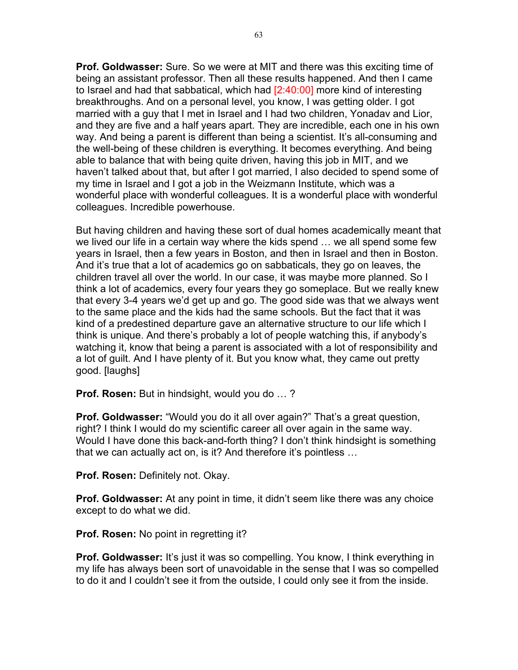**Prof. Goldwasser:** Sure. So we were at MIT and there was this exciting time of being an assistant professor. Then all these results happened. And then I came to Israel and had that sabbatical, which had  $[2:40:00]$  more kind of interesting breakthroughs. And on a personal level, you know, I was getting older. I got married with a guy that I met in Israel and I had two children, Yonadav and Lior, and they are five and a half years apart. They are incredible, each one in his own way. And being a parent is different than being a scientist. It's all-consuming and the well-being of these children is everything. It becomes everything. And being able to balance that with being quite driven, having this job in MIT, and we haven't talked about that, but after I got married, I also decided to spend some of my time in Israel and I got a job in the Weizmann Institute, which was a wonderful place with wonderful colleagues. It is a wonderful place with wonderful colleagues. Incredible powerhouse.

But having children and having these sort of dual homes academically meant that we lived our life in a certain way where the kids spend … we all spend some few years in Israel, then a few years in Boston, and then in Israel and then in Boston. And it's true that a lot of academics go on sabbaticals, they go on leaves, the children travel all over the world. In our case, it was maybe more planned. So I think a lot of academics, every four years they go someplace. But we really knew that every 3-4 years we'd get up and go. The good side was that we always went to the same place and the kids had the same schools. But the fact that it was kind of a predestined departure gave an alternative structure to our life which I think is unique. And there's probably a lot of people watching this, if anybody's watching it, know that being a parent is associated with a lot of responsibility and a lot of guilt. And I have plenty of it. But you know what, they came out pretty good. [laughs]

**Prof. Rosen:** But in hindsight, would you do … ?

**Prof. Goldwasser:** "Would you do it all over again?" That's a great question, right? I think I would do my scientific career all over again in the same way. Would I have done this back-and-forth thing? I don't think hindsight is something that we can actually act on, is it? And therefore it's pointless …

**Prof. Rosen:** Definitely not. Okay.

**Prof. Goldwasser:** At any point in time, it didn't seem like there was any choice except to do what we did.

**Prof. Rosen:** No point in regretting it?

**Prof. Goldwasser:** It's just it was so compelling. You know, I think everything in my life has always been sort of unavoidable in the sense that I was so compelled to do it and I couldn't see it from the outside, I could only see it from the inside.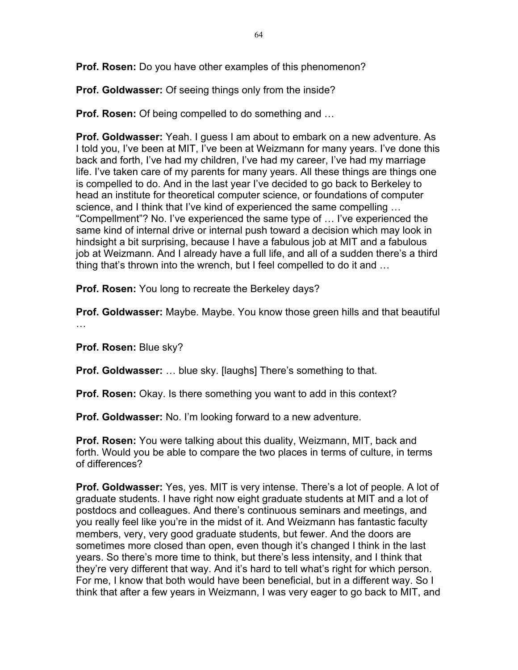**Prof. Rosen:** Do you have other examples of this phenomenon?

**Prof. Goldwasser:** Of seeing things only from the inside?

**Prof. Rosen:** Of being compelled to do something and …

**Prof. Goldwasser:** Yeah. I guess I am about to embark on a new adventure. As I told you, I've been at MIT, I've been at Weizmann for many years. I've done this back and forth, I've had my children, I've had my career, I've had my marriage life. I've taken care of my parents for many years. All these things are things one is compelled to do. And in the last year I've decided to go back to Berkeley to head an institute for theoretical computer science, or foundations of computer science, and I think that I've kind of experienced the same compelling … "Compellment"? No. I've experienced the same type of … I've experienced the same kind of internal drive or internal push toward a decision which may look in hindsight a bit surprising, because I have a fabulous job at MIT and a fabulous job at Weizmann. And I already have a full life, and all of a sudden there's a third thing that's thrown into the wrench, but I feel compelled to do it and …

**Prof. Rosen:** You long to recreate the Berkeley days?

**Prof. Goldwasser:** Maybe. Maybe. You know those green hills and that beautiful …

**Prof. Rosen:** Blue sky?

**Prof. Goldwasser:** … blue sky. [laughs] There's something to that.

**Prof. Rosen:** Okay. Is there something you want to add in this context?

**Prof. Goldwasser:** No. I'm looking forward to a new adventure.

**Prof. Rosen:** You were talking about this duality, Weizmann, MIT, back and forth. Would you be able to compare the two places in terms of culture, in terms of differences?

**Prof. Goldwasser:** Yes, yes. MIT is very intense. There's a lot of people. A lot of graduate students. I have right now eight graduate students at MIT and a lot of postdocs and colleagues. And there's continuous seminars and meetings, and you really feel like you're in the midst of it. And Weizmann has fantastic faculty members, very, very good graduate students, but fewer. And the doors are sometimes more closed than open, even though it's changed I think in the last years. So there's more time to think, but there's less intensity, and I think that they're very different that way. And it's hard to tell what's right for which person. For me, I know that both would have been beneficial, but in a different way. So I think that after a few years in Weizmann, I was very eager to go back to MIT, and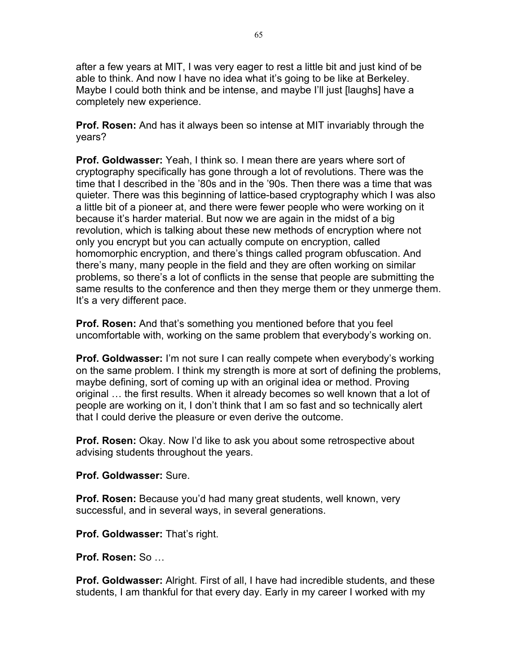after a few years at MIT, I was very eager to rest a little bit and just kind of be able to think. And now I have no idea what it's going to be like at Berkeley. Maybe I could both think and be intense, and maybe I'll just [laughs] have a completely new experience.

**Prof. Rosen:** And has it always been so intense at MIT invariably through the years?

**Prof. Goldwasser:** Yeah, I think so. I mean there are years where sort of cryptography specifically has gone through a lot of revolutions. There was the time that I described in the '80s and in the '90s. Then there was a time that was quieter. There was this beginning of lattice-based cryptography which I was also a little bit of a pioneer at, and there were fewer people who were working on it because it's harder material. But now we are again in the midst of a big revolution, which is talking about these new methods of encryption where not only you encrypt but you can actually compute on encryption, called homomorphic encryption, and there's things called program obfuscation. And there's many, many people in the field and they are often working on similar problems, so there's a lot of conflicts in the sense that people are submitting the same results to the conference and then they merge them or they unmerge them. It's a very different pace.

**Prof. Rosen:** And that's something you mentioned before that you feel uncomfortable with, working on the same problem that everybody's working on.

**Prof. Goldwasser:** I'm not sure I can really compete when everybody's working on the same problem. I think my strength is more at sort of defining the problems, maybe defining, sort of coming up with an original idea or method. Proving original … the first results. When it already becomes so well known that a lot of people are working on it, I don't think that I am so fast and so technically alert that I could derive the pleasure or even derive the outcome.

**Prof. Rosen:** Okay. Now I'd like to ask you about some retrospective about advising students throughout the years.

**Prof. Goldwasser:** Sure.

**Prof. Rosen:** Because you'd had many great students, well known, very successful, and in several ways, in several generations.

**Prof. Goldwasser:** That's right.

**Prof. Rosen:** So …

**Prof. Goldwasser:** Alright. First of all, I have had incredible students, and these students, I am thankful for that every day. Early in my career I worked with my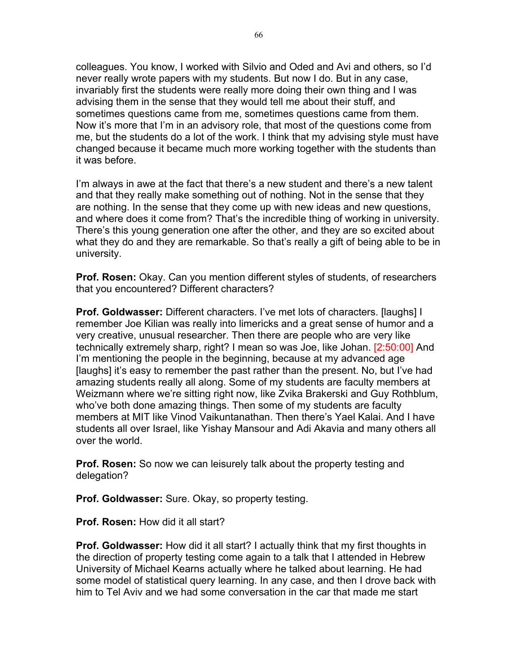colleagues. You know, I worked with Silvio and Oded and Avi and others, so I'd never really wrote papers with my students. But now I do. But in any case, invariably first the students were really more doing their own thing and I was advising them in the sense that they would tell me about their stuff, and sometimes questions came from me, sometimes questions came from them. Now it's more that I'm in an advisory role, that most of the questions come from me, but the students do a lot of the work. I think that my advising style must have changed because it became much more working together with the students than it was before.

I'm always in awe at the fact that there's a new student and there's a new talent and that they really make something out of nothing. Not in the sense that they are nothing. In the sense that they come up with new ideas and new questions, and where does it come from? That's the incredible thing of working in university. There's this young generation one after the other, and they are so excited about what they do and they are remarkable. So that's really a gift of being able to be in university.

**Prof. Rosen:** Okay. Can you mention different styles of students, of researchers that you encountered? Different characters?

**Prof. Goldwasser:** Different characters. I've met lots of characters. [laughs] I remember Joe Kilian was really into limericks and a great sense of humor and a very creative, unusual researcher. Then there are people who are very like technically extremely sharp, right? I mean so was Joe, like Johan. [2:50:00] And I'm mentioning the people in the beginning, because at my advanced age [laughs] it's easy to remember the past rather than the present. No, but I've had amazing students really all along. Some of my students are faculty members at Weizmann where we're sitting right now, like Zvika Brakerski and Guy Rothblum, who've both done amazing things. Then some of my students are faculty members at MIT like Vinod Vaikuntanathan. Then there's Yael Kalai. And I have students all over Israel, like Yishay Mansour and Adi Akavia and many others all over the world.

**Prof. Rosen:** So now we can leisurely talk about the property testing and delegation?

**Prof. Goldwasser:** Sure. Okay, so property testing.

**Prof. Rosen:** How did it all start?

**Prof. Goldwasser:** How did it all start? I actually think that my first thoughts in the direction of property testing come again to a talk that I attended in Hebrew University of Michael Kearns actually where he talked about learning. He had some model of statistical query learning. In any case, and then I drove back with him to Tel Aviv and we had some conversation in the car that made me start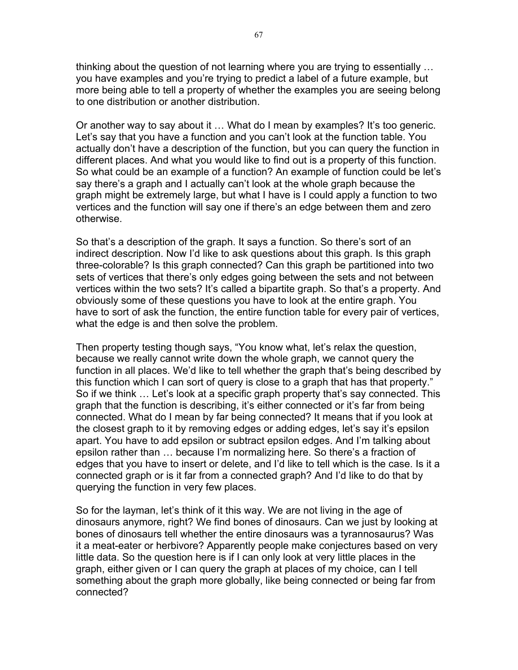thinking about the question of not learning where you are trying to essentially … you have examples and you're trying to predict a label of a future example, but more being able to tell a property of whether the examples you are seeing belong to one distribution or another distribution.

Or another way to say about it … What do I mean by examples? It's too generic. Let's say that you have a function and you can't look at the function table. You actually don't have a description of the function, but you can query the function in different places. And what you would like to find out is a property of this function. So what could be an example of a function? An example of function could be let's say there's a graph and I actually can't look at the whole graph because the graph might be extremely large, but what I have is I could apply a function to two vertices and the function will say one if there's an edge between them and zero otherwise.

So that's a description of the graph. It says a function. So there's sort of an indirect description. Now I'd like to ask questions about this graph. Is this graph three-colorable? Is this graph connected? Can this graph be partitioned into two sets of vertices that there's only edges going between the sets and not between vertices within the two sets? It's called a bipartite graph. So that's a property. And obviously some of these questions you have to look at the entire graph. You have to sort of ask the function, the entire function table for every pair of vertices, what the edge is and then solve the problem.

Then property testing though says, "You know what, let's relax the question, because we really cannot write down the whole graph, we cannot query the function in all places. We'd like to tell whether the graph that's being described by this function which I can sort of query is close to a graph that has that property." So if we think … Let's look at a specific graph property that's say connected. This graph that the function is describing, it's either connected or it's far from being connected. What do I mean by far being connected? It means that if you look at the closest graph to it by removing edges or adding edges, let's say it's epsilon apart. You have to add epsilon or subtract epsilon edges. And I'm talking about epsilon rather than … because I'm normalizing here. So there's a fraction of edges that you have to insert or delete, and I'd like to tell which is the case. Is it a connected graph or is it far from a connected graph? And I'd like to do that by querying the function in very few places.

So for the layman, let's think of it this way. We are not living in the age of dinosaurs anymore, right? We find bones of dinosaurs. Can we just by looking at bones of dinosaurs tell whether the entire dinosaurs was a tyrannosaurus? Was it a meat-eater or herbivore? Apparently people make conjectures based on very little data. So the question here is if I can only look at very little places in the graph, either given or I can query the graph at places of my choice, can I tell something about the graph more globally, like being connected or being far from connected?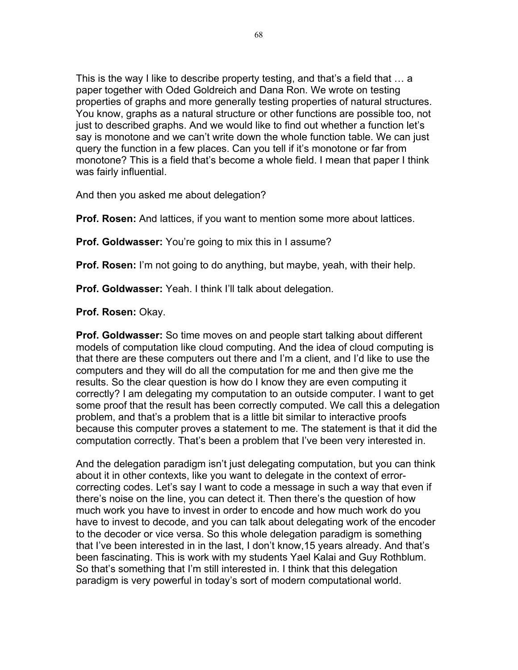This is the way I like to describe property testing, and that's a field that … a paper together with Oded Goldreich and Dana Ron. We wrote on testing properties of graphs and more generally testing properties of natural structures. You know, graphs as a natural structure or other functions are possible too, not just to described graphs. And we would like to find out whether a function let's say is monotone and we can't write down the whole function table. We can just query the function in a few places. Can you tell if it's monotone or far from monotone? This is a field that's become a whole field. I mean that paper I think was fairly influential.

And then you asked me about delegation?

**Prof. Rosen:** And lattices, if you want to mention some more about lattices.

**Prof. Goldwasser:** You're going to mix this in I assume?

**Prof. Rosen:** I'm not going to do anything, but maybe, yeah, with their help.

**Prof. Goldwasser:** Yeah. I think I'll talk about delegation.

**Prof. Rosen:** Okay.

**Prof. Goldwasser:** So time moves on and people start talking about different models of computation like cloud computing. And the idea of cloud computing is that there are these computers out there and I'm a client, and I'd like to use the computers and they will do all the computation for me and then give me the results. So the clear question is how do I know they are even computing it correctly? I am delegating my computation to an outside computer. I want to get some proof that the result has been correctly computed. We call this a delegation problem, and that's a problem that is a little bit similar to interactive proofs because this computer proves a statement to me. The statement is that it did the computation correctly. That's been a problem that I've been very interested in.

And the delegation paradigm isn't just delegating computation, but you can think about it in other contexts, like you want to delegate in the context of errorcorrecting codes. Let's say I want to code a message in such a way that even if there's noise on the line, you can detect it. Then there's the question of how much work you have to invest in order to encode and how much work do you have to invest to decode, and you can talk about delegating work of the encoder to the decoder or vice versa. So this whole delegation paradigm is something that I've been interested in in the last, I don't know,15 years already. And that's been fascinating. This is work with my students Yael Kalai and Guy Rothblum. So that's something that I'm still interested in. I think that this delegation paradigm is very powerful in today's sort of modern computational world.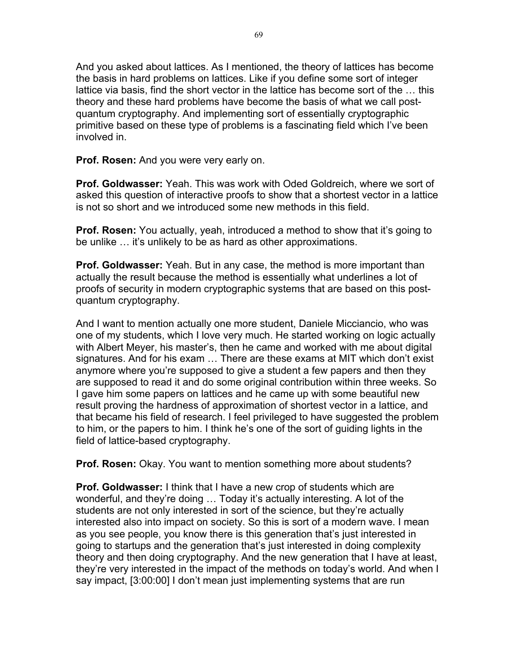And you asked about lattices. As I mentioned, the theory of lattices has become the basis in hard problems on lattices. Like if you define some sort of integer lattice via basis, find the short vector in the lattice has become sort of the … this theory and these hard problems have become the basis of what we call postquantum cryptography. And implementing sort of essentially cryptographic primitive based on these type of problems is a fascinating field which I've been involved in.

**Prof. Rosen:** And you were very early on.

**Prof. Goldwasser:** Yeah. This was work with Oded Goldreich, where we sort of asked this question of interactive proofs to show that a shortest vector in a lattice is not so short and we introduced some new methods in this field.

**Prof. Rosen:** You actually, yeah, introduced a method to show that it's going to be unlike … it's unlikely to be as hard as other approximations.

**Prof. Goldwasser:** Yeah. But in any case, the method is more important than actually the result because the method is essentially what underlines a lot of proofs of security in modern cryptographic systems that are based on this postquantum cryptography.

And I want to mention actually one more student, Daniele Micciancio, who was one of my students, which I love very much. He started working on logic actually with Albert Meyer, his master's, then he came and worked with me about digital signatures. And for his exam … There are these exams at MIT which don't exist anymore where you're supposed to give a student a few papers and then they are supposed to read it and do some original contribution within three weeks. So I gave him some papers on lattices and he came up with some beautiful new result proving the hardness of approximation of shortest vector in a lattice, and that became his field of research. I feel privileged to have suggested the problem to him, or the papers to him. I think he's one of the sort of guiding lights in the field of lattice-based cryptography.

**Prof. Rosen:** Okay. You want to mention something more about students?

**Prof. Goldwasser:** I think that I have a new crop of students which are wonderful, and they're doing … Today it's actually interesting. A lot of the students are not only interested in sort of the science, but they're actually interested also into impact on society. So this is sort of a modern wave. I mean as you see people, you know there is this generation that's just interested in going to startups and the generation that's just interested in doing complexity theory and then doing cryptography. And the new generation that I have at least, they're very interested in the impact of the methods on today's world. And when I say impact, [3:00:00] I don't mean just implementing systems that are run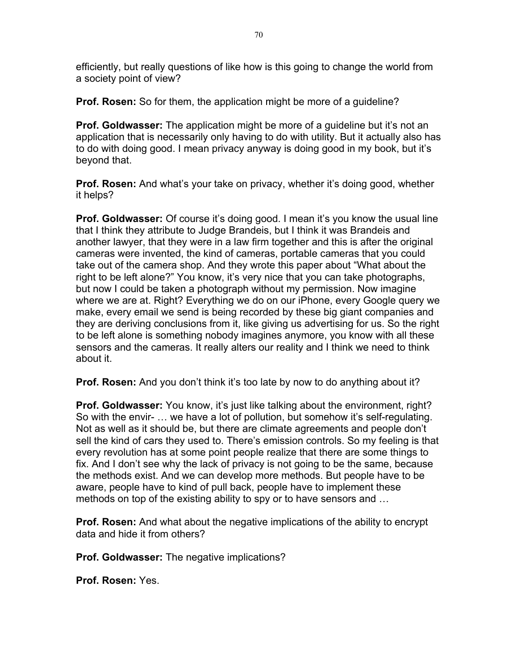efficiently, but really questions of like how is this going to change the world from a society point of view?

**Prof. Rosen:** So for them, the application might be more of a guideline?

**Prof. Goldwasser:** The application might be more of a guideline but it's not an application that is necessarily only having to do with utility. But it actually also has to do with doing good. I mean privacy anyway is doing good in my book, but it's beyond that.

**Prof. Rosen:** And what's your take on privacy, whether it's doing good, whether it helps?

**Prof. Goldwasser:** Of course it's doing good. I mean it's you know the usual line that I think they attribute to Judge Brandeis, but I think it was Brandeis and another lawyer, that they were in a law firm together and this is after the original cameras were invented, the kind of cameras, portable cameras that you could take out of the camera shop. And they wrote this paper about "What about the right to be left alone?" You know, it's very nice that you can take photographs, but now I could be taken a photograph without my permission. Now imagine where we are at. Right? Everything we do on our iPhone, every Google query we make, every email we send is being recorded by these big giant companies and they are deriving conclusions from it, like giving us advertising for us. So the right to be left alone is something nobody imagines anymore, you know with all these sensors and the cameras. It really alters our reality and I think we need to think about it.

**Prof. Rosen:** And you don't think it's too late by now to do anything about it?

**Prof. Goldwasser:** You know, it's just like talking about the environment, right? So with the envir- … we have a lot of pollution, but somehow it's self-regulating. Not as well as it should be, but there are climate agreements and people don't sell the kind of cars they used to. There's emission controls. So my feeling is that every revolution has at some point people realize that there are some things to fix. And I don't see why the lack of privacy is not going to be the same, because the methods exist. And we can develop more methods. But people have to be aware, people have to kind of pull back, people have to implement these methods on top of the existing ability to spy or to have sensors and …

**Prof. Rosen:** And what about the negative implications of the ability to encrypt data and hide it from others?

**Prof. Goldwasser:** The negative implications?

**Prof. Rosen:** Yes.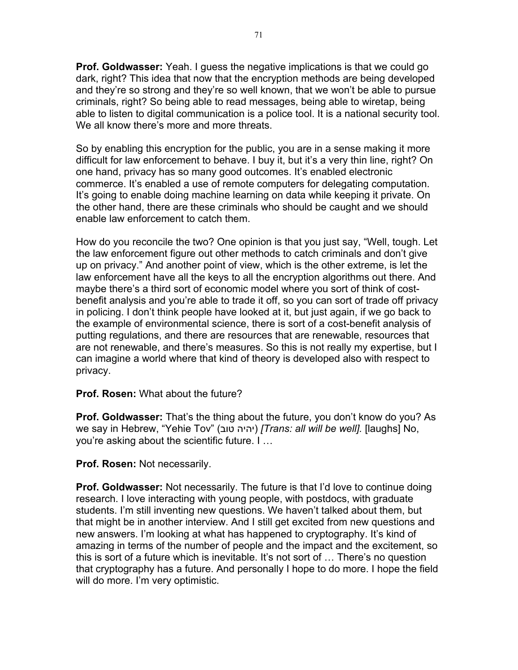**Prof. Goldwasser:** Yeah. I guess the negative implications is that we could go dark, right? This idea that now that the encryption methods are being developed and they're so strong and they're so well known, that we won't be able to pursue criminals, right? So being able to read messages, being able to wiretap, being able to listen to digital communication is a police tool. It is a national security tool. We all know there's more and more threats.

So by enabling this encryption for the public, you are in a sense making it more difficult for law enforcement to behave. I buy it, but it's a very thin line, right? On one hand, privacy has so many good outcomes. It's enabled electronic commerce. It's enabled a use of remote computers for delegating computation. It's going to enable doing machine learning on data while keeping it private. On the other hand, there are these criminals who should be caught and we should enable law enforcement to catch them.

How do you reconcile the two? One opinion is that you just say, "Well, tough. Let the law enforcement figure out other methods to catch criminals and don't give up on privacy." And another point of view, which is the other extreme, is let the law enforcement have all the keys to all the encryption algorithms out there. And maybe there's a third sort of economic model where you sort of think of costbenefit analysis and you're able to trade it off, so you can sort of trade off privacy in policing. I don't think people have looked at it, but just again, if we go back to the example of environmental science, there is sort of a cost-benefit analysis of putting regulations, and there are resources that are renewable, resources that are not renewable, and there's measures. So this is not really my expertise, but I can imagine a world where that kind of theory is developed also with respect to privacy.

**Prof. Rosen:** What about the future?

**Prof. Goldwasser:** That's the thing about the future, you don't know do you? As we say in Hebrew, "Yehie Tov" ( היהי בוט*]* ( *Trans: all will be well].* [laughs] No, you're asking about the scientific future. I …

**Prof. Rosen:** Not necessarily.

**Prof. Goldwasser:** Not necessarily. The future is that I'd love to continue doing research. I love interacting with young people, with postdocs, with graduate students. I'm still inventing new questions. We haven't talked about them, but that might be in another interview. And I still get excited from new questions and new answers. I'm looking at what has happened to cryptography. It's kind of amazing in terms of the number of people and the impact and the excitement, so this is sort of a future which is inevitable. It's not sort of … There's no question that cryptography has a future. And personally I hope to do more. I hope the field will do more. I'm very optimistic.